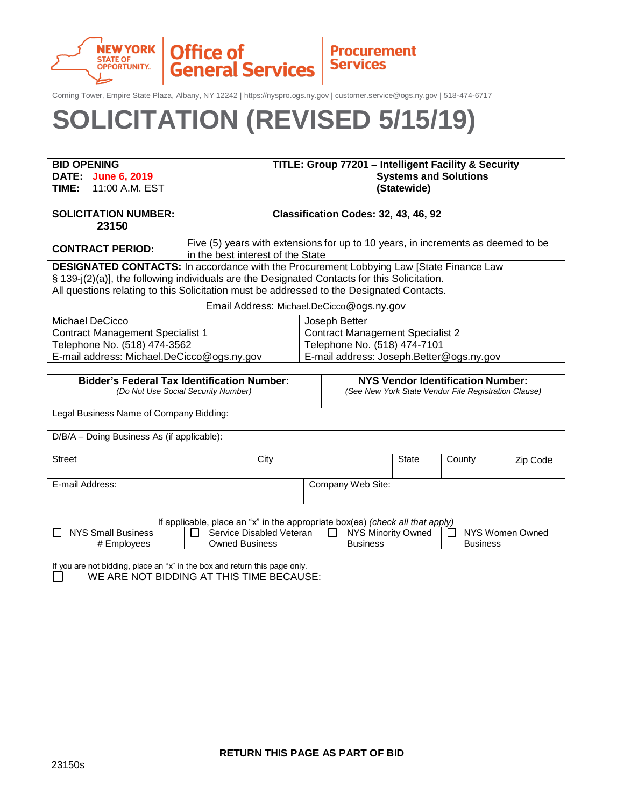

Corning Tower, Empire State Plaza, Albany, NY 12242 | https://nyspro.ogs.ny.gov | customer.service@ogs.ny.gov | 518-474-6717

# **SOLICITATION (REVISED 5/15/19)**

| <b>BID OPENING</b>                                                                                                                               | TITLE: Group 77201 - Intelligent Facility & Security |                                                                                                  |                 |        |          |
|--------------------------------------------------------------------------------------------------------------------------------------------------|------------------------------------------------------|--------------------------------------------------------------------------------------------------|-----------------|--------|----------|
| DATE: June 6, 2019                                                                                                                               |                                                      | <b>Systems and Solutions</b>                                                                     |                 |        |          |
| 11:00 A.M. EST<br>TIME:                                                                                                                          |                                                      | (Statewide)                                                                                      |                 |        |          |
|                                                                                                                                                  |                                                      |                                                                                                  |                 |        |          |
| <b>SOLICITATION NUMBER:</b>                                                                                                                      |                                                      | Classification Codes: 32, 43, 46, 92                                                             |                 |        |          |
| 23150                                                                                                                                            |                                                      |                                                                                                  |                 |        |          |
| Five (5) years with extensions for up to 10 years, in increments as deemed to be<br><b>CONTRACT PERIOD:</b><br>in the best interest of the State |                                                      |                                                                                                  |                 |        |          |
| <b>DESIGNATED CONTACTS:</b> In accordance with the Procurement Lobbying Law [State Finance Law                                                   |                                                      |                                                                                                  |                 |        |          |
| § 139-j(2)(a)], the following individuals are the Designated Contacts for this Solicitation.                                                     |                                                      |                                                                                                  |                 |        |          |
| All questions relating to this Solicitation must be addressed to the Designated Contacts.                                                        |                                                      |                                                                                                  |                 |        |          |
|                                                                                                                                                  |                                                      | Email Address: Michael.DeCicco@ogs.ny.gov                                                        |                 |        |          |
| Michael DeCicco                                                                                                                                  | Joseph Better                                        |                                                                                                  |                 |        |          |
| <b>Contract Management Specialist 1</b>                                                                                                          |                                                      | <b>Contract Management Specialist 2</b>                                                          |                 |        |          |
| Telephone No. (518) 474-3562                                                                                                                     |                                                      | Telephone No. (518) 474-7101                                                                     |                 |        |          |
| E-mail address: Michael.DeCicco@ogs.ny.gov                                                                                                       |                                                      | E-mail address: Joseph.Better@ogs.ny.gov                                                         |                 |        |          |
|                                                                                                                                                  |                                                      |                                                                                                  |                 |        |          |
| <b>Bidder's Federal Tax Identification Number:</b><br>(Do Not Use Social Security Number)                                                        |                                                      | <b>NYS Vendor Identification Number:</b><br>(See New York State Vendor File Registration Clause) |                 |        |          |
| Legal Business Name of Company Bidding:                                                                                                          |                                                      |                                                                                                  |                 |        |          |
|                                                                                                                                                  |                                                      |                                                                                                  |                 |        |          |
| D/B/A - Doing Business As (if applicable):                                                                                                       |                                                      |                                                                                                  |                 |        |          |
| <b>Street</b>                                                                                                                                    | City                                                 |                                                                                                  | <b>State</b>    | County | Zip Code |
|                                                                                                                                                  |                                                      |                                                                                                  |                 |        |          |
| E-mail Address:                                                                                                                                  |                                                      | Company Web Site:                                                                                |                 |        |          |
|                                                                                                                                                  |                                                      |                                                                                                  |                 |        |          |
| If applicable, place an "x" in the appropriate box(es) (check all that apply)                                                                    |                                                      |                                                                                                  |                 |        |          |
| <b>NYS Small Business</b><br>Service Disabled Veteran<br>NYS Minority Owned<br>NYS Women Owned<br>ΙI                                             |                                                      |                                                                                                  |                 |        |          |
| <b>Owned Business</b><br># Employees                                                                                                             | <b>Business</b>                                      |                                                                                                  | <b>Business</b> |        |          |
|                                                                                                                                                  |                                                      |                                                                                                  |                 |        |          |
| If you are not bidding, place an "x" in the box and return this page only.<br>WE ARE NOT BIDDING AT THIS TIME BECAUSE:                           |                                                      |                                                                                                  |                 |        |          |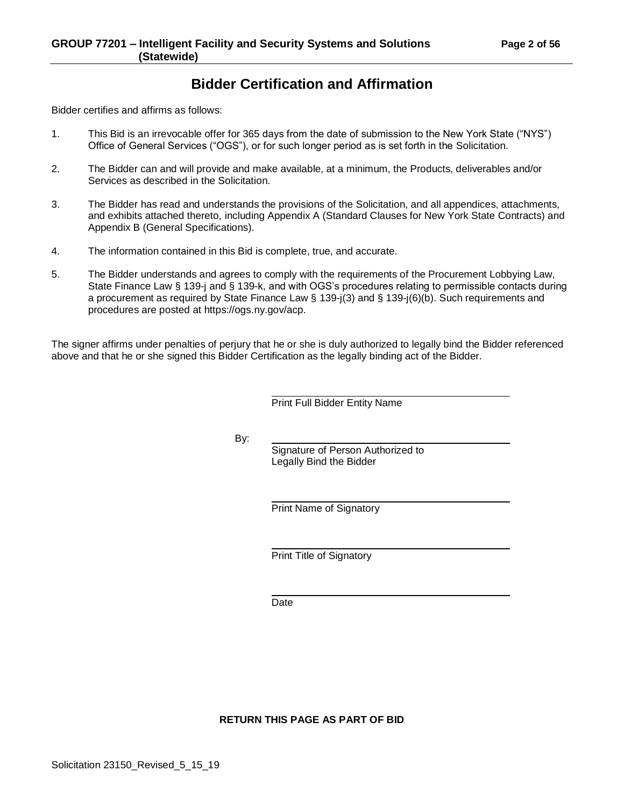# **Bidder Certification and Affirmation**

Bidder certifies and affirms as follows:

- 1. This Bid is an irrevocable offer for 365 days from the date of submission to the New York State ("NYS") Office of General Services ("OGS"), or for such longer period as is set forth in the Solicitation.
- 2. The Bidder can and will provide and make available, at a minimum, the Products, deliverables and/or Services as described in the Solicitation.
- 3. The Bidder has read and understands the provisions of the Solicitation, and all appendices, attachments, and exhibits attached thereto, including Appendix A (Standard Clauses for New York State Contracts) and Appendix B (General Specifications).
- 4. The information contained in this Bid is complete, true, and accurate.
- 5. The Bidder understands and agrees to comply with the requirements of the Procurement Lobbying Law, State Finance Law § 139-j and § 139-k, and with OGS's procedures relating to permissible contacts during a procurement as required by State Finance Law § 139-j(3) and § 139-j(6)(b). Such requirements and procedures are posted at https://ogs.ny.gov/acp.

The signer affirms under penalties of perjury that he or she is duly authorized to legally bind the Bidder referenced above and that he or she signed this Bidder Certification as the legally binding act of the Bidder.

Print Full Bidder Entity Name

By:

Signature of Person Authorized to Legally Bind the Bidder

Print Name of Signatory

Print Title of Signatory

Date

**RETURN THIS PAGE AS PART OF BID**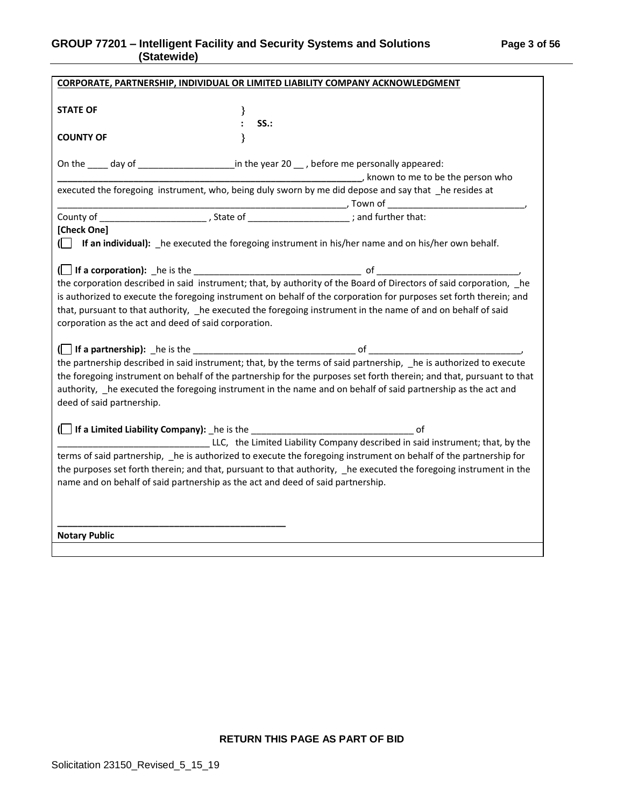# **GROUP 77201 – Intelligent Facility and Security Systems and Solutions Page 3 of 56 (Statewide)**

| CORPORATE, PARTNERSHIP, INDIVIDUAL OR LIMITED LIABILITY COMPANY ACKNOWLEDGMENT                                                                                          |  |  |  |
|-------------------------------------------------------------------------------------------------------------------------------------------------------------------------|--|--|--|
| <b>STATE OF</b><br>$\}$<br>: SS.:                                                                                                                                       |  |  |  |
| $\mathbf{\}$<br><b>COUNTY OF</b>                                                                                                                                        |  |  |  |
|                                                                                                                                                                         |  |  |  |
| On the ____ day of ______________________in the year 20 ___ , before me personally appeared:                                                                            |  |  |  |
|                                                                                                                                                                         |  |  |  |
| executed the foregoing instrument, who, being duly sworn by me did depose and say that _he resides at                                                                   |  |  |  |
|                                                                                                                                                                         |  |  |  |
|                                                                                                                                                                         |  |  |  |
|                                                                                                                                                                         |  |  |  |
| [Check One]                                                                                                                                                             |  |  |  |
| If an individual): he executed the foregoing instrument in his/her name and on his/her own behalf.                                                                      |  |  |  |
|                                                                                                                                                                         |  |  |  |
|                                                                                                                                                                         |  |  |  |
| (If a corporation): he is the <u>section</u> of heliocorporation described in said instrument; that, by authority of the Board of Directors of said corporation, he     |  |  |  |
| is authorized to execute the foregoing instrument on behalf of the corporation for purposes set forth therein; and                                                      |  |  |  |
| that, pursuant to that authority, he executed the foregoing instrument in the name of and on behalf of said                                                             |  |  |  |
|                                                                                                                                                                         |  |  |  |
| corporation as the act and deed of said corporation.                                                                                                                    |  |  |  |
|                                                                                                                                                                         |  |  |  |
| (If a partnership): he is the set of the narrative of the partnership described in said instrument; that, by the terms of said partnership, he is authorized to execute |  |  |  |
|                                                                                                                                                                         |  |  |  |
| the foregoing instrument on behalf of the partnership for the purposes set forth therein; and that, pursuant to that                                                    |  |  |  |
| authority, he executed the foregoing instrument in the name and on behalf of said partnership as the act and                                                            |  |  |  |
| deed of said partnership.                                                                                                                                               |  |  |  |
|                                                                                                                                                                         |  |  |  |
|                                                                                                                                                                         |  |  |  |
| LLC, the Limited Liability Company described in said instrument; that, by the                                                                                           |  |  |  |
|                                                                                                                                                                         |  |  |  |
| terms of said partnership, _he is authorized to execute the foregoing instrument on behalf of the partnership for                                                       |  |  |  |
| the purposes set forth therein; and that, pursuant to that authority, _he executed the foregoing instrument in the                                                      |  |  |  |
| name and on behalf of said partnership as the act and deed of said partnership.                                                                                         |  |  |  |
|                                                                                                                                                                         |  |  |  |
|                                                                                                                                                                         |  |  |  |
|                                                                                                                                                                         |  |  |  |
| <b>Notary Public</b>                                                                                                                                                    |  |  |  |
|                                                                                                                                                                         |  |  |  |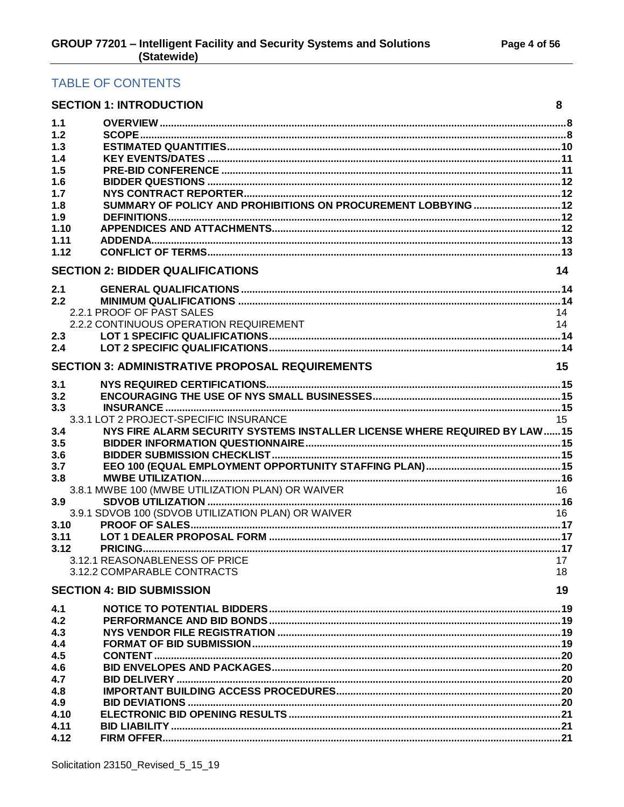# TABLE OF CONTENTS

|            | <b>SECTION 1: INTRODUCTION</b>                                              | 8  |
|------------|-----------------------------------------------------------------------------|----|
| 1.1        |                                                                             |    |
| 1.2        |                                                                             |    |
| 1.3        |                                                                             |    |
| 1.4        |                                                                             |    |
| 1.5        |                                                                             |    |
| 1.6        |                                                                             |    |
| 1.7        |                                                                             |    |
| 1.8        | SUMMARY OF POLICY AND PROHIBITIONS ON PROCUREMENT LOBBYING  12              |    |
| 1.9        |                                                                             |    |
| 1.10       |                                                                             |    |
| 1.11       |                                                                             |    |
| 1.12       |                                                                             |    |
|            | <b>SECTION 2: BIDDER QUALIFICATIONS</b>                                     | 14 |
| 2.1        |                                                                             |    |
| 2.2        |                                                                             |    |
|            | 2.2.1 PROOF OF PAST SALES                                                   | 14 |
|            | 2.2.2 CONTINUOUS OPERATION REQUIREMENT                                      | 14 |
| 2.3        |                                                                             |    |
| 2.4        |                                                                             |    |
|            | <b>SECTION 3: ADMINISTRATIVE PROPOSAL REQUIREMENTS</b>                      | 15 |
| 3.1        |                                                                             |    |
| 3.2        |                                                                             |    |
| 3.3        |                                                                             |    |
|            | 3.3.1 LOT 2 PROJECT-SPECIFIC INSURANCE                                      | 15 |
| 3.4        | NYS FIRE ALARM SECURITY SYSTEMS INSTALLER LICENSE WHERE REQUIRED BY LAW  15 |    |
| 3.5        |                                                                             |    |
| 3.6        |                                                                             |    |
| 3.7        |                                                                             |    |
| 3.8        |                                                                             |    |
|            | 3.8.1 MWBE 100 (MWBE UTILIZATION PLAN) OR WAIVER                            | 16 |
| 3.9        |                                                                             |    |
|            | 3.9.1 SDVOB 100 (SDVOB UTILIZATION PLAN) OR WAIVER                          | 16 |
| 3.10       |                                                                             |    |
| 3.11       |                                                                             |    |
| 3.12       | 3.12.1 REASONABLENESS OF PRICE                                              |    |
|            | 3.12.2 COMPARABLE CONTRACTS                                                 | 17 |
|            |                                                                             | 18 |
|            | <b>SECTION 4: BID SUBMISSION</b>                                            | 19 |
| 4.1<br>4.2 |                                                                             |    |
| 4.3        |                                                                             |    |
| 4.4        |                                                                             |    |
| 4.5        |                                                                             |    |
| 4.6        |                                                                             |    |
| 4.7        |                                                                             |    |
| 4.8        |                                                                             |    |
| 4.9        |                                                                             |    |
| 4.10       |                                                                             |    |
| 4.11       |                                                                             |    |
| 4.12       |                                                                             |    |
|            |                                                                             |    |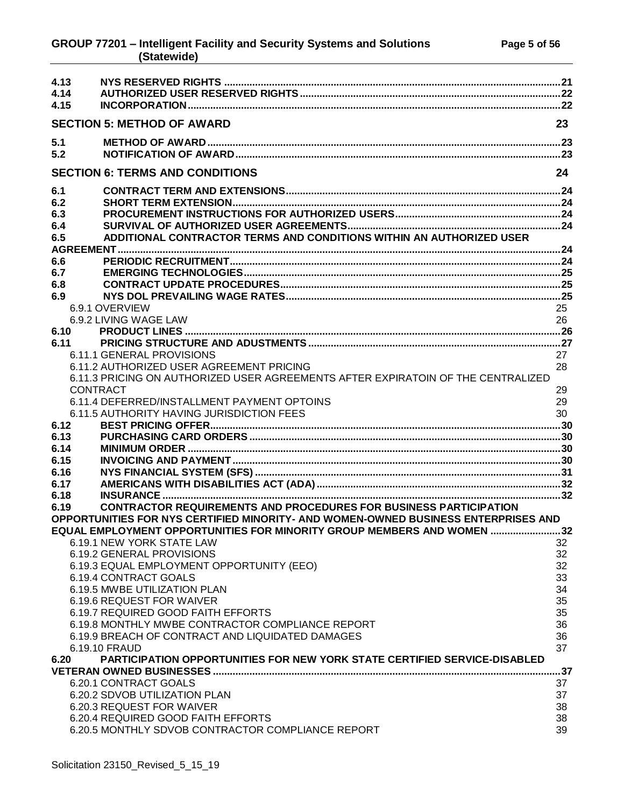## **GROUP 77201 – Intelligent Facility and Security Systems and Solutions Page 5 of 56 (Statewide)**

| 4.13            |                                                                                    |    |
|-----------------|------------------------------------------------------------------------------------|----|
| 4.14            |                                                                                    |    |
| 4.15            |                                                                                    |    |
|                 | <b>SECTION 5: METHOD OF AWARD</b>                                                  | 23 |
|                 |                                                                                    |    |
| 5.1             |                                                                                    |    |
| 5.2             |                                                                                    |    |
|                 | <b>SECTION 6: TERMS AND CONDITIONS</b>                                             | 24 |
| 6.1             |                                                                                    |    |
| 6.2             |                                                                                    |    |
| 6.3             |                                                                                    |    |
| 6.4             |                                                                                    |    |
| 6.5             | ADDITIONAL CONTRACTOR TERMS AND CONDITIONS WITHIN AN AUTHORIZED USER               |    |
|                 |                                                                                    |    |
| 6.6             |                                                                                    |    |
| 6.7             |                                                                                    |    |
| 6.8             |                                                                                    |    |
| 6.9             |                                                                                    |    |
|                 | 6.9.1 OVERVIEW                                                                     | 25 |
|                 | 6.9.2 LIVING WAGE LAW                                                              | 26 |
| 6.10            |                                                                                    |    |
| 6.11            |                                                                                    |    |
|                 | 6.11.1 GENERAL PROVISIONS                                                          | 27 |
|                 | 6.11.2 AUTHORIZED USER AGREEMENT PRICING                                           | 28 |
|                 | 6.11.3 PRICING ON AUTHORIZED USER AGREEMENTS AFTER EXPIRATOIN OF THE CENTRALIZED   |    |
| <b>CONTRACT</b> |                                                                                    | 29 |
|                 | 6.11.4 DEFERRED/INSTALLMENT PAYMENT OPTOINS                                        | 29 |
|                 | 6.11.5 AUTHORITY HAVING JURISDICTION FEES                                          | 30 |
| 6.12            |                                                                                    |    |
| 6.13            |                                                                                    |    |
| 6.14            |                                                                                    |    |
| 6.15<br>6.16    |                                                                                    |    |
| 6.17            |                                                                                    |    |
| 6.18            |                                                                                    |    |
| 6.19            | <b>CONTRACTOR REQUIREMENTS AND PROCEDURES FOR BUSINESS PARTICIPATION</b>           |    |
|                 | OPPORTUNITIES FOR NYS CERTIFIED MINORITY- AND WOMEN-OWNED BUSINESS ENTERPRISES AND |    |
|                 | EQUAL EMPLOYMENT OPPORTUNITIES FOR MINORITY GROUP MEMBERS AND WOMEN 32             |    |
|                 | 6.19.1 NEW YORK STATE LAW                                                          | 32 |
|                 | 6.19.2 GENERAL PROVISIONS                                                          | 32 |
|                 | 6.19.3 EQUAL EMPLOYMENT OPPORTUNITY (EEO)                                          | 32 |
|                 | 6.19.4 CONTRACT GOALS                                                              | 33 |
|                 | 6.19.5 MWBE UTILIZATION PLAN                                                       | 34 |
|                 | 6.19.6 REQUEST FOR WAIVER                                                          | 35 |
|                 | 6.19.7 REQUIRED GOOD FAITH EFFORTS                                                 | 35 |
|                 | 6.19.8 MONTHLY MWBE CONTRACTOR COMPLIANCE REPORT                                   | 36 |
|                 | 6.19.9 BREACH OF CONTRACT AND LIQUIDATED DAMAGES                                   | 36 |
|                 | 6.19.10 FRAUD                                                                      | 37 |
| 6.20            | <b>PARTICIPATION OPPORTUNITIES FOR NEW YORK STATE CERTIFIED SERVICE-DISABLED</b>   |    |
|                 |                                                                                    |    |
|                 | 6.20.1 CONTRACT GOALS                                                              | 37 |
|                 | 6.20.2 SDVOB UTILIZATION PLAN                                                      | 37 |
|                 | 6.20.3 REQUEST FOR WAIVER                                                          | 38 |
|                 | 6.20.4 REQUIRED GOOD FAITH EFFORTS                                                 | 38 |
|                 | 6.20.5 MONTHLY SDVOB CONTRACTOR COMPLIANCE REPORT                                  | 39 |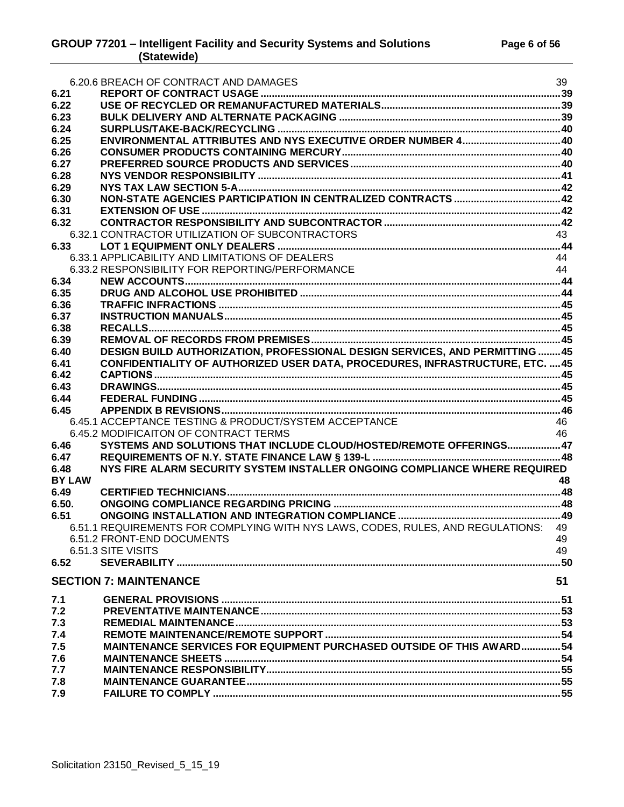|               | 6.20.6 BREACH OF CONTRACT AND DAMAGES                                                | 39 |
|---------------|--------------------------------------------------------------------------------------|----|
| 6.21          |                                                                                      |    |
| 6.22          |                                                                                      |    |
| 6.23          |                                                                                      |    |
| 6.24          |                                                                                      |    |
| 6.25          |                                                                                      |    |
| 6.26          |                                                                                      |    |
| 6.27          |                                                                                      |    |
| 6.28          |                                                                                      |    |
| 6.29          |                                                                                      |    |
| 6.30          |                                                                                      |    |
| 6.31          |                                                                                      |    |
| 6.32          |                                                                                      |    |
|               | 6.32.1 CONTRACTOR UTILIZATION OF SUBCONTRACTORS                                      | 43 |
| 6.33          |                                                                                      |    |
|               | 6.33.1 APPLICABILITY AND LIMITATIONS OF DEALERS                                      | 44 |
|               | 6.33.2 RESPONSIBILITY FOR REPORTING/PERFORMANCE                                      | 44 |
| 6.34          |                                                                                      |    |
| 6.35          |                                                                                      |    |
| 6.36          |                                                                                      |    |
| 6.37          |                                                                                      |    |
| 6.38          |                                                                                      |    |
| 6.39          |                                                                                      |    |
| 6.40          | DESIGN BUILD AUTHORIZATION, PROFESSIONAL DESIGN SERVICES, AND PERMITTING 45          |    |
| 6.41          | <b>CONFIDENTIALITY OF AUTHORIZED USER DATA, PROCEDURES, INFRASTRUCTURE, ETC.  45</b> |    |
|               |                                                                                      |    |
| 6.42          |                                                                                      |    |
| 6.43          |                                                                                      |    |
| 6.44          |                                                                                      |    |
| 6.45          |                                                                                      |    |
|               | 6.45.1 ACCEPTANCE TESTING & PRODUCT/SYSTEM ACCEPTANCE                                | 46 |
|               | 6.45.2 MODIFICAITON OF CONTRACT TERMS                                                | 46 |
| 6.46          | SYSTEMS AND SOLUTIONS THAT INCLUDE CLOUD/HOSTED/REMOTE OFFERINGS47                   |    |
| 6.47          |                                                                                      |    |
| 6.48          | NYS FIRE ALARM SECURITY SYSTEM INSTALLER ONGOING COMPLIANCE WHERE REQUIRED           |    |
| <b>BY LAW</b> |                                                                                      | 48 |
| 6.49          |                                                                                      |    |
| 6.50.         |                                                                                      |    |
| 6.51          |                                                                                      |    |
|               | 6.51.1 REQUIREMENTS FOR COMPLYING WITH NYS LAWS, CODES, RULES, AND REGULATIONS: 49   |    |
|               | 6.51.2 FRONT-END DOCUMENTS                                                           | 49 |
|               | 6.51.3 SITE VISITS                                                                   | 49 |
| 6.52          |                                                                                      |    |
|               | <b>SECTION 7: MAINTENANCE</b>                                                        | 51 |
| 7.1           |                                                                                      |    |
| 7.2           |                                                                                      |    |
| 7.3           |                                                                                      |    |
| 7.4           |                                                                                      |    |
| 7.5           | <b>MAINTENANCE SERVICES FOR EQUIPMENT PURCHASED OUTSIDE OF THIS AWARD54</b>          |    |
| 7.6           |                                                                                      |    |
| 7.7           |                                                                                      |    |
| 7.8           |                                                                                      |    |
| 7.9           |                                                                                      |    |
|               |                                                                                      |    |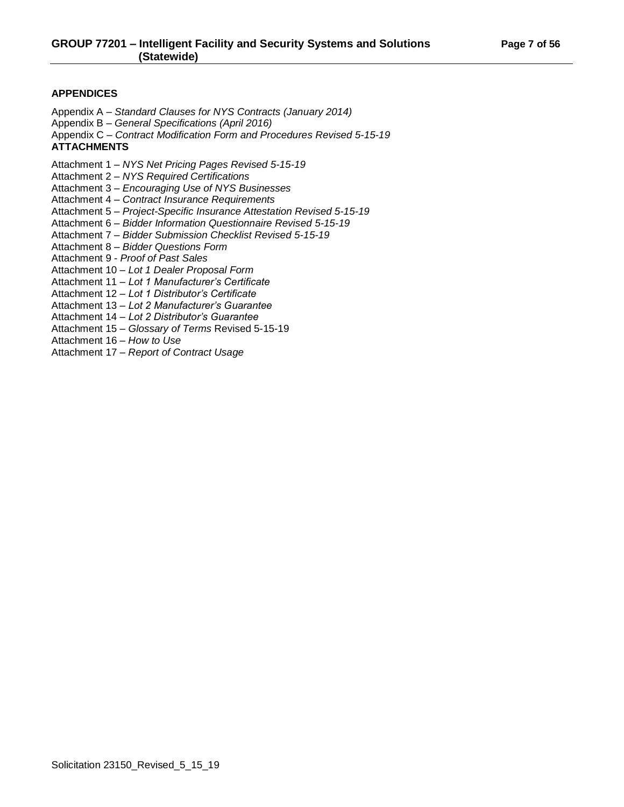## **APPENDICES**

Appendix A – *Standard Clauses for NYS Contracts (January 2014)*

- Appendix B *General Specifications (April 2016)*
- Appendix C *Contract Modification Form and Procedures Revised 5-15-19*

## **ATTACHMENTS**

Attachment 1 – *NYS Net Pricing Pages Revised 5-15-19*

- Attachment 2 *NYS Required Certifications*
- Attachment 3 *Encouraging Use of NYS Businesses*
- Attachment 4 *Contract Insurance Requirements*
- Attachment 5 *Project-Specific Insurance Attestation Revised 5-15-19*
- Attachment 6 *Bidder Information Questionnaire Revised 5-15-19*
- Attachment 7 *Bidder Submission Checklist Revised 5-15-19*
- Attachment 8 *Bidder Questions Form*
- Attachment 9 *Proof of Past Sales*
- Attachment 10 *Lot 1 Dealer Proposal Form*
- Attachment 11 *Lot 1 Manufacturer's Certificate*
- Attachment 12 *Lot 1 Distributor's Certificate*
- Attachment 13 *Lot 2 Manufacturer's Guarantee*
- Attachment 14 *Lot 2 Distributor's Guarantee*
- Attachment 15 *Glossary of Terms* Revised 5-15-19
- Attachment 16 *How to Use*
- Attachment 17 *Report of Contract Usage*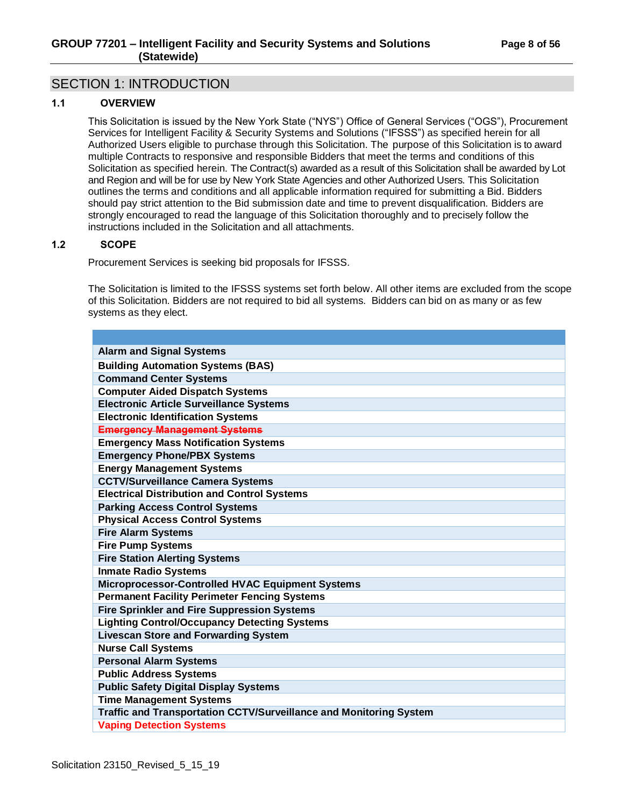# <span id="page-7-0"></span>SECTION 1: INTRODUCTION

## <span id="page-7-1"></span>**1.1 OVERVIEW**

This Solicitation is issued by the New York State ("NYS") Office of General Services ("OGS"), Procurement Services for Intelligent Facility & Security Systems and Solutions ("IFSSS") as specified herein for all Authorized Users eligible to purchase through this Solicitation. The purpose of this Solicitation is to award multiple Contracts to responsive and responsible Bidders that meet the terms and conditions of this Solicitation as specified herein. The Contract(s) awarded as a result of this Solicitation shall be awarded by Lot and Region and will be for use by New York State Agencies and other Authorized Users. This Solicitation outlines the terms and conditions and all applicable information required for submitting a Bid. Bidders should pay strict attention to the Bid submission date and time to prevent disqualification. Bidders are strongly encouraged to read the language of this Solicitation thoroughly and to precisely follow the instructions included in the Solicitation and all attachments.

## <span id="page-7-2"></span>**1.2 SCOPE**

Procurement Services is seeking bid proposals for IFSSS.

The Solicitation is limited to the IFSSS systems set forth below. All other items are excluded from the scope of this Solicitation. Bidders are not required to bid all systems. Bidders can bid on as many or as few systems as they elect.

| <b>Alarm and Signal Systems</b>                                    |
|--------------------------------------------------------------------|
| <b>Building Automation Systems (BAS)</b>                           |
| <b>Command Center Systems</b>                                      |
| <b>Computer Aided Dispatch Systems</b>                             |
| <b>Electronic Article Surveillance Systems</b>                     |
| <b>Electronic Identification Systems</b>                           |
| <b>Emergency Management Systems</b>                                |
| <b>Emergency Mass Notification Systems</b>                         |
| <b>Emergency Phone/PBX Systems</b>                                 |
| <b>Energy Management Systems</b>                                   |
| <b>CCTV/Surveillance Camera Systems</b>                            |
| <b>Electrical Distribution and Control Systems</b>                 |
| <b>Parking Access Control Systems</b>                              |
| <b>Physical Access Control Systems</b>                             |
| <b>Fire Alarm Systems</b>                                          |
| <b>Fire Pump Systems</b>                                           |
| <b>Fire Station Alerting Systems</b>                               |
| <b>Inmate Radio Systems</b>                                        |
| Microprocessor-Controlled HVAC Equipment Systems                   |
| <b>Permanent Facility Perimeter Fencing Systems</b>                |
| <b>Fire Sprinkler and Fire Suppression Systems</b>                 |
| <b>Lighting Control/Occupancy Detecting Systems</b>                |
| <b>Livescan Store and Forwarding System</b>                        |
| <b>Nurse Call Systems</b>                                          |
| <b>Personal Alarm Systems</b>                                      |
| <b>Public Address Systems</b>                                      |
| <b>Public Safety Digital Display Systems</b>                       |
| <b>Time Management Systems</b>                                     |
| Traffic and Transportation CCTV/Surveillance and Monitoring System |
| <b>Vaping Detection Systems</b>                                    |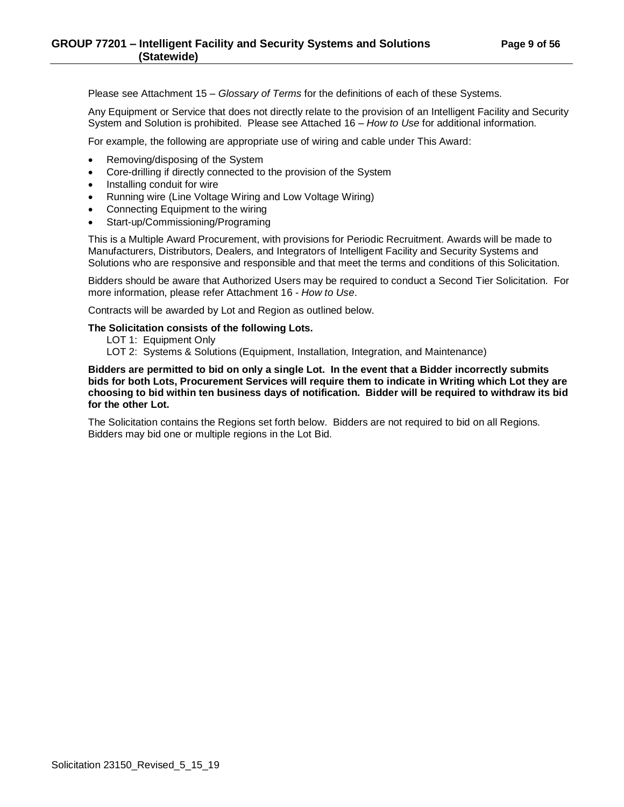Please see Attachment 15 – *Glossary of Terms* for the definitions of each of these Systems.

Any Equipment or Service that does not directly relate to the provision of an Intelligent Facility and Security System and Solution is prohibited. Please see Attached 16 – *How to Use* for additional information.

For example, the following are appropriate use of wiring and cable under This Award:

- Removing/disposing of the System
- Core-drilling if directly connected to the provision of the System
- Installing conduit for wire
- Running wire (Line Voltage Wiring and Low Voltage Wiring)
- Connecting Equipment to the wiring
- Start-up/Commissioning/Programing

This is a Multiple Award Procurement, with provisions for Periodic Recruitment. Awards will be made to Manufacturers, Distributors, Dealers, and Integrators of Intelligent Facility and Security Systems and Solutions who are responsive and responsible and that meet the terms and conditions of this Solicitation.

Bidders should be aware that Authorized Users may be required to conduct a Second Tier Solicitation. For more information, please refer Attachment 16 - *How to Use*.

Contracts will be awarded by Lot and Region as outlined below.

#### **The Solicitation consists of the following Lots.**

- LOT 1: Equipment Only
- LOT 2: Systems & Solutions (Equipment, Installation, Integration, and Maintenance)

**Bidders are permitted to bid on only a single Lot. In the event that a Bidder incorrectly submits bids for both Lots, Procurement Services will require them to indicate in Writing which Lot they are choosing to bid within ten business days of notification. Bidder will be required to withdraw its bid for the other Lot.** 

The Solicitation contains the Regions set forth below. Bidders are not required to bid on all Regions. Bidders may bid one or multiple regions in the Lot Bid.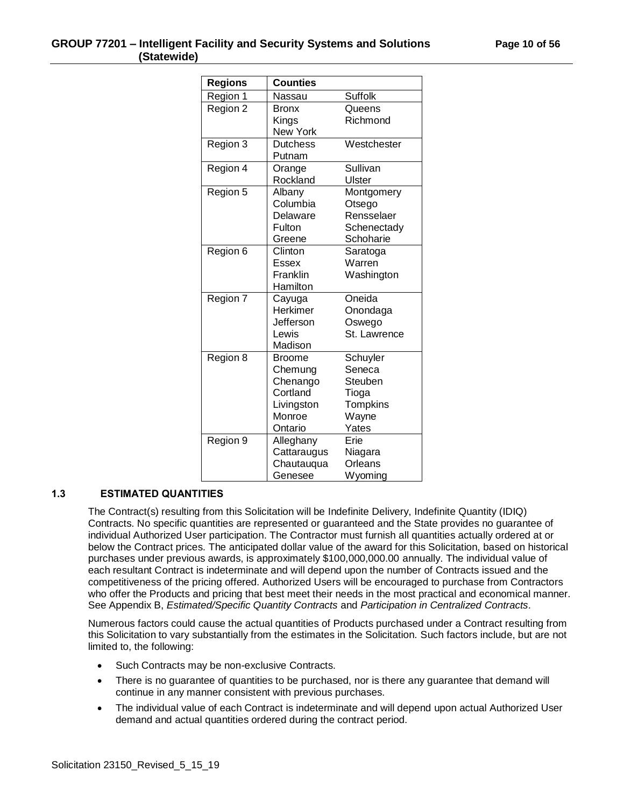| <b>Regions</b> | <b>Counties</b> |                |  |
|----------------|-----------------|----------------|--|
| Region 1       | Nassau          | <b>Suffolk</b> |  |
| Region 2       | <b>Bronx</b>    | Queens         |  |
|                | Kings           | Richmond       |  |
|                | New York        |                |  |
|                | Dutchess        | Westchester    |  |
| Region 3       | Putnam          |                |  |
| Region 4       | Orange          | Sullivan       |  |
|                | Rockland        | Ulster         |  |
|                |                 |                |  |
| Region 5       | Albany          | Montgomery     |  |
|                | Columbia        | Otsego         |  |
|                | Delaware        | Rensselaer     |  |
|                | Fulton          | Schenectady    |  |
|                | Greene          | Schoharie      |  |
| Region 6       | Clinton         | Saratoga       |  |
|                | Essex           | Warren         |  |
|                | Franklin        | Washington     |  |
|                | Hamilton        |                |  |
| Region 7       | Cayuga          | Oneida         |  |
|                | Herkimer        | Onondaga       |  |
|                | Jefferson       | Oswego         |  |
|                | Lewis           | St. Lawrence   |  |
|                | Madison         |                |  |
| Region 8       | <b>Broome</b>   | Schuyler       |  |
|                | Chemung         | Seneca         |  |
|                | Chenango        | Steuben        |  |
|                | Cortland        | Tioga          |  |
|                | Livingston      | Tompkins       |  |
|                | Monroe          | Wayne          |  |
|                | Ontario         | Yates          |  |
| Region 9       | Alleghany       | Erie           |  |
|                | Cattaraugus     | Niagara        |  |
|                | Chautauqua      | Orleans        |  |
|                | Genesee         | Wyoming        |  |

## <span id="page-9-0"></span>**1.3 ESTIMATED QUANTITIES**

The Contract(s) resulting from this Solicitation will be Indefinite Delivery, Indefinite Quantity (IDIQ) Contracts. No specific quantities are represented or guaranteed and the State provides no guarantee of individual Authorized User participation. The Contractor must furnish all quantities actually ordered at or below the Contract prices. The anticipated dollar value of the award for this Solicitation, based on historical purchases under previous awards, is approximately \$100,000,000.00 annually. The individual value of each resultant Contract is indeterminate and will depend upon the number of Contracts issued and the competitiveness of the pricing offered. Authorized Users will be encouraged to purchase from Contractors who offer the Products and pricing that best meet their needs in the most practical and economical manner. See Appendix B, *Estimated/Specific Quantity Contracts* and *Participation in Centralized Contracts*.

Numerous factors could cause the actual quantities of Products purchased under a Contract resulting from this Solicitation to vary substantially from the estimates in the Solicitation. Such factors include, but are not limited to, the following:

- Such Contracts may be non-exclusive Contracts.
- There is no quarantee of quantities to be purchased, nor is there any quarantee that demand will continue in any manner consistent with previous purchases.
- The individual value of each Contract is indeterminate and will depend upon actual Authorized User demand and actual quantities ordered during the contract period.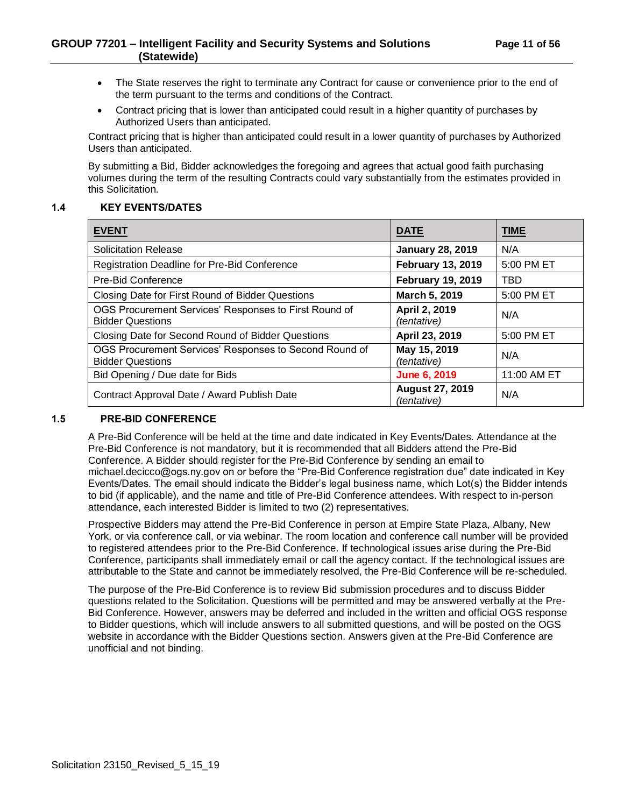- The State reserves the right to terminate any Contract for cause or convenience prior to the end of the term pursuant to the terms and conditions of the Contract.
- Contract pricing that is lower than anticipated could result in a higher quantity of purchases by Authorized Users than anticipated.

Contract pricing that is higher than anticipated could result in a lower quantity of purchases by Authorized Users than anticipated.

By submitting a Bid, Bidder acknowledges the foregoing and agrees that actual good faith purchasing volumes during the term of the resulting Contracts could vary substantially from the estimates provided in this Solicitation.

## <span id="page-10-0"></span>**1.4 KEY EVENTS/DATES**

| <b>EVENT</b>                                                                      | <b>DATE</b>                           | <b>TIME</b> |
|-----------------------------------------------------------------------------------|---------------------------------------|-------------|
| <b>Solicitation Release</b>                                                       | <b>January 28, 2019</b>               | N/A         |
| Registration Deadline for Pre-Bid Conference                                      | <b>February 13, 2019</b>              | 5:00 PM ET  |
| <b>Pre-Bid Conference</b>                                                         | <b>February 19, 2019</b>              | TBD         |
| Closing Date for First Round of Bidder Questions                                  | March 5, 2019                         | 5:00 PM ET  |
| OGS Procurement Services' Responses to First Round of<br><b>Bidder Questions</b>  | April 2, 2019<br><i>(tentative)</i>   | N/A         |
| Closing Date for Second Round of Bidder Questions                                 | April 23, 2019                        | 5:00 PM ET  |
| OGS Procurement Services' Responses to Second Round of<br><b>Bidder Questions</b> | May 15, 2019<br>(tentative)           | N/A         |
| Bid Opening / Due date for Bids                                                   | <b>June 6, 2019</b>                   | 11:00 AM ET |
| Contract Approval Date / Award Publish Date                                       | <b>August 27, 2019</b><br>(tentative) | N/A         |

#### <span id="page-10-1"></span>**1.5 PRE-BID CONFERENCE**

A Pre-Bid Conference will be held at the time and date indicated in Key Events/Dates. Attendance at the Pre-Bid Conference is not mandatory, but it is recommended that all Bidders attend the Pre-Bid Conference. A Bidder should register for the Pre-Bid Conference by sending an email to michael.decicco@ogs.ny.gov on or before the "Pre-Bid Conference registration due" date indicated in Key Events/Dates. The email should indicate the Bidder's legal business name, which Lot(s) the Bidder intends to bid (if applicable), and the name and title of Pre-Bid Conference attendees. With respect to in-person attendance, each interested Bidder is limited to two (2) representatives.

Prospective Bidders may attend the Pre-Bid Conference in person at Empire State Plaza, Albany, New York, or via conference call, or via webinar. The room location and conference call number will be provided to registered attendees prior to the Pre-Bid Conference. If technological issues arise during the Pre-Bid Conference, participants shall immediately email or call the agency contact. If the technological issues are attributable to the State and cannot be immediately resolved, the Pre-Bid Conference will be re-scheduled.

The purpose of the Pre-Bid Conference is to review Bid submission procedures and to discuss Bidder questions related to the Solicitation. Questions will be permitted and may be answered verbally at the Pre-Bid Conference. However, answers may be deferred and included in the written and official OGS response to Bidder questions, which will include answers to all submitted questions, and will be posted on the OGS website in accordance with the Bidder Questions section. Answers given at the Pre-Bid Conference are unofficial and not binding.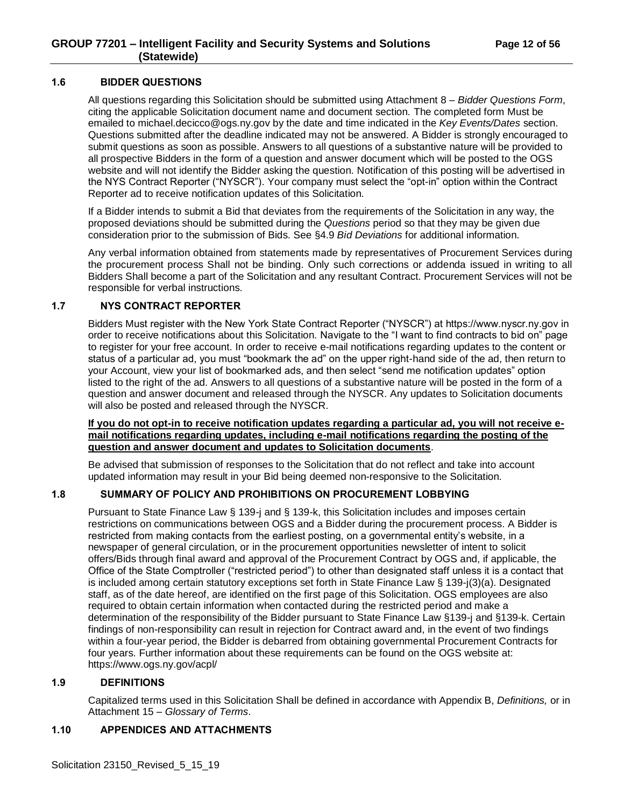## <span id="page-11-0"></span>**1.6 BIDDER QUESTIONS**

All questions regarding this Solicitation should be submitted using Attachment 8 – *Bidder Questions Form*, citing the applicable Solicitation document name and document section. The completed form Must be emailed to michael.decicco@ogs.ny.gov by the date and time indicated in the *Key Events/Dates* section. Questions submitted after the deadline indicated may not be answered. A Bidder is strongly encouraged to submit questions as soon as possible. Answers to all questions of a substantive nature will be provided to all prospective Bidders in the form of a question and answer document which will be posted to the OGS website and will not identify the Bidder asking the question. Notification of this posting will be advertised in the NYS Contract Reporter ("NYSCR"). Your company must select the "opt-in" option within the Contract Reporter ad to receive notification updates of this Solicitation.

If a Bidder intends to submit a Bid that deviates from the requirements of the Solicitation in any way, the proposed deviations should be submitted during the *Questions* period so that they may be given due consideration prior to the submission of Bids. See §4.9 *Bid Deviations* for additional information.

Any verbal information obtained from statements made by representatives of Procurement Services during the procurement process Shall not be binding. Only such corrections or addenda issued in writing to all Bidders Shall become a part of the Solicitation and any resultant Contract. Procurement Services will not be responsible for verbal instructions.

## <span id="page-11-1"></span>**1.7 NYS CONTRACT REPORTER**

Bidders Must register with the New York State Contract Reporter ("NYSCR") at https://www.nyscr.ny.gov in order to receive notifications about this Solicitation. Navigate to the "I want to find contracts to bid on" page to register for your free account. In order to receive e-mail notifications regarding updates to the content or status of a particular ad, you must "bookmark the ad" on the upper right-hand side of the ad, then return to your Account, view your list of bookmarked ads, and then select "send me notification updates" option listed to the right of the ad. Answers to all questions of a substantive nature will be posted in the form of a question and answer document and released through the NYSCR. Any updates to Solicitation documents will also be posted and released through the NYSCR.

#### **If you do not opt-in to receive notification updates regarding a particular ad, you will not receive email notifications regarding updates, including e-mail notifications regarding the posting of the question and answer document and updates to Solicitation documents**.

Be advised that submission of responses to the Solicitation that do not reflect and take into account updated information may result in your Bid being deemed non-responsive to the Solicitation.

#### <span id="page-11-2"></span>**1.8 SUMMARY OF POLICY AND PROHIBITIONS ON PROCUREMENT LOBBYING**

Pursuant to State Finance Law § 139-j and § 139-k, this Solicitation includes and imposes certain restrictions on communications between OGS and a Bidder during the procurement process. A Bidder is restricted from making contacts from the earliest posting, on a governmental entity's website, in a newspaper of general circulation, or in the procurement opportunities newsletter of intent to solicit offers/Bids through final award and approval of the Procurement Contract by OGS and, if applicable, the Office of the State Comptroller ("restricted period") to other than designated staff unless it is a contact that is included among certain statutory exceptions set forth in State Finance Law § 139-j(3)(a). Designated staff, as of the date hereof, are identified on the first page of this Solicitation. OGS employees are also required to obtain certain information when contacted during the restricted period and make a determination of the responsibility of the Bidder pursuant to State Finance Law §139-j and §139-k. Certain findings of non-responsibility can result in rejection for Contract award and, in the event of two findings within a four-year period, the Bidder is debarred from obtaining governmental Procurement Contracts for four years. Further information about these requirements can be found on the OGS website at: https://www.ogs.ny.gov/acpl/

#### <span id="page-11-3"></span>**1.9 DEFINITIONS**

Capitalized terms used in this Solicitation Shall be defined in accordance with Appendix B, *Definitions,* or in Attachment 15 – *Glossary of Terms*.

## <span id="page-11-4"></span>**1.10 APPENDICES AND ATTACHMENTS**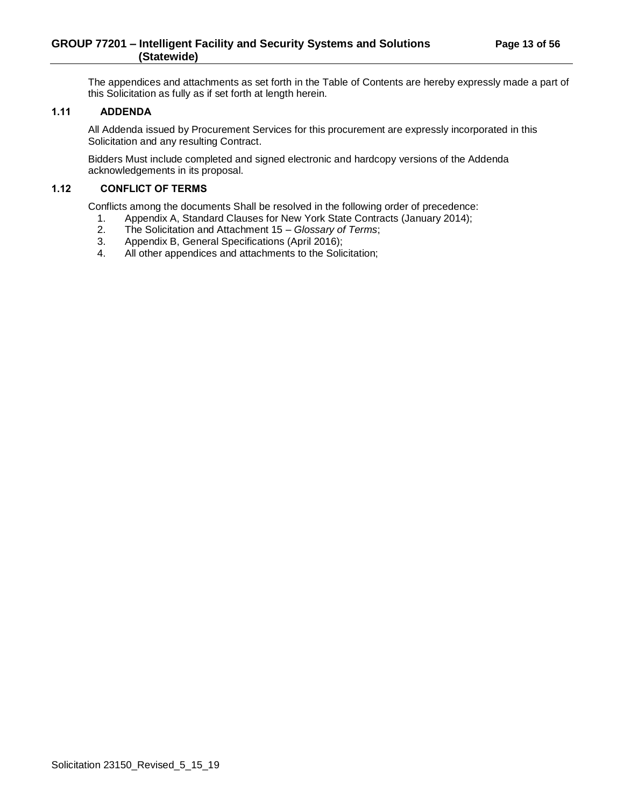The appendices and attachments as set forth in the Table of Contents are hereby expressly made a part of this Solicitation as fully as if set forth at length herein.

## <span id="page-12-0"></span>**1.11 ADDENDA**

All Addenda issued by Procurement Services for this procurement are expressly incorporated in this Solicitation and any resulting Contract.

Bidders Must include completed and signed electronic and hardcopy versions of the Addenda acknowledgements in its proposal.

## <span id="page-12-1"></span>**1.12 CONFLICT OF TERMS**

Conflicts among the documents Shall be resolved in the following order of precedence:

- 1. Appendix A, Standard Clauses for New York State Contracts (January 2014);<br>2. The Solicitation and Attachment 15 Glossary of Terms;
- 2. The Solicitation and Attachment 15 *Glossary of Terms*;
- Appendix B, General Specifications (April 2016);
- 4. All other appendices and attachments to the Solicitation;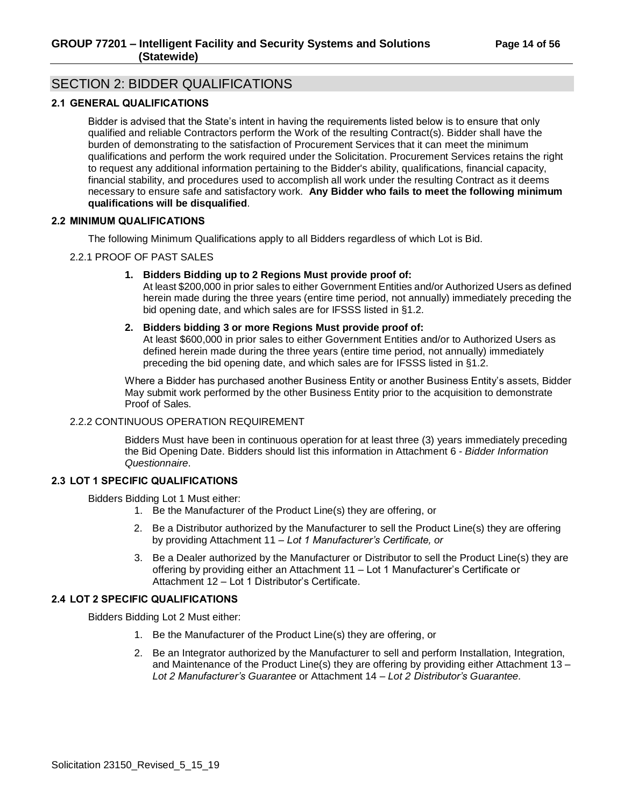# <span id="page-13-0"></span>SECTION 2: BIDDER QUALIFICATIONS

## <span id="page-13-1"></span>**2.1 GENERAL QUALIFICATIONS**

Bidder is advised that the State's intent in having the requirements listed below is to ensure that only qualified and reliable Contractors perform the Work of the resulting Contract(s). Bidder shall have the burden of demonstrating to the satisfaction of Procurement Services that it can meet the minimum qualifications and perform the work required under the Solicitation. Procurement Services retains the right to request any additional information pertaining to the Bidder's ability, qualifications, financial capacity, financial stability, and procedures used to accomplish all work under the resulting Contract as it deems necessary to ensure safe and satisfactory work. **Any Bidder who fails to meet the following minimum qualifications will be disqualified**.

#### <span id="page-13-2"></span>**2.2 MINIMUM QUALIFICATIONS**

The following Minimum Qualifications apply to all Bidders regardless of which Lot is Bid.

## <span id="page-13-3"></span>2.2.1 PROOF OF PAST SALES

**1. Bidders Bidding up to 2 Regions Must provide proof of:**

At least \$200,000 in prior sales to either Government Entities and/or Authorized Users as defined herein made during the three years (entire time period, not annually) immediately preceding the bid opening date, and which sales are for IFSSS listed in §1.2.

## **2. Bidders bidding 3 or more Regions Must provide proof of:**

At least \$600,000 in prior sales to either Government Entities and/or to Authorized Users as defined herein made during the three years (entire time period, not annually) immediately preceding the bid opening date, and which sales are for IFSSS listed in §1.2.

Where a Bidder has purchased another Business Entity or another Business Entity's assets, Bidder May submit work performed by the other Business Entity prior to the acquisition to demonstrate Proof of Sales.

#### <span id="page-13-4"></span>2.2.2 CONTINUOUS OPERATION REQUIREMENT

Bidders Must have been in continuous operation for at least three (3) years immediately preceding the Bid Opening Date. Bidders should list this information in Attachment 6 - *Bidder Information Questionnaire*.

#### <span id="page-13-5"></span>**2.3 LOT 1 SPECIFIC QUALIFICATIONS**

Bidders Bidding Lot 1 Must either:

- 1. Be the Manufacturer of the Product Line(s) they are offering, or
- 2. Be a Distributor authorized by the Manufacturer to sell the Product Line(s) they are offering by providing Attachment 11 – *Lot 1 Manufacturer's Certificate, or*
- 3. Be a Dealer authorized by the Manufacturer or Distributor to sell the Product Line(s) they are offering by providing either an Attachment 11 – Lot 1 Manufacturer's Certificate or Attachment 12 – Lot 1 Distributor's Certificate.

## <span id="page-13-6"></span>**2.4 LOT 2 SPECIFIC QUALIFICATIONS**

Bidders Bidding Lot 2 Must either:

- 1. Be the Manufacturer of the Product Line(s) they are offering, or
- 2. Be an Integrator authorized by the Manufacturer to sell and perform Installation, Integration, and Maintenance of the Product Line(s) they are offering by providing either Attachment 13 – *Lot 2 Manufacturer's Guarantee* or Attachment 14 – *Lot 2 Distributor's Guarantee.*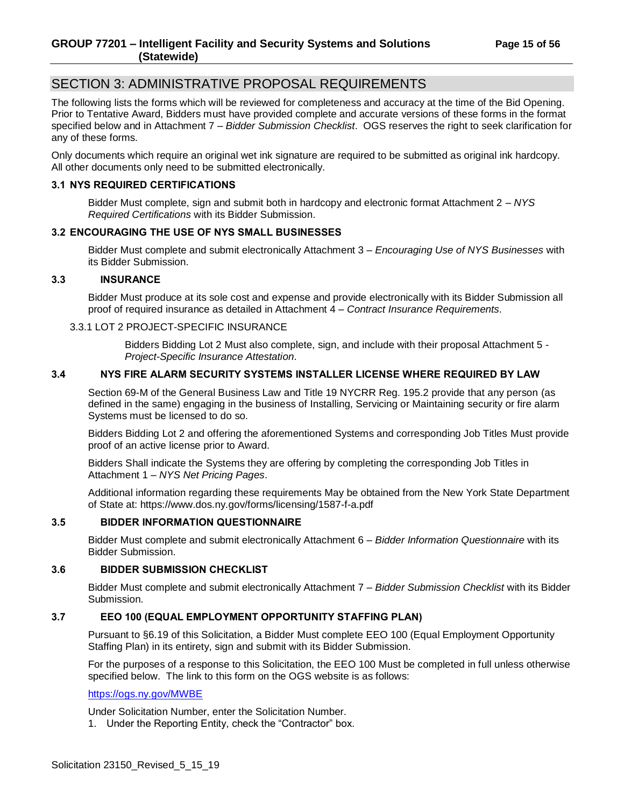# <span id="page-14-0"></span>SECTION 3: ADMINISTRATIVE PROPOSAL REQUIREMENTS

The following lists the forms which will be reviewed for completeness and accuracy at the time of the Bid Opening. Prior to Tentative Award, Bidders must have provided complete and accurate versions of these forms in the format specified below and in Attachment 7 – *Bidder Submission Checklist*. OGS reserves the right to seek clarification for any of these forms.

Only documents which require an original wet ink signature are required to be submitted as original ink hardcopy. All other documents only need to be submitted electronically.

## <span id="page-14-1"></span>**3.1 NYS REQUIRED CERTIFICATIONS**

Bidder Must complete, sign and submit both in hardcopy and electronic format Attachment 2 – *NYS Required Certifications* with its Bidder Submission.

## <span id="page-14-2"></span>**3.2 ENCOURAGING THE USE OF NYS SMALL BUSINESSES**

Bidder Must complete and submit electronically Attachment 3 – *Encouraging Use of NYS Businesses* with its Bidder Submission.

#### <span id="page-14-3"></span>**3.3 INSURANCE**

Bidder Must produce at its sole cost and expense and provide electronically with its Bidder Submission all proof of required insurance as detailed in Attachment 4 – *Contract Insurance Requirements*.

#### <span id="page-14-4"></span>3.3.1 LOT 2 PROJECT-SPECIFIC INSURANCE

Bidders Bidding Lot 2 Must also complete, sign, and include with their proposal Attachment 5 - *Project-Specific Insurance Attestation*.

## <span id="page-14-5"></span>**3.4 NYS FIRE ALARM SECURITY SYSTEMS INSTALLER LICENSE WHERE REQUIRED BY LAW**

Section 69-M of the General Business Law and Title 19 NYCRR Reg. 195.2 provide that any person (as defined in the same) engaging in the business of Installing, Servicing or Maintaining security or fire alarm Systems must be licensed to do so.

Bidders Bidding Lot 2 and offering the aforementioned Systems and corresponding Job Titles Must provide proof of an active license prior to Award.

Bidders Shall indicate the Systems they are offering by completing the corresponding Job Titles in Attachment 1 – *NYS Net Pricing Pages*.

Additional information regarding these requirements May be obtained from the New York State Department of State at: https://www.dos.ny.gov/forms/licensing/1587-f-a.pdf

#### <span id="page-14-6"></span>**3.5 BIDDER INFORMATION QUESTIONNAIRE**

Bidder Must complete and submit electronically Attachment 6 – *Bidder Information Questionnaire* with its Bidder Submission.

#### <span id="page-14-7"></span>**3.6 BIDDER SUBMISSION CHECKLIST**

Bidder Must complete and submit electronically Attachment 7 – *Bidder Submission Checklist* with its Bidder Submission.

#### <span id="page-14-8"></span>**3.7 EEO 100 (EQUAL EMPLOYMENT OPPORTUNITY STAFFING PLAN)**

Pursuant to §6.19 of this Solicitation, a Bidder Must complete EEO 100 (Equal Employment Opportunity Staffing Plan) in its entirety, sign and submit with its Bidder Submission.

For the purposes of a response to this Solicitation, the EEO 100 Must be completed in full unless otherwise specified below. The link to this form on the OGS website is as follows:

#### <https://ogs.ny.gov/MWBE>

Under Solicitation Number, enter the Solicitation Number.

1. Under the Reporting Entity, check the "Contractor" box.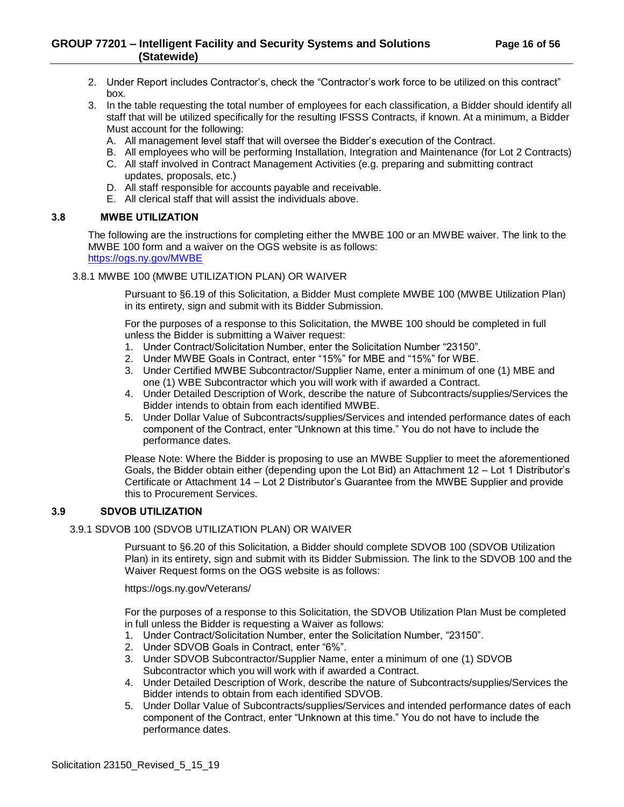- 2. Under Report includes Contractor's, check the "Contractor's work force to be utilized on this contract" box.
- 3. In the table requesting the total number of employees for each classification, a Bidder should identify all staff that will be utilized specifically for the resulting IFSSS Contracts, if known. At a minimum, a Bidder Must account for the following:
	- A. All management level staff that will oversee the Bidder's execution of the Contract.
	- B. All employees who will be performing Installation, Integration and Maintenance (for Lot 2 Contracts)
	- C. All staff involved in Contract Management Activities (e.g. preparing and submitting contract updates, proposals, etc.)
	- D. All staff responsible for accounts payable and receivable.
	- E. All clerical staff that will assist the individuals above.

## <span id="page-15-0"></span>**3.8 MWBE UTILIZATION**

The following are the instructions for completing either the MWBE 100 or an MWBE waiver. The link to the MWBE 100 form and a waiver on the OGS website is as follows: <https://ogs.ny.gov/MWBE>

## <span id="page-15-1"></span>3.8.1 MWBE 100 (MWBE UTILIZATION PLAN) OR WAIVER

Pursuant to §6.19 of this Solicitation, a Bidder Must complete MWBE 100 (MWBE Utilization Plan) in its entirety, sign and submit with its Bidder Submission.

For the purposes of a response to this Solicitation, the MWBE 100 should be completed in full unless the Bidder is submitting a Waiver request:

- 1. Under Contract/Solicitation Number, enter the Solicitation Number "23150".
- 2. Under MWBE Goals in Contract, enter "15%" for MBE and "15%" for WBE.
- 3. Under Certified MWBE Subcontractor/Supplier Name, enter a minimum of one (1) MBE and one (1) WBE Subcontractor which you will work with if awarded a Contract.
- 4. Under Detailed Description of Work, describe the nature of Subcontracts/supplies/Services the Bidder intends to obtain from each identified MWBE.
- 5. Under Dollar Value of Subcontracts/supplies/Services and intended performance dates of each component of the Contract, enter "Unknown at this time." You do not have to include the performance dates.

Please Note: Where the Bidder is proposing to use an MWBE Supplier to meet the aforementioned Goals, the Bidder obtain either (depending upon the Lot Bid) an Attachment 12 – Lot 1 Distributor's Certificate or Attachment 14 – Lot 2 Distributor's Guarantee from the MWBE Supplier and provide this to Procurement Services.

## <span id="page-15-2"></span>**3.9 SDVOB UTILIZATION**

#### <span id="page-15-3"></span>3.9.1 SDVOB 100 (SDVOB UTILIZATION PLAN) OR WAIVER

Pursuant to §6.20 of this Solicitation, a Bidder should complete SDVOB 100 (SDVOB Utilization Plan) in its entirety, sign and submit with its Bidder Submission. The link to the SDVOB 100 and the Waiver Request forms on the OGS website is as follows:

https://ogs.ny.gov/Veterans/

For the purposes of a response to this Solicitation, the SDVOB Utilization Plan Must be completed in full unless the Bidder is requesting a Waiver as follows:

- 1. Under Contract/Solicitation Number, enter the Solicitation Number, "23150".
- 2. Under SDVOB Goals in Contract, enter "6%".
- 3. Under SDVOB Subcontractor/Supplier Name, enter a minimum of one (1) SDVOB Subcontractor which you will work with if awarded a Contract.
- 4. Under Detailed Description of Work, describe the nature of Subcontracts/supplies/Services the Bidder intends to obtain from each identified SDVOB.
- 5. Under Dollar Value of Subcontracts/supplies/Services and intended performance dates of each component of the Contract, enter "Unknown at this time." You do not have to include the performance dates.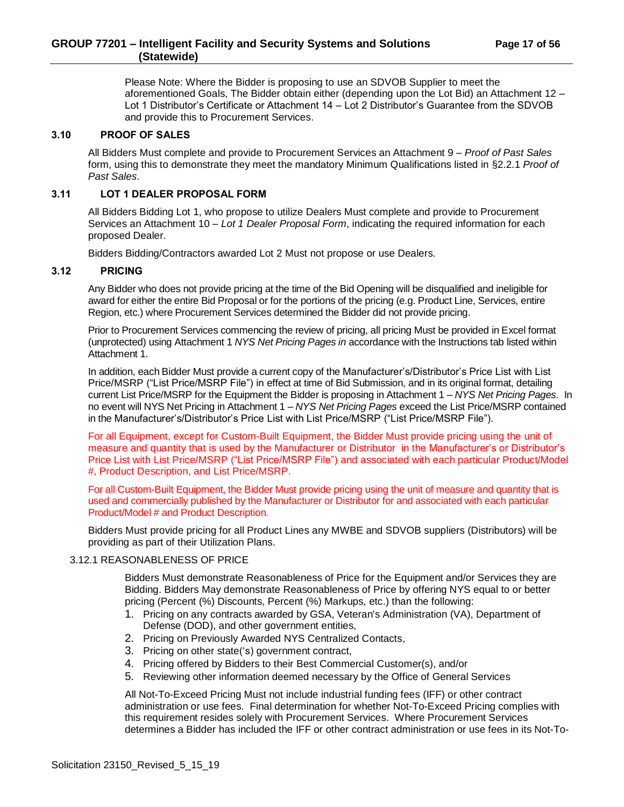## **GROUP 77201 – Intelligent Facility and Security Systems and Solutions Page 17 of 56 (Statewide)**

Please Note: Where the Bidder is proposing to use an SDVOB Supplier to meet the aforementioned Goals, The Bidder obtain either (depending upon the Lot Bid) an Attachment 12 – Lot 1 Distributor's Certificate or Attachment 14 – Lot 2 Distributor's Guarantee from the SDVOB and provide this to Procurement Services.

#### <span id="page-16-0"></span>**3.10 PROOF OF SALES**

All Bidders Must complete and provide to Procurement Services an Attachment 9 – *Proof of Past Sales* form, using this to demonstrate they meet the mandatory Minimum Qualifications listed in §2.2.1 *Proof of Past Sales*.

#### <span id="page-16-1"></span>**3.11 LOT 1 DEALER PROPOSAL FORM**

All Bidders Bidding Lot 1, who propose to utilize Dealers Must complete and provide to Procurement Services an Attachment 10 – *Lot 1 Dealer Proposal Form*, indicating the required information for each proposed Dealer.

Bidders Bidding/Contractors awarded Lot 2 Must not propose or use Dealers.

#### <span id="page-16-2"></span>**3.12 PRICING**

Any Bidder who does not provide pricing at the time of the Bid Opening will be disqualified and ineligible for award for either the entire Bid Proposal or for the portions of the pricing (e.g. Product Line, Services, entire Region, etc.) where Procurement Services determined the Bidder did not provide pricing.

Prior to Procurement Services commencing the review of pricing, all pricing Must be provided in Excel format (unprotected) using Attachment 1 *NYS Net Pricing Pages in* accordance with the Instructions tab listed within Attachment 1.

In addition, each Bidder Must provide a current copy of the Manufacturer's/Distributor's Price List with List Price/MSRP ("List Price/MSRP File") in effect at time of Bid Submission, and in its original format, detailing current List Price/MSRP for the Equipment the Bidder is proposing in Attachment 1 – *NYS Net Pricing Pages*. In no event will NYS Net Pricing in Attachment 1 – *NYS Net Pricing Pages* exceed the List Price/MSRP contained in the Manufacturer's/Distributor's Price List with List Price/MSRP ("List Price/MSRP File").

For all Equipment, except for Custom-Built Equipment, the Bidder Must provide pricing using the unit of measure and quantity that is used by the Manufacturer or Distributor in the Manufacturer's or Distributor's Price List with List Price/MSRP ("List Price/MSRP File") and associated with each particular Product/Model #, Product Description, and List Price/MSRP.

For all Custom-Built Equipment, the Bidder Must provide pricing using the unit of measure and quantity that is used and commercially published by the Manufacturer or Distributor for and associated with each particular Product/Model # and Product Description.

Bidders Must provide pricing for all Product Lines any MWBE and SDVOB suppliers (Distributors) will be providing as part of their Utilization Plans.

## <span id="page-16-3"></span>3.12.1 REASONABLENESS OF PRICE

Bidders Must demonstrate Reasonableness of Price for the Equipment and/or Services they are Bidding. Bidders May demonstrate Reasonableness of Price by offering NYS equal to or better pricing (Percent (%) Discounts, Percent (%) Markups, etc.) than the following:

- 1. Pricing on any contracts awarded by GSA, Veteran's Administration (VA), Department of Defense (DOD), and other government entities,
- 2. Pricing on Previously Awarded NYS Centralized Contacts,
- 3. Pricing on other state('s) government contract,
- 4. Pricing offered by Bidders to their Best Commercial Customer(s), and/or
- 5. Reviewing other information deemed necessary by the Office of General Services

All Not-To-Exceed Pricing Must not include industrial funding fees (IFF) or other contract administration or use fees. Final determination for whether Not-To-Exceed Pricing complies with this requirement resides solely with Procurement Services. Where Procurement Services determines a Bidder has included the IFF or other contract administration or use fees in its Not-To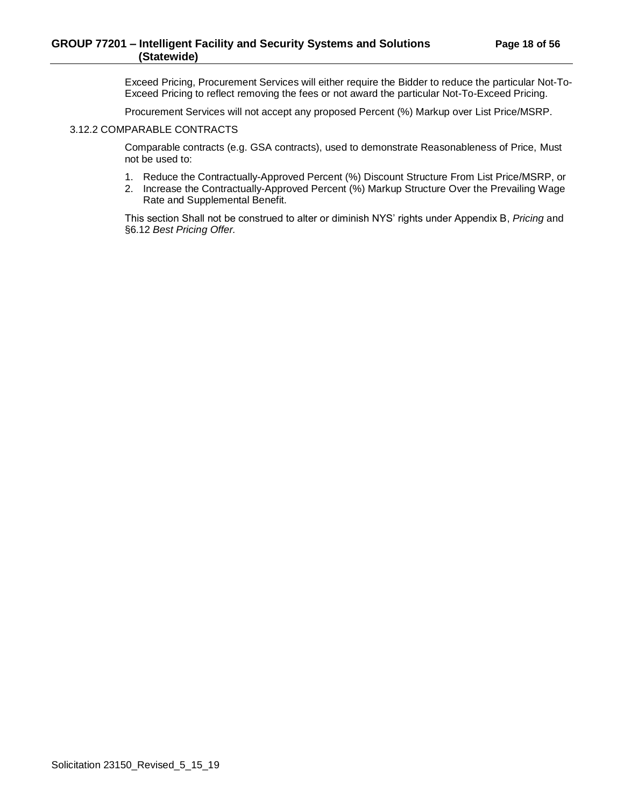Exceed Pricing, Procurement Services will either require the Bidder to reduce the particular Not-To-Exceed Pricing to reflect removing the fees or not award the particular Not-To-Exceed Pricing.

Procurement Services will not accept any proposed Percent (%) Markup over List Price/MSRP.

#### <span id="page-17-0"></span>3.12.2 COMPARABLE CONTRACTS

Comparable contracts (e.g. GSA contracts), used to demonstrate Reasonableness of Price, Must not be used to:

- 1. Reduce the Contractually-Approved Percent (%) Discount Structure From List Price/MSRP, or
- 2. Increase the Contractually-Approved Percent (%) Markup Structure Over the Prevailing Wage Rate and Supplemental Benefit.

This section Shall not be construed to alter or diminish NYS' rights under Appendix B, *Pricing* and §6.12 *Best Pricing Offer.*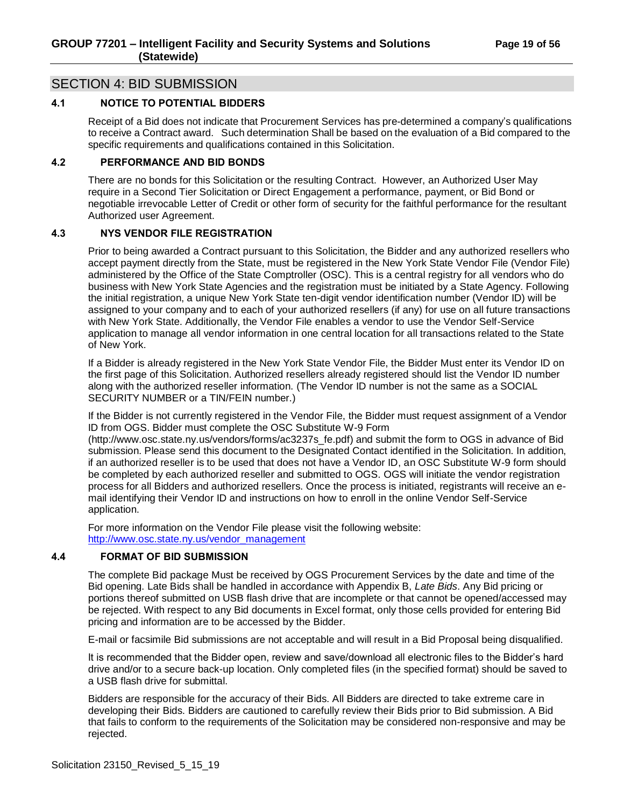# <span id="page-18-0"></span>SECTION 4: BID SUBMISSION

# <span id="page-18-1"></span>**4.1 NOTICE TO POTENTIAL BIDDERS**

Receipt of a Bid does not indicate that Procurement Services has pre-determined a company's qualifications to receive a Contract award. Such determination Shall be based on the evaluation of a Bid compared to the specific requirements and qualifications contained in this Solicitation.

## <span id="page-18-2"></span>**4.2 PERFORMANCE AND BID BONDS**

There are no bonds for this Solicitation or the resulting Contract. However, an Authorized User May require in a Second Tier Solicitation or Direct Engagement a performance, payment, or Bid Bond or negotiable irrevocable Letter of Credit or other form of security for the faithful performance for the resultant Authorized user Agreement.

## <span id="page-18-3"></span>**4.3 NYS VENDOR FILE REGISTRATION**

Prior to being awarded a Contract pursuant to this Solicitation, the Bidder and any authorized resellers who accept payment directly from the State, must be registered in the New York State Vendor File (Vendor File) administered by the Office of the State Comptroller (OSC). This is a central registry for all vendors who do business with New York State Agencies and the registration must be initiated by a State Agency. Following the initial registration, a unique New York State ten-digit vendor identification number (Vendor ID) will be assigned to your company and to each of your authorized resellers (if any) for use on all future transactions with New York State. Additionally, the Vendor File enables a vendor to use the Vendor Self-Service application to manage all vendor information in one central location for all transactions related to the State of New York.

If a Bidder is already registered in the New York State Vendor File, the Bidder Must enter its Vendor ID on the first page of this Solicitation. Authorized resellers already registered should list the Vendor ID number along with the authorized reseller information. (The Vendor ID number is not the same as a SOCIAL SECURITY NUMBER or a TIN/FEIN number.)

If the Bidder is not currently registered in the Vendor File, the Bidder must request assignment of a Vendor ID from OGS. Bidder must complete the OSC Substitute W-9 Form

(http://www.osc.state.ny.us/vendors/forms/ac3237s\_fe.pdf) and submit the form to OGS in advance of Bid submission. Please send this document to the Designated Contact identified in the Solicitation. In addition, if an authorized reseller is to be used that does not have a Vendor ID, an OSC Substitute W-9 form should be completed by each authorized reseller and submitted to OGS. OGS will initiate the vendor registration process for all Bidders and authorized resellers. Once the process is initiated, registrants will receive an email identifying their Vendor ID and instructions on how to enroll in the online Vendor Self-Service application.

For more information on the Vendor File please visit the following website: [http://www.osc.state.ny.us/vendor\\_management](http://www.osc.state.ny.us/vendor_management)

#### <span id="page-18-4"></span>**4.4 FORMAT OF BID SUBMISSION**

The complete Bid package Must be received by OGS Procurement Services by the date and time of the Bid opening. Late Bids shall be handled in accordance with Appendix B, *Late Bids*. Any Bid pricing or portions thereof submitted on USB flash drive that are incomplete or that cannot be opened/accessed may be rejected. With respect to any Bid documents in Excel format, only those cells provided for entering Bid pricing and information are to be accessed by the Bidder.

E-mail or facsimile Bid submissions are not acceptable and will result in a Bid Proposal being disqualified.

It is recommended that the Bidder open, review and save/download all electronic files to the Bidder's hard drive and/or to a secure back-up location. Only completed files (in the specified format) should be saved to a USB flash drive for submittal.

Bidders are responsible for the accuracy of their Bids. All Bidders are directed to take extreme care in developing their Bids. Bidders are cautioned to carefully review their Bids prior to Bid submission. A Bid that fails to conform to the requirements of the Solicitation may be considered non-responsive and may be rejected.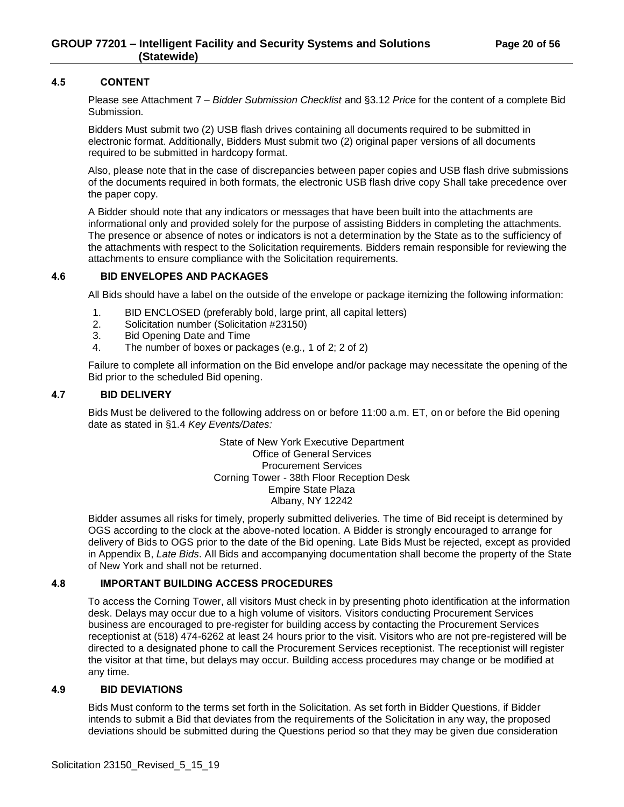#### <span id="page-19-0"></span>**4.5 CONTENT**

Please see Attachment 7 – *Bidder Submission Checklist* and §3.12 *Price* for the content of a complete Bid Submission.

Bidders Must submit two (2) USB flash drives containing all documents required to be submitted in electronic format. Additionally, Bidders Must submit two (2) original paper versions of all documents required to be submitted in hardcopy format.

Also, please note that in the case of discrepancies between paper copies and USB flash drive submissions of the documents required in both formats, the electronic USB flash drive copy Shall take precedence over the paper copy.

A Bidder should note that any indicators or messages that have been built into the attachments are informational only and provided solely for the purpose of assisting Bidders in completing the attachments. The presence or absence of notes or indicators is not a determination by the State as to the sufficiency of the attachments with respect to the Solicitation requirements. Bidders remain responsible for reviewing the attachments to ensure compliance with the Solicitation requirements.

#### <span id="page-19-1"></span>**4.6 BID ENVELOPES AND PACKAGES**

All Bids should have a label on the outside of the envelope or package itemizing the following information:

- 1. BID ENCLOSED (preferably bold, large print, all capital letters)
- 2. Solicitation number (Solicitation #23150)
- 3. Bid Opening Date and Time
- 4. The number of boxes or packages (e.g., 1 of 2; 2 of 2)

Failure to complete all information on the Bid envelope and/or package may necessitate the opening of the Bid prior to the scheduled Bid opening.

#### <span id="page-19-2"></span>**4.7 BID DELIVERY**

Bids Must be delivered to the following address on or before 11:00 a.m. ET, on or before the Bid opening date as stated in §1.4 *Key Events/Dates:*

> State of New York Executive Department Office of General Services Procurement Services Corning Tower - 38th Floor Reception Desk Empire State Plaza Albany, NY 12242

Bidder assumes all risks for timely, properly submitted deliveries. The time of Bid receipt is determined by OGS according to the clock at the above-noted location. A Bidder is strongly encouraged to arrange for delivery of Bids to OGS prior to the date of the Bid opening. Late Bids Must be rejected, except as provided in Appendix B, *Late Bids*. All Bids and accompanying documentation shall become the property of the State of New York and shall not be returned.

## <span id="page-19-3"></span>**4.8 IMPORTANT BUILDING ACCESS PROCEDURES**

To access the Corning Tower, all visitors Must check in by presenting photo identification at the information desk. Delays may occur due to a high volume of visitors. Visitors conducting Procurement Services business are encouraged to pre-register for building access by contacting the Procurement Services receptionist at (518) 474-6262 at least 24 hours prior to the visit. Visitors who are not pre-registered will be directed to a designated phone to call the Procurement Services receptionist. The receptionist will register the visitor at that time, but delays may occur. Building access procedures may change or be modified at any time.

#### <span id="page-19-4"></span>**4.9 BID DEVIATIONS**

Bids Must conform to the terms set forth in the Solicitation. As set forth in Bidder Questions, if Bidder intends to submit a Bid that deviates from the requirements of the Solicitation in any way, the proposed deviations should be submitted during the Questions period so that they may be given due consideration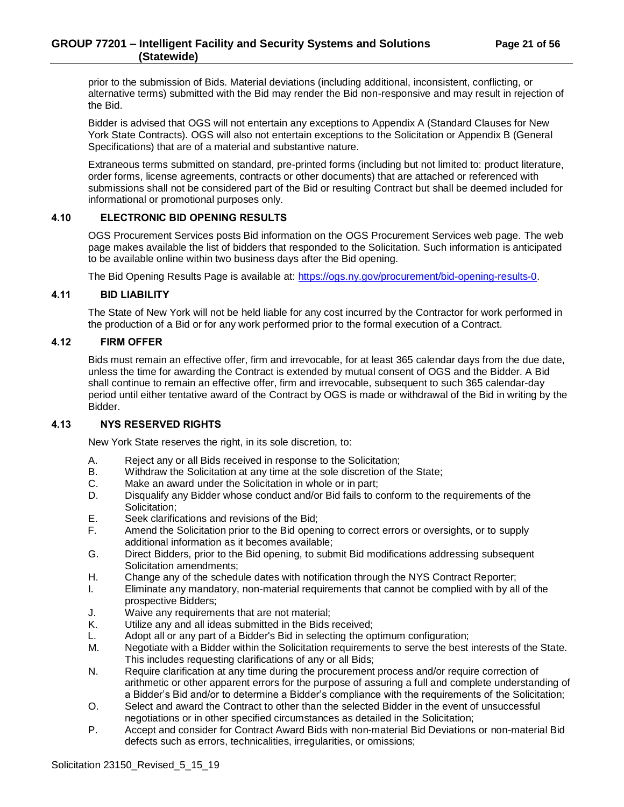prior to the submission of Bids. Material deviations (including additional, inconsistent, conflicting, or alternative terms) submitted with the Bid may render the Bid non-responsive and may result in rejection of the Bid.

Bidder is advised that OGS will not entertain any exceptions to Appendix A (Standard Clauses for New York State Contracts). OGS will also not entertain exceptions to the Solicitation or Appendix B (General Specifications) that are of a material and substantive nature.

Extraneous terms submitted on standard, pre-printed forms (including but not limited to: product literature, order forms, license agreements, contracts or other documents) that are attached or referenced with submissions shall not be considered part of the Bid or resulting Contract but shall be deemed included for informational or promotional purposes only.

## <span id="page-20-0"></span>**4.10 ELECTRONIC BID OPENING RESULTS**

OGS Procurement Services posts Bid information on the OGS Procurement Services web page. The web page makes available the list of bidders that responded to the Solicitation. Such information is anticipated to be available online within two business days after the Bid opening.

The Bid Opening Results Page is available at: [https://ogs.ny.gov/procurement/bid-opening-results-0.](https://ogs.ny.gov/procurement/bid-opening-results-0)

#### <span id="page-20-1"></span>**4.11 BID LIABILITY**

The State of New York will not be held liable for any cost incurred by the Contractor for work performed in the production of a Bid or for any work performed prior to the formal execution of a Contract.

#### <span id="page-20-2"></span>**4.12 FIRM OFFER**

Bids must remain an effective offer, firm and irrevocable, for at least 365 calendar days from the due date, unless the time for awarding the Contract is extended by mutual consent of OGS and the Bidder. A Bid shall continue to remain an effective offer, firm and irrevocable, subsequent to such 365 calendar-day period until either tentative award of the Contract by OGS is made or withdrawal of the Bid in writing by the Bidder.

#### <span id="page-20-3"></span>**4.13 NYS RESERVED RIGHTS**

New York State reserves the right, in its sole discretion, to:

- A. Reject any or all Bids received in response to the Solicitation;
- B. Withdraw the Solicitation at any time at the sole discretion of the State;
- C. Make an award under the Solicitation in whole or in part;
- D. Disqualify any Bidder whose conduct and/or Bid fails to conform to the requirements of the Solicitation;
- E. Seek clarifications and revisions of the Bid;
- F. Amend the Solicitation prior to the Bid opening to correct errors or oversights, or to supply additional information as it becomes available;
- G. Direct Bidders, prior to the Bid opening, to submit Bid modifications addressing subsequent Solicitation amendments;
- H. Change any of the schedule dates with notification through the NYS Contract Reporter;
- I. Eliminate any mandatory, non-material requirements that cannot be complied with by all of the prospective Bidders;
- J. Waive any requirements that are not material;
- K. Utilize any and all ideas submitted in the Bids received;
- L. Adopt all or any part of a Bidder's Bid in selecting the optimum configuration;
- M. Negotiate with a Bidder within the Solicitation requirements to serve the best interests of the State. This includes requesting clarifications of any or all Bids;
- N. Require clarification at any time during the procurement process and/or require correction of arithmetic or other apparent errors for the purpose of assuring a full and complete understanding of a Bidder's Bid and/or to determine a Bidder's compliance with the requirements of the Solicitation;
- O. Select and award the Contract to other than the selected Bidder in the event of unsuccessful negotiations or in other specified circumstances as detailed in the Solicitation;
- P. Accept and consider for Contract Award Bids with non-material Bid Deviations or non-material Bid defects such as errors, technicalities, irregularities, or omissions;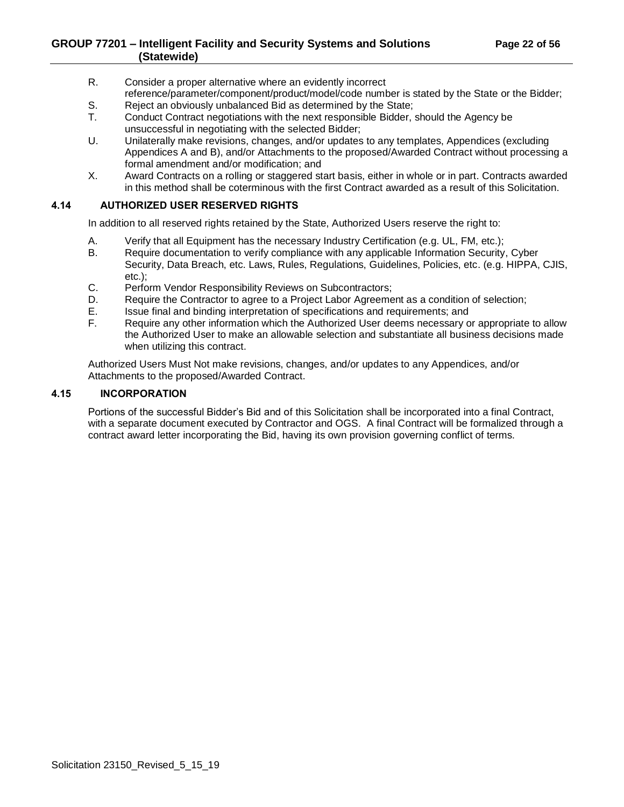- R. Consider a proper alternative where an evidently incorrect reference/parameter/component/product/model/code number is stated by the State or the Bidder;
- S. Reject an obviously unbalanced Bid as determined by the State;<br>T. Conduct Contract negotiations with the next responsible Bidder.
- Conduct Contract negotiations with the next responsible Bidder, should the Agency be unsuccessful in negotiating with the selected Bidder;
- U. Unilaterally make revisions, changes, and/or updates to any templates, Appendices (excluding Appendices A and B), and/or Attachments to the proposed/Awarded Contract without processing a formal amendment and/or modification; and
- X. Award Contracts on a rolling or staggered start basis, either in whole or in part. Contracts awarded in this method shall be coterminous with the first Contract awarded as a result of this Solicitation.

## <span id="page-21-0"></span>**4.14 AUTHORIZED USER RESERVED RIGHTS**

In addition to all reserved rights retained by the State, Authorized Users reserve the right to:

- A. Verify that all Equipment has the necessary Industry Certification (e.g. UL, FM, etc.);<br>B. Require documentation to verify compliance with any applicable Information Security.
- B. Require documentation to verify compliance with any applicable Information Security, Cyber Security, Data Breach, etc. Laws, Rules, Regulations, Guidelines, Policies, etc. (e.g. HIPPA, CJIS, etc.);
- C. Perform Vendor Responsibility Reviews on Subcontractors;
- D. Require the Contractor to agree to a Project Labor Agreement as a condition of selection;
- E. Issue final and binding interpretation of specifications and requirements; and
- F. Require any other information which the Authorized User deems necessary or appropriate to allow the Authorized User to make an allowable selection and substantiate all business decisions made when utilizing this contract.

Authorized Users Must Not make revisions, changes, and/or updates to any Appendices, and/or Attachments to the proposed/Awarded Contract.

## <span id="page-21-1"></span>**4.15 INCORPORATION**

Portions of the successful Bidder's Bid and of this Solicitation shall be incorporated into a final Contract, with a separate document executed by Contractor and OGS. A final Contract will be formalized through a contract award letter incorporating the Bid, having its own provision governing conflict of terms.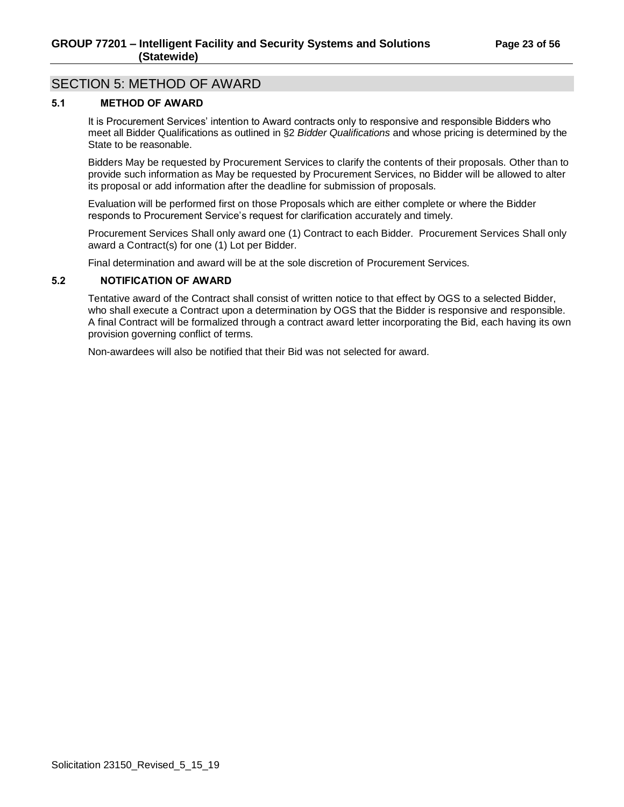# <span id="page-22-0"></span>SECTION 5: METHOD OF AWARD

# <span id="page-22-1"></span>**5.1 METHOD OF AWARD**

It is Procurement Services' intention to Award contracts only to responsive and responsible Bidders who meet all Bidder Qualifications as outlined in §2 *Bidder Qualifications* and whose pricing is determined by the State to be reasonable.

Bidders May be requested by Procurement Services to clarify the contents of their proposals. Other than to provide such information as May be requested by Procurement Services, no Bidder will be allowed to alter its proposal or add information after the deadline for submission of proposals.

Evaluation will be performed first on those Proposals which are either complete or where the Bidder responds to Procurement Service's request for clarification accurately and timely.

Procurement Services Shall only award one (1) Contract to each Bidder. Procurement Services Shall only award a Contract(s) for one (1) Lot per Bidder.

Final determination and award will be at the sole discretion of Procurement Services.

## <span id="page-22-2"></span>**5.2 NOTIFICATION OF AWARD**

Tentative award of the Contract shall consist of written notice to that effect by OGS to a selected Bidder, who shall execute a Contract upon a determination by OGS that the Bidder is responsive and responsible. A final Contract will be formalized through a contract award letter incorporating the Bid, each having its own provision governing conflict of terms.

Non-awardees will also be notified that their Bid was not selected for award.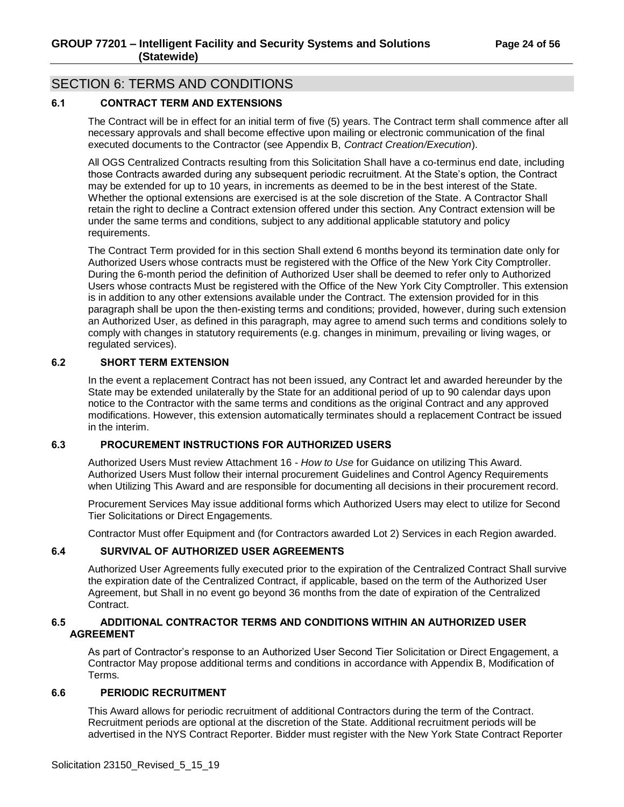# <span id="page-23-0"></span>SECTION 6: TERMS AND CONDITIONS

## <span id="page-23-1"></span>**6.1 CONTRACT TERM AND EXTENSIONS**

The Contract will be in effect for an initial term of five (5) years. The Contract term shall commence after all necessary approvals and shall become effective upon mailing or electronic communication of the final executed documents to the Contractor (see Appendix B, *Contract Creation/Execution*).

All OGS Centralized Contracts resulting from this Solicitation Shall have a co-terminus end date, including those Contracts awarded during any subsequent periodic recruitment. At the State's option, the Contract may be extended for up to 10 years, in increments as deemed to be in the best interest of the State. Whether the optional extensions are exercised is at the sole discretion of the State. A Contractor Shall retain the right to decline a Contract extension offered under this section. Any Contract extension will be under the same terms and conditions, subject to any additional applicable statutory and policy requirements.

The Contract Term provided for in this section Shall extend 6 months beyond its termination date only for Authorized Users whose contracts must be registered with the Office of the New York City Comptroller. During the 6-month period the definition of Authorized User shall be deemed to refer only to Authorized Users whose contracts Must be registered with the Office of the New York City Comptroller. This extension is in addition to any other extensions available under the Contract. The extension provided for in this paragraph shall be upon the then-existing terms and conditions; provided, however, during such extension an Authorized User, as defined in this paragraph, may agree to amend such terms and conditions solely to comply with changes in statutory requirements (e.g. changes in minimum, prevailing or living wages, or regulated services).

## <span id="page-23-2"></span>**6.2 SHORT TERM EXTENSION**

In the event a replacement Contract has not been issued, any Contract let and awarded hereunder by the State may be extended unilaterally by the State for an additional period of up to 90 calendar days upon notice to the Contractor with the same terms and conditions as the original Contract and any approved modifications. However, this extension automatically terminates should a replacement Contract be issued in the interim.

## <span id="page-23-3"></span>**6.3 PROCUREMENT INSTRUCTIONS FOR AUTHORIZED USERS**

Authorized Users Must review Attachment 16 - *How to Use* for Guidance on utilizing This Award. Authorized Users Must follow their internal procurement Guidelines and Control Agency Requirements when Utilizing This Award and are responsible for documenting all decisions in their procurement record.

Procurement Services May issue additional forms which Authorized Users may elect to utilize for Second Tier Solicitations or Direct Engagements.

Contractor Must offer Equipment and (for Contractors awarded Lot 2) Services in each Region awarded.

#### <span id="page-23-4"></span>**6.4 SURVIVAL OF AUTHORIZED USER AGREEMENTS**

Authorized User Agreements fully executed prior to the expiration of the Centralized Contract Shall survive the expiration date of the Centralized Contract, if applicable, based on the term of the Authorized User Agreement, but Shall in no event go beyond 36 months from the date of expiration of the Centralized Contract.

#### <span id="page-23-5"></span>**6.5 ADDITIONAL CONTRACTOR TERMS AND CONDITIONS WITHIN AN AUTHORIZED USER AGREEMENT**

As part of Contractor's response to an Authorized User Second Tier Solicitation or Direct Engagement, a Contractor May propose additional terms and conditions in accordance with Appendix B, Modification of Terms.

## <span id="page-23-6"></span>**6.6 PERIODIC RECRUITMENT**

This Award allows for periodic recruitment of additional Contractors during the term of the Contract. Recruitment periods are optional at the discretion of the State. Additional recruitment periods will be advertised in the NYS Contract Reporter. Bidder must register with the New York State Contract Reporter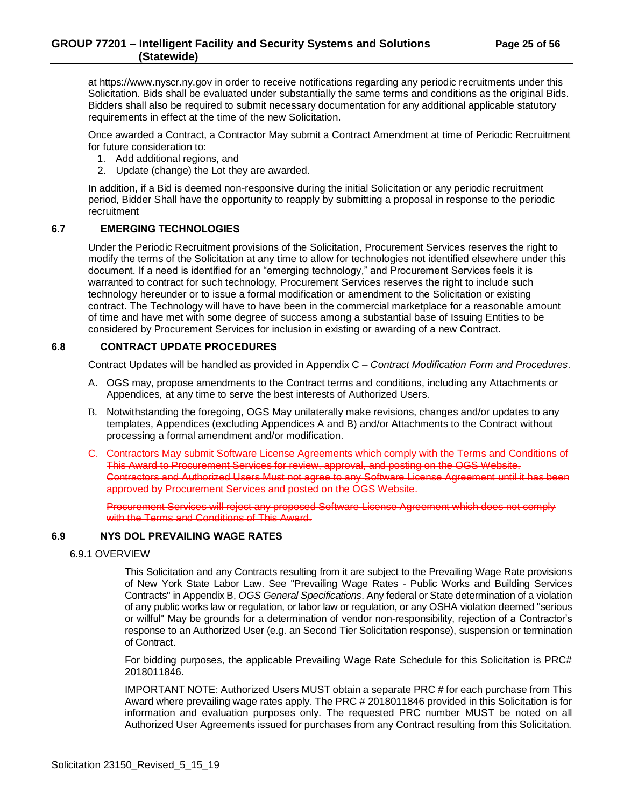at https://www.nyscr.ny.gov in order to receive notifications regarding any periodic recruitments under this Solicitation. Bids shall be evaluated under substantially the same terms and conditions as the original Bids. Bidders shall also be required to submit necessary documentation for any additional applicable statutory requirements in effect at the time of the new Solicitation.

Once awarded a Contract, a Contractor May submit a Contract Amendment at time of Periodic Recruitment for future consideration to:

- 1. Add additional regions, and
- 2. Update (change) the Lot they are awarded.

In addition, if a Bid is deemed non-responsive during the initial Solicitation or any periodic recruitment period, Bidder Shall have the opportunity to reapply by submitting a proposal in response to the periodic recruitment

#### <span id="page-24-0"></span>**6.7 EMERGING TECHNOLOGIES**

Under the Periodic Recruitment provisions of the Solicitation, Procurement Services reserves the right to modify the terms of the Solicitation at any time to allow for technologies not identified elsewhere under this document. If a need is identified for an "emerging technology," and Procurement Services feels it is warranted to contract for such technology, Procurement Services reserves the right to include such technology hereunder or to issue a formal modification or amendment to the Solicitation or existing contract. The Technology will have to have been in the commercial marketplace for a reasonable amount of time and have met with some degree of success among a substantial base of Issuing Entities to be considered by Procurement Services for inclusion in existing or awarding of a new Contract.

## <span id="page-24-1"></span>**6.8 CONTRACT UPDATE PROCEDURES**

Contract Updates will be handled as provided in Appendix C – *Contract Modification Form and Procedures*.

- A. OGS may, propose amendments to the Contract terms and conditions, including any Attachments or Appendices, at any time to serve the best interests of Authorized Users.
- B. Notwithstanding the foregoing, OGS May unilaterally make revisions, changes and/or updates to any templates, Appendices (excluding Appendices A and B) and/or Attachments to the Contract without processing a formal amendment and/or modification.
- C. Contractors May submit Software License Agreements which comply with the Terms and Conditions of This Award to Procurement Services for review, approval, and posting on the OGS Website. Contractors and Authorized Users Must not agree to any Software License Agreement until it has been approved by Procurement Services and posted on the OGS Website.

Procurement Services will reject any proposed Software License Agreement which does not comply with the Terms and Conditions of This Award.

#### <span id="page-24-3"></span><span id="page-24-2"></span>**6.9 NYS DOL PREVAILING WAGE RATES**

#### 6.9.1 OVERVIEW

This Solicitation and any Contracts resulting from it are subject to the Prevailing Wage Rate provisions of New York State Labor Law. See "Prevailing Wage Rates - Public Works and Building Services Contracts" in Appendix B, *OGS General Specifications*. Any federal or State determination of a violation of any public works law or regulation, or labor law or regulation, or any OSHA violation deemed "serious or willful" May be grounds for a determination of vendor non-responsibility, rejection of a Contractor's response to an Authorized User (e.g. an Second Tier Solicitation response), suspension or termination of Contract.

For bidding purposes, the applicable Prevailing Wage Rate Schedule for this Solicitation is PRC# 2018011846.

IMPORTANT NOTE: Authorized Users MUST obtain a separate PRC # for each purchase from This Award where prevailing wage rates apply. The PRC # 2018011846 provided in this Solicitation is for information and evaluation purposes only. The requested PRC number MUST be noted on all Authorized User Agreements issued for purchases from any Contract resulting from this Solicitation.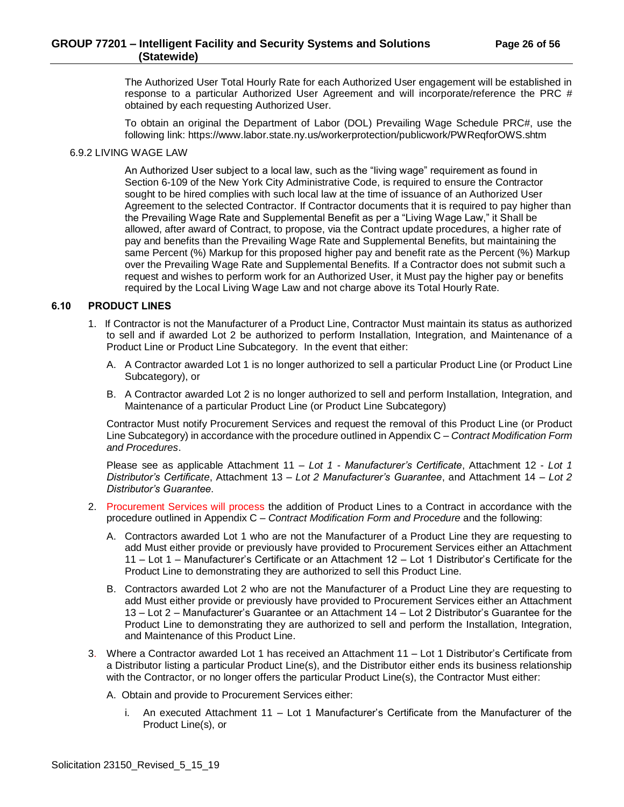## **GROUP 77201 – Intelligent Facility and Security Systems and Solutions Page 26 of 56 (Statewide)**

The Authorized User Total Hourly Rate for each Authorized User engagement will be established in response to a particular Authorized User Agreement and will incorporate/reference the PRC # obtained by each requesting Authorized User.

To obtain an original the Department of Labor (DOL) Prevailing Wage Schedule PRC#, use the following link: https://www.labor.state.ny.us/workerprotection/publicwork/PWReqforOWS.shtm

#### <span id="page-25-0"></span>6.9.2 LIVING WAGE LAW

An Authorized User subject to a local law, such as the "living wage" requirement as found in Section 6-109 of the New York City Administrative Code, is required to ensure the Contractor sought to be hired complies with such local law at the time of issuance of an Authorized User Agreement to the selected Contractor. If Contractor documents that it is required to pay higher than the Prevailing Wage Rate and Supplemental Benefit as per a "Living Wage Law," it Shall be allowed, after award of Contract, to propose, via the Contract update procedures, a higher rate of pay and benefits than the Prevailing Wage Rate and Supplemental Benefits, but maintaining the same Percent (%) Markup for this proposed higher pay and benefit rate as the Percent (%) Markup over the Prevailing Wage Rate and Supplemental Benefits. If a Contractor does not submit such a request and wishes to perform work for an Authorized User, it Must pay the higher pay or benefits required by the Local Living Wage Law and not charge above its Total Hourly Rate.

#### <span id="page-25-1"></span>**6.10 PRODUCT LINES**

- 1. If Contractor is not the Manufacturer of a Product Line, Contractor Must maintain its status as authorized to sell and if awarded Lot 2 be authorized to perform Installation, Integration, and Maintenance of a Product Line or Product Line Subcategory. In the event that either:
	- A. A Contractor awarded Lot 1 is no longer authorized to sell a particular Product Line (or Product Line Subcategory), or
	- B. A Contractor awarded Lot 2 is no longer authorized to sell and perform Installation, Integration, and Maintenance of a particular Product Line (or Product Line Subcategory)

Contractor Must notify Procurement Services and request the removal of this Product Line (or Product Line Subcategory) in accordance with the procedure outlined in Appendix C – *Contract Modification Form and Procedures*.

Please see as applicable Attachment 11 – *Lot 1 - Manufacturer's Certificate*, Attachment 12 - *Lot 1 Distributor's Certificate*, Attachment 13 – *Lot 2 Manufacturer's Guarantee*, and Attachment 14 – *Lot 2 Distributor's Guarantee*.

- 2. Procurement Services will process the addition of Product Lines to a Contract in accordance with the procedure outlined in Appendix C – *Contract Modification Form and Procedure* and the following:
	- A. Contractors awarded Lot 1 who are not the Manufacturer of a Product Line they are requesting to add Must either provide or previously have provided to Procurement Services either an Attachment 11 – Lot 1 – Manufacturer's Certificate or an Attachment 12 – Lot 1 Distributor's Certificate for the Product Line to demonstrating they are authorized to sell this Product Line.
	- B. Contractors awarded Lot 2 who are not the Manufacturer of a Product Line they are requesting to add Must either provide or previously have provided to Procurement Services either an Attachment 13 – Lot 2 – Manufacturer's Guarantee or an Attachment 14 – Lot 2 Distributor's Guarantee for the Product Line to demonstrating they are authorized to sell and perform the Installation, Integration, and Maintenance of this Product Line.
- 3. Where a Contractor awarded Lot 1 has received an Attachment 11 Lot 1 Distributor's Certificate from a Distributor listing a particular Product Line(s), and the Distributor either ends its business relationship with the Contractor, or no longer offers the particular Product Line(s), the Contractor Must either:

A. Obtain and provide to Procurement Services either:

i. An executed Attachment 11 – Lot 1 Manufacturer's Certificate from the Manufacturer of the Product Line(s), or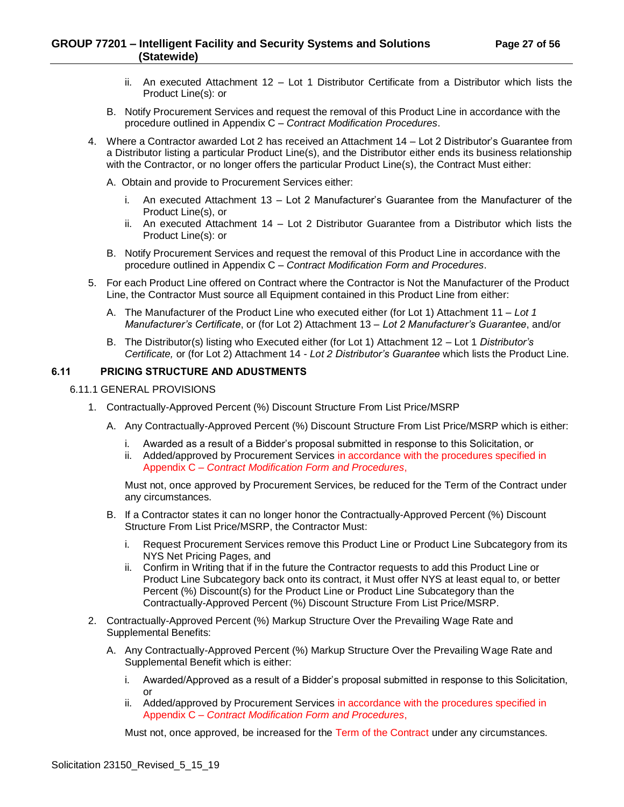## **GROUP 77201 – Intelligent Facility and Security Systems and Solutions Page 27 of 56 (Statewide)**

- ii. An executed Attachment 12 Lot 1 Distributor Certificate from a Distributor which lists the Product Line(s): or
- B. Notify Procurement Services and request the removal of this Product Line in accordance with the procedure outlined in Appendix C – *Contract Modification Procedures*.
- 4. Where a Contractor awarded Lot 2 has received an Attachment 14 Lot 2 Distributor's Guarantee from a Distributor listing a particular Product Line(s), and the Distributor either ends its business relationship with the Contractor, or no longer offers the particular Product Line(s), the Contract Must either:
	- A. Obtain and provide to Procurement Services either:
		- i. An executed Attachment 13 Lot 2 Manufacturer's Guarantee from the Manufacturer of the Product Line(s), or
		- ii. An executed Attachment 14 Lot 2 Distributor Guarantee from a Distributor which lists the Product Line(s): or
	- B. Notify Procurement Services and request the removal of this Product Line in accordance with the procedure outlined in Appendix C – *Contract Modification Form and Procedures*.
- 5. For each Product Line offered on Contract where the Contractor is Not the Manufacturer of the Product Line, the Contractor Must source all Equipment contained in this Product Line from either:
	- A. The Manufacturer of the Product Line who executed either (for Lot 1) Attachment 11 *Lot 1 Manufacturer's Certificate*, or (for Lot 2) Attachment 13 – *Lot 2 Manufacturer's Guarantee*, and/or
	- B. The Distributor(s) listing who Executed either (for Lot 1) Attachment 12 Lot 1 *Distributor's Certificate,* or (for Lot 2) Attachment 14 - *Lot 2 Distributor's Guarantee* which lists the Product Line.

## <span id="page-26-0"></span>**6.11 PRICING STRUCTURE AND ADUSTMENTS**

#### <span id="page-26-1"></span>6.11.1 GENERAL PROVISIONS

- 1. Contractually-Approved Percent (%) Discount Structure From List Price/MSRP
	- A. Any Contractually-Approved Percent (%) Discount Structure From List Price/MSRP which is either:
		- i. Awarded as a result of a Bidder's proposal submitted in response to this Solicitation, or
		- ii. Added/approved by Procurement Services in accordance with the procedures specified in Appendix C – *Contract Modification Form and Procedures*,

Must not, once approved by Procurement Services, be reduced for the Term of the Contract under any circumstances.

- B. If a Contractor states it can no longer honor the Contractually-Approved Percent (%) Discount Structure From List Price/MSRP, the Contractor Must:
	- i. Request Procurement Services remove this Product Line or Product Line Subcategory from its NYS Net Pricing Pages, and
	- ii. Confirm in Writing that if in the future the Contractor requests to add this Product Line or Product Line Subcategory back onto its contract, it Must offer NYS at least equal to, or better Percent (%) Discount(s) for the Product Line or Product Line Subcategory than the Contractually-Approved Percent (%) Discount Structure From List Price/MSRP.
- 2. Contractually-Approved Percent (%) Markup Structure Over the Prevailing Wage Rate and Supplemental Benefits:
	- A. Any Contractually-Approved Percent (%) Markup Structure Over the Prevailing Wage Rate and Supplemental Benefit which is either:
		- i. Awarded/Approved as a result of a Bidder's proposal submitted in response to this Solicitation, or
		- ii. Added/approved by Procurement Services in accordance with the procedures specified in Appendix C – *Contract Modification Form and Procedures*,

Must not, once approved, be increased for the Term of the Contract under any circumstances.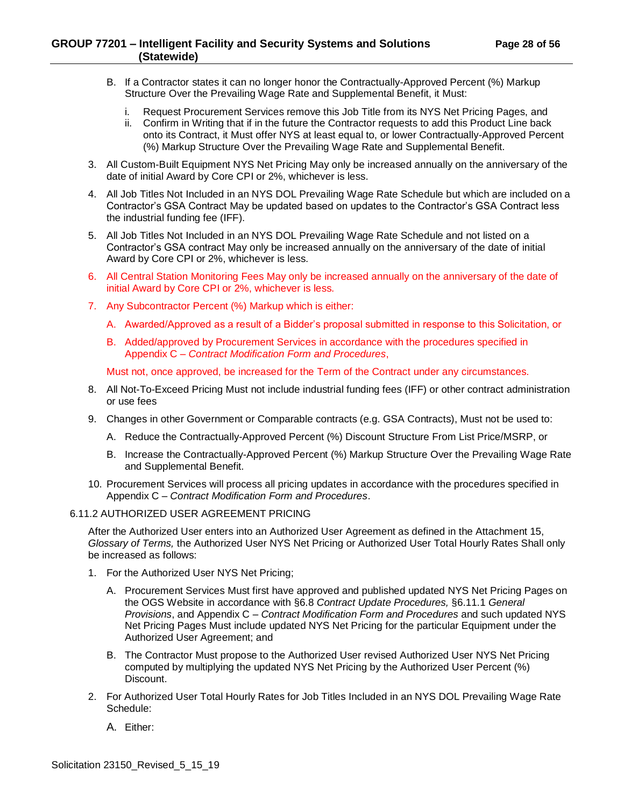- B. If a Contractor states it can no longer honor the Contractually-Approved Percent (%) Markup Structure Over the Prevailing Wage Rate and Supplemental Benefit, it Must:
	- i. Request Procurement Services remove this Job Title from its NYS Net Pricing Pages, and
	- ii. Confirm in Writing that if in the future the Contractor requests to add this Product Line back onto its Contract, it Must offer NYS at least equal to, or lower Contractually-Approved Percent (%) Markup Structure Over the Prevailing Wage Rate and Supplemental Benefit.
- 3. All Custom-Built Equipment NYS Net Pricing May only be increased annually on the anniversary of the date of initial Award by Core CPI or 2%, whichever is less.
- 4. All Job Titles Not Included in an NYS DOL Prevailing Wage Rate Schedule but which are included on a Contractor's GSA Contract May be updated based on updates to the Contractor's GSA Contract less the industrial funding fee (IFF).
- 5. All Job Titles Not Included in an NYS DOL Prevailing Wage Rate Schedule and not listed on a Contractor's GSA contract May only be increased annually on the anniversary of the date of initial Award by Core CPI or 2%, whichever is less.
- 6. All Central Station Monitoring Fees May only be increased annually on the anniversary of the date of initial Award by Core CPI or 2%, whichever is less.
- 7. Any Subcontractor Percent (%) Markup which is either:
	- A. Awarded/Approved as a result of a Bidder's proposal submitted in response to this Solicitation, or
	- B. Added/approved by Procurement Services in accordance with the procedures specified in Appendix C – *Contract Modification Form and Procedures*,

Must not, once approved, be increased for the Term of the Contract under any circumstances.

- 8. All Not-To-Exceed Pricing Must not include industrial funding fees (IFF) or other contract administration or use fees
- 9. Changes in other Government or Comparable contracts (e.g. GSA Contracts), Must not be used to:
	- A. Reduce the Contractually-Approved Percent (%) Discount Structure From List Price/MSRP, or
	- B. Increase the Contractually-Approved Percent (%) Markup Structure Over the Prevailing Wage Rate and Supplemental Benefit.
- 10. Procurement Services will process all pricing updates in accordance with the procedures specified in Appendix C – *Contract Modification Form and Procedures*.

#### <span id="page-27-0"></span>6.11.2 AUTHORIZED USER AGREEMENT PRICING

After the Authorized User enters into an Authorized User Agreement as defined in the Attachment 15, *Glossary of Terms,* the Authorized User NYS Net Pricing or Authorized User Total Hourly Rates Shall only be increased as follows:

- 1. For the Authorized User NYS Net Pricing;
	- A. Procurement Services Must first have approved and published updated NYS Net Pricing Pages on the OGS Website in accordance with §6.8 *Contract Update Procedures,* §6.11.1 *General Provisions*, and Appendix C – *Contract Modification Form and Procedures* and such updated NYS Net Pricing Pages Must include updated NYS Net Pricing for the particular Equipment under the Authorized User Agreement; and
	- B. The Contractor Must propose to the Authorized User revised Authorized User NYS Net Pricing computed by multiplying the updated NYS Net Pricing by the Authorized User Percent (%) Discount.
- 2. For Authorized User Total Hourly Rates for Job Titles Included in an NYS DOL Prevailing Wage Rate Schedule:
	- A. Either: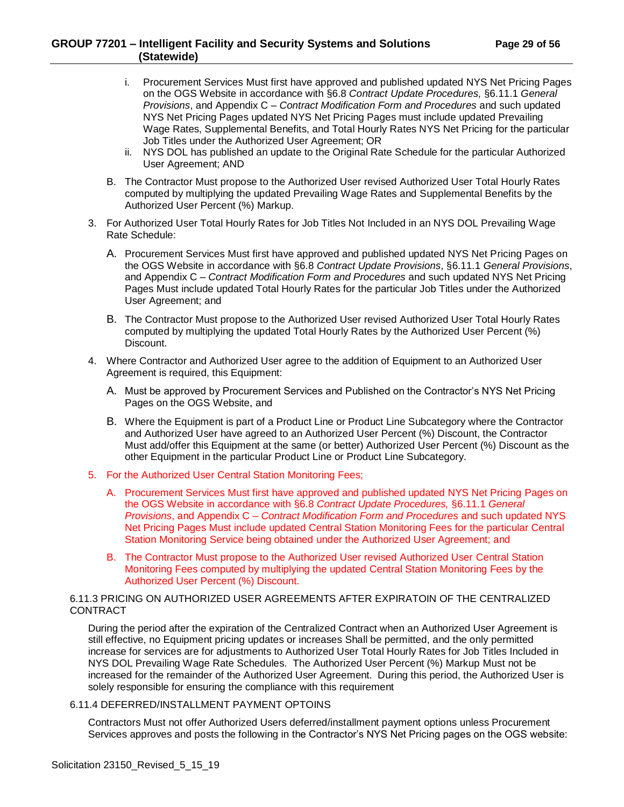- i. Procurement Services Must first have approved and published updated NYS Net Pricing Pages on the OGS Website in accordance with §6.8 *Contract Update Procedures,* §6.11.1 *General Provisions*, and Appendix C – *Contract Modification Form and Procedures* and such updated NYS Net Pricing Pages updated NYS Net Pricing Pages must include updated Prevailing Wage Rates, Supplemental Benefits, and Total Hourly Rates NYS Net Pricing for the particular Job Titles under the Authorized User Agreement; OR
- ii. NYS DOL has published an update to the Original Rate Schedule for the particular Authorized User Agreement; AND
- B. The Contractor Must propose to the Authorized User revised Authorized User Total Hourly Rates computed by multiplying the updated Prevailing Wage Rates and Supplemental Benefits by the Authorized User Percent (%) Markup.
- 3. For Authorized User Total Hourly Rates for Job Titles Not Included in an NYS DOL Prevailing Wage Rate Schedule:
	- A. Procurement Services Must first have approved and published updated NYS Net Pricing Pages on the OGS Website in accordance with §6.8 *Contract Update Provisions*, §6.11.1 *General Provisions*, and Appendix C – *Contract Modification Form and Procedures* and such updated NYS Net Pricing Pages Must include updated Total Hourly Rates for the particular Job Titles under the Authorized User Agreement; and
	- B. The Contractor Must propose to the Authorized User revised Authorized User Total Hourly Rates computed by multiplying the updated Total Hourly Rates by the Authorized User Percent (%) Discount.
- 4. Where Contractor and Authorized User agree to the addition of Equipment to an Authorized User Agreement is required, this Equipment:
	- A. Must be approved by Procurement Services and Published on the Contractor's NYS Net Pricing Pages on the OGS Website, and
	- B. Where the Equipment is part of a Product Line or Product Line Subcategory where the Contractor and Authorized User have agreed to an Authorized User Percent (%) Discount, the Contractor Must add/offer this Equipment at the same (or better) Authorized User Percent (%) Discount as the other Equipment in the particular Product Line or Product Line Subcategory.
- 5. For the Authorized User Central Station Monitoring Fees;
	- A. Procurement Services Must first have approved and published updated NYS Net Pricing Pages on the OGS Website in accordance with §6.8 *Contract Update Procedures,* §6.11.1 *General Provisions*, and Appendix C – *Contract Modification Form and Procedures* and such updated NYS Net Pricing Pages Must include updated Central Station Monitoring Fees for the particular Central Station Monitoring Service being obtained under the Authorized User Agreement; and
	- B. The Contractor Must propose to the Authorized User revised Authorized User Central Station Monitoring Fees computed by multiplying the updated Central Station Monitoring Fees by the Authorized User Percent (%) Discount.

#### <span id="page-28-0"></span>6.11.3 PRICING ON AUTHORIZED USER AGREEMENTS AFTER EXPIRATOIN OF THE CENTRALIZED CONTRACT

During the period after the expiration of the Centralized Contract when an Authorized User Agreement is still effective, no Equipment pricing updates or increases Shall be permitted, and the only permitted increase for services are for adjustments to Authorized User Total Hourly Rates for Job Titles Included in NYS DOL Prevailing Wage Rate Schedules. The Authorized User Percent (%) Markup Must not be increased for the remainder of the Authorized User Agreement. During this period, the Authorized User is solely responsible for ensuring the compliance with this requirement

#### <span id="page-28-1"></span>6.11.4 DEFERRED/INSTALLMENT PAYMENT OPTOINS

Contractors Must not offer Authorized Users deferred/installment payment options unless Procurement Services approves and posts the following in the Contractor's NYS Net Pricing pages on the OGS website: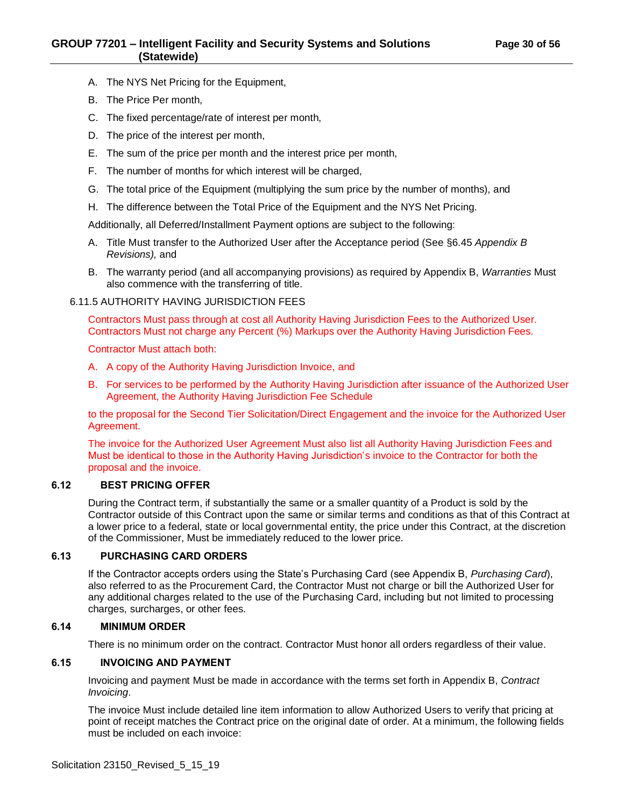- A. The NYS Net Pricing for the Equipment,
- B. The Price Per month,
- C. The fixed percentage/rate of interest per month,
- D. The price of the interest per month,
- E. The sum of the price per month and the interest price per month,
- F. The number of months for which interest will be charged,
- G. The total price of the Equipment (multiplying the sum price by the number of months), and
- H. The difference between the Total Price of the Equipment and the NYS Net Pricing.

Additionally, all Deferred/Installment Payment options are subject to the following:

- A. Title Must transfer to the Authorized User after the Acceptance period (See §6.45 *Appendix B Revisions),* and
- B. The warranty period (and all accompanying provisions) as required by Appendix B, *Warranties* Must also commence with the transferring of title.

<span id="page-29-0"></span>6.11.5 AUTHORITY HAVING JURISDICTION FEES

Contractors Must pass through at cost all Authority Having Jurisdiction Fees to the Authorized User. Contractors Must not charge any Percent (%) Markups over the Authority Having Jurisdiction Fees.

Contractor Must attach both:

- A. A copy of the Authority Having Jurisdiction Invoice, and
- B. For services to be performed by the Authority Having Jurisdiction after issuance of the Authorized User Agreement, the Authority Having Jurisdiction Fee Schedule

to the proposal for the Second Tier Solicitation/Direct Engagement and the invoice for the Authorized User Agreement.

The invoice for the Authorized User Agreement Must also list all Authority Having Jurisdiction Fees and Must be identical to those in the Authority Having Jurisdiction's invoice to the Contractor for both the proposal and the invoice.

#### <span id="page-29-1"></span>**6.12 BEST PRICING OFFER**

During the Contract term, if substantially the same or a smaller quantity of a Product is sold by the Contractor outside of this Contract upon the same or similar terms and conditions as that of this Contract at a lower price to a federal, state or local governmental entity, the price under this Contract, at the discretion of the Commissioner, Must be immediately reduced to the lower price.

#### <span id="page-29-2"></span>**6.13 PURCHASING CARD ORDERS**

If the Contractor accepts orders using the State's Purchasing Card (see Appendix B, *Purchasing Card*), also referred to as the Procurement Card, the Contractor Must not charge or bill the Authorized User for any additional charges related to the use of the Purchasing Card, including but not limited to processing charges, surcharges, or other fees.

#### <span id="page-29-3"></span>**6.14 MINIMUM ORDER**

There is no minimum order on the contract. Contractor Must honor all orders regardless of their value.

## <span id="page-29-4"></span>**6.15 INVOICING AND PAYMENT**

Invoicing and payment Must be made in accordance with the terms set forth in Appendix B, *Contract Invoicing*.

The invoice Must include detailed line item information to allow Authorized Users to verify that pricing at point of receipt matches the Contract price on the original date of order. At a minimum, the following fields must be included on each invoice: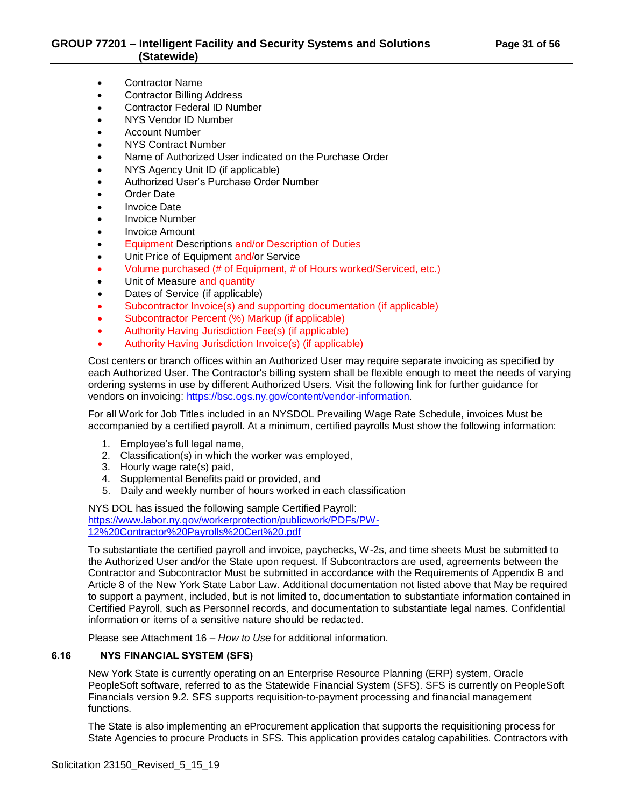- Contractor Name
- Contractor Billing Address
- Contractor Federal ID Number
- NYS Vendor ID Number
- Account Number
- NYS Contract Number
- Name of Authorized User indicated on the Purchase Order
- NYS Agency Unit ID (if applicable)
- Authorized User's Purchase Order Number
- Order Date
- Invoice Date
- Invoice Number
- Invoice Amount
- Equipment Descriptions and/or Description of Duties
- Unit Price of Equipment and/or Service
- Volume purchased (# of Equipment, # of Hours worked/Serviced, etc.)
- Unit of Measure and quantity
- Dates of Service (if applicable)
- Subcontractor Invoice(s) and supporting documentation (if applicable)
- Subcontractor Percent (%) Markup (if applicable)
- Authority Having Jurisdiction Fee(s) (if applicable)
- Authority Having Jurisdiction Invoice(s) (if applicable)

Cost centers or branch offices within an Authorized User may require separate invoicing as specified by each Authorized User. The Contractor's billing system shall be flexible enough to meet the needs of varying ordering systems in use by different Authorized Users. Visit the following link for further guidance for vendors on invoicing: [https://bsc.ogs.ny.gov/content/vendor-information.](https://bsc.ogs.ny.gov/content/vendor-information)

For all Work for Job Titles included in an NYSDOL Prevailing Wage Rate Schedule, invoices Must be accompanied by a certified payroll. At a minimum, certified payrolls Must show the following information:

- 1. Employee's full legal name,
- 2. Classification(s) in which the worker was employed,
- 3. Hourly wage rate(s) paid,
- 4. Supplemental Benefits paid or provided, and
- 5. Daily and weekly number of hours worked in each classification

NYS DOL has issued the following sample Certified Payroll: [https://www.labor.ny.gov/workerprotection/publicwork/PDFs/PW-](https://www.labor.ny.gov/workerprotection/publicwork/PDFs/PW-12%20Contractor%20Payrolls%20Cert%20.pdf)[12%20Contractor%20Payrolls%20Cert%20.pdf](https://www.labor.ny.gov/workerprotection/publicwork/PDFs/PW-12%20Contractor%20Payrolls%20Cert%20.pdf)

To substantiate the certified payroll and invoice, paychecks, W-2s, and time sheets Must be submitted to the Authorized User and/or the State upon request. If Subcontractors are used, agreements between the Contractor and Subcontractor Must be submitted in accordance with the Requirements of Appendix B and Article 8 of the New York State Labor Law. Additional documentation not listed above that May be required to support a payment, included, but is not limited to, documentation to substantiate information contained in Certified Payroll, such as Personnel records, and documentation to substantiate legal names. Confidential information or items of a sensitive nature should be redacted.

Please see Attachment 16 – *How to Use* for additional information.

## <span id="page-30-0"></span>**6.16 NYS FINANCIAL SYSTEM (SFS)**

New York State is currently operating on an Enterprise Resource Planning (ERP) system, Oracle PeopleSoft software, referred to as the Statewide Financial System (SFS). SFS is currently on PeopleSoft Financials version 9.2. SFS supports requisition-to-payment processing and financial management functions.

The State is also implementing an eProcurement application that supports the requisitioning process for State Agencies to procure Products in SFS. This application provides catalog capabilities. Contractors with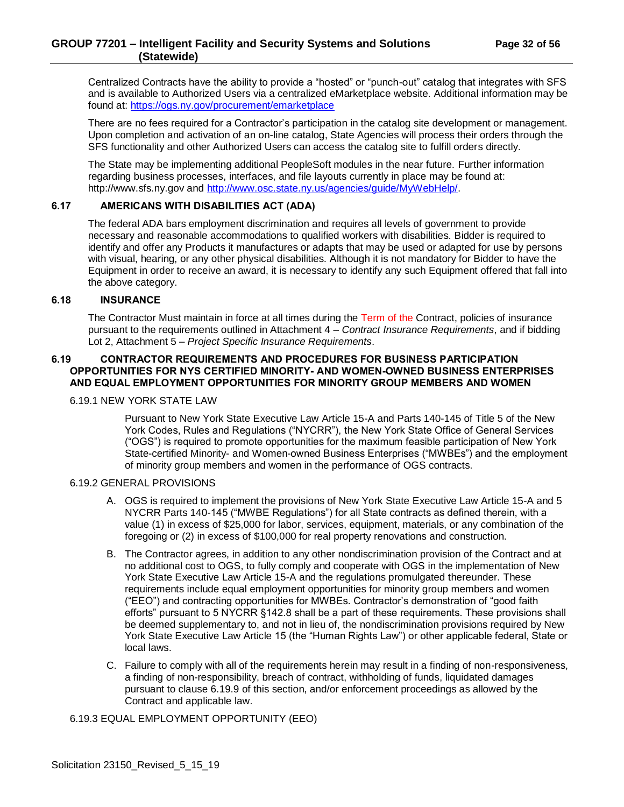Centralized Contracts have the ability to provide a "hosted" or "punch-out" catalog that integrates with SFS and is available to Authorized Users via a centralized eMarketplace website. Additional information may be found at:<https://ogs.ny.gov/procurement/emarketplace>

There are no fees required for a Contractor's participation in the catalog site development or management. Upon completion and activation of an on-line catalog, State Agencies will process their orders through the SFS functionality and other Authorized Users can access the catalog site to fulfill orders directly.

The State may be implementing additional PeopleSoft modules in the near future. Further information regarding business processes, interfaces, and file layouts currently in place may be found at: http://www.sfs.ny.gov and [http://www.osc.state.ny.us/agencies/guide/MyWebHelp/.](http://www.osc.state.ny.us/agencies/guide/MyWebHelp/)

## <span id="page-31-0"></span>**6.17 AMERICANS WITH DISABILITIES ACT (ADA)**

The federal ADA bars employment discrimination and requires all levels of government to provide necessary and reasonable accommodations to qualified workers with disabilities. Bidder is required to identify and offer any Products it manufactures or adapts that may be used or adapted for use by persons with visual, hearing, or any other physical disabilities. Although it is not mandatory for Bidder to have the Equipment in order to receive an award, it is necessary to identify any such Equipment offered that fall into the above category.

## <span id="page-31-1"></span>**6.18 INSURANCE**

The Contractor Must maintain in force at all times during the Term of the Contract, policies of insurance pursuant to the requirements outlined in Attachment 4 – *Contract Insurance Requirements*, and if bidding Lot 2, Attachment 5 – *Project Specific Insurance Requirements*.

#### <span id="page-31-2"></span>**6.19 CONTRACTOR REQUIREMENTS AND PROCEDURES FOR BUSINESS PARTICIPATION OPPORTUNITIES FOR NYS CERTIFIED MINORITY- AND WOMEN-OWNED BUSINESS ENTERPRISES AND EQUAL EMPLOYMENT OPPORTUNITIES FOR MINORITY GROUP MEMBERS AND WOMEN**

#### <span id="page-31-3"></span>6.19.1 NEW YORK STATE LAW

Pursuant to New York State Executive Law Article 15-A and Parts 140-145 of Title 5 of the New York Codes, Rules and Regulations ("NYCRR"), the New York State Office of General Services ("OGS") is required to promote opportunities for the maximum feasible participation of New York State-certified Minority- and Women-owned Business Enterprises ("MWBEs") and the employment of minority group members and women in the performance of OGS contracts.

#### <span id="page-31-4"></span>6.19.2 GENERAL PROVISIONS

- A. OGS is required to implement the provisions of New York State Executive Law Article 15-A and 5 NYCRR Parts 140-145 ("MWBE Regulations") for all State contracts as defined therein, with a value (1) in excess of \$25,000 for labor, services, equipment, materials, or any combination of the foregoing or (2) in excess of \$100,000 for real property renovations and construction.
- B. The Contractor agrees, in addition to any other nondiscrimination provision of the Contract and at no additional cost to OGS, to fully comply and cooperate with OGS in the implementation of New York State Executive Law Article 15-A and the regulations promulgated thereunder. These requirements include equal employment opportunities for minority group members and women ("EEO") and contracting opportunities for MWBEs. Contractor's demonstration of "good faith efforts" pursuant to 5 NYCRR §142.8 shall be a part of these requirements. These provisions shall be deemed supplementary to, and not in lieu of, the nondiscrimination provisions required by New York State Executive Law Article 15 (the "Human Rights Law") or other applicable federal, State or local laws.
- C. Failure to comply with all of the requirements herein may result in a finding of non-responsiveness, a finding of non-responsibility, breach of contract, withholding of funds, liquidated damages pursuant to clause 6.19.9 of this section, and/or enforcement proceedings as allowed by the Contract and applicable law.

#### <span id="page-31-5"></span>6.19.3 EQUAL EMPLOYMENT OPPORTUNITY (EEO)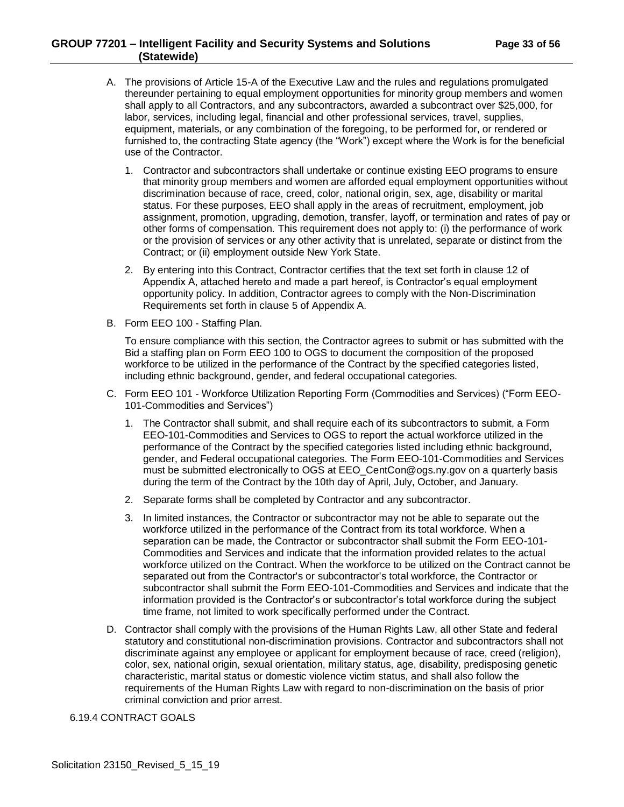## **GROUP 77201 – Intelligent Facility and Security Systems and Solutions Page 33 of 56 (Statewide)**

- A. The provisions of Article 15-A of the Executive Law and the rules and regulations promulgated thereunder pertaining to equal employment opportunities for minority group members and women shall apply to all Contractors, and any subcontractors, awarded a subcontract over \$25,000, for labor, services, including legal, financial and other professional services, travel, supplies, equipment, materials, or any combination of the foregoing, to be performed for, or rendered or furnished to, the contracting State agency (the "Work") except where the Work is for the beneficial use of the Contractor.
	- 1. Contractor and subcontractors shall undertake or continue existing EEO programs to ensure that minority group members and women are afforded equal employment opportunities without discrimination because of race, creed, color, national origin, sex, age, disability or marital status. For these purposes, EEO shall apply in the areas of recruitment, employment, job assignment, promotion, upgrading, demotion, transfer, layoff, or termination and rates of pay or other forms of compensation. This requirement does not apply to: (i) the performance of work or the provision of services or any other activity that is unrelated, separate or distinct from the Contract; or (ii) employment outside New York State.
	- 2. By entering into this Contract, Contractor certifies that the text set forth in clause 12 of Appendix A, attached hereto and made a part hereof, is Contractor's equal employment opportunity policy. In addition, Contractor agrees to comply with the Non-Discrimination Requirements set forth in clause 5 of Appendix A.
- B. Form EEO 100 Staffing Plan.

To ensure compliance with this section, the Contractor agrees to submit or has submitted with the Bid a staffing plan on Form EEO 100 to OGS to document the composition of the proposed workforce to be utilized in the performance of the Contract by the specified categories listed, including ethnic background, gender, and federal occupational categories.

- C. Form EEO 101 Workforce Utilization Reporting Form (Commodities and Services) ("Form EEO-101-Commodities and Services")
	- 1. The Contractor shall submit, and shall require each of its subcontractors to submit, a Form EEO-101-Commodities and Services to OGS to report the actual workforce utilized in the performance of the Contract by the specified categories listed including ethnic background, gender, and Federal occupational categories. The Form EEO-101-Commodities and Services must be submitted electronically to OGS at EEO\_CentCon@ogs.ny.gov on a quarterly basis during the term of the Contract by the 10th day of April, July, October, and January.
	- 2. Separate forms shall be completed by Contractor and any subcontractor.
	- 3. In limited instances, the Contractor or subcontractor may not be able to separate out the workforce utilized in the performance of the Contract from its total workforce. When a separation can be made, the Contractor or subcontractor shall submit the Form EEO-101- Commodities and Services and indicate that the information provided relates to the actual workforce utilized on the Contract. When the workforce to be utilized on the Contract cannot be separated out from the Contractor's or subcontractor's total workforce, the Contractor or subcontractor shall submit the Form EEO-101-Commodities and Services and indicate that the information provided is the Contractor's or subcontractor's total workforce during the subject time frame, not limited to work specifically performed under the Contract.
- D. Contractor shall comply with the provisions of the Human Rights Law, all other State and federal statutory and constitutional non-discrimination provisions. Contractor and subcontractors shall not discriminate against any employee or applicant for employment because of race, creed (religion), color, sex, national origin, sexual orientation, military status, age, disability, predisposing genetic characteristic, marital status or domestic violence victim status, and shall also follow the requirements of the Human Rights Law with regard to non-discrimination on the basis of prior criminal conviction and prior arrest.

## <span id="page-32-0"></span>6.19.4 CONTRACT GOALS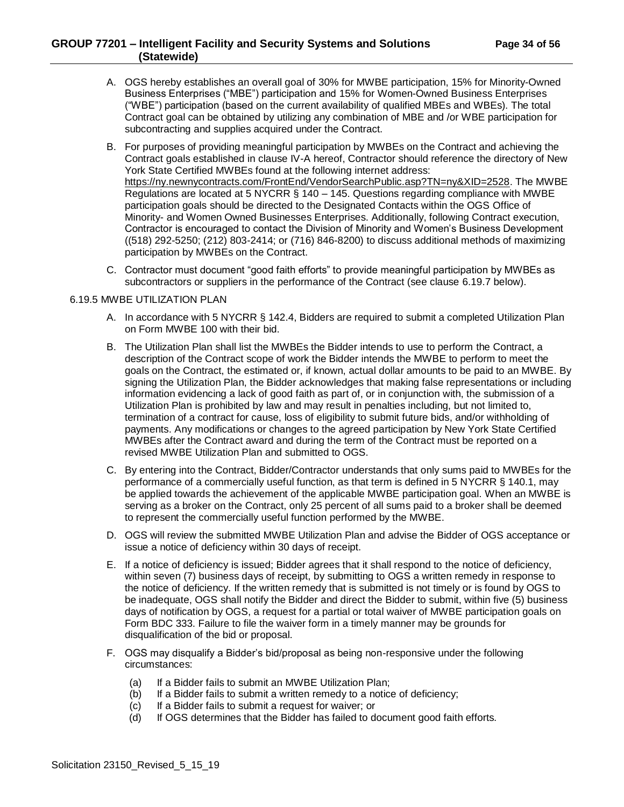- A. OGS hereby establishes an overall goal of 30% for MWBE participation, 15% for Minority-Owned Business Enterprises ("MBE") participation and 15% for Women-Owned Business Enterprises ("WBE") participation (based on the current availability of qualified MBEs and WBEs). The total Contract goal can be obtained by utilizing any combination of MBE and /or WBE participation for subcontracting and supplies acquired under the Contract.
- B. For purposes of providing meaningful participation by MWBEs on the Contract and achieving the Contract goals established in clause IV-A hereof, Contractor should reference the directory of New York State Certified MWBEs found at the following internet address: https://ny.newnycontracts.com/FrontEnd/VendorSearchPublic.asp?TN=ny&XID=2528. The MWBE Regulations are located at 5 NYCRR § 140 – 145. Questions regarding compliance with MWBE participation goals should be directed to the Designated Contacts within the OGS Office of Minority- and Women Owned Businesses Enterprises. Additionally, following Contract execution, Contractor is encouraged to contact the Division of Minority and Women's Business Development ((518) 292-5250; (212) 803-2414; or (716) 846-8200) to discuss additional methods of maximizing participation by MWBEs on the Contract.
- C. Contractor must document "good faith efforts" to provide meaningful participation by MWBEs as subcontractors or suppliers in the performance of the Contract (see clause 6.19.7 below).

#### <span id="page-33-0"></span>6.19.5 MWBE UTILIZATION PLAN

- A. In accordance with 5 NYCRR § 142.4, Bidders are required to submit a completed Utilization Plan on Form MWBE 100 with their bid.
- B. The Utilization Plan shall list the MWBEs the Bidder intends to use to perform the Contract, a description of the Contract scope of work the Bidder intends the MWBE to perform to meet the goals on the Contract, the estimated or, if known, actual dollar amounts to be paid to an MWBE. By signing the Utilization Plan, the Bidder acknowledges that making false representations or including information evidencing a lack of good faith as part of, or in conjunction with, the submission of a Utilization Plan is prohibited by law and may result in penalties including, but not limited to, termination of a contract for cause, loss of eligibility to submit future bids, and/or withholding of payments. Any modifications or changes to the agreed participation by New York State Certified MWBEs after the Contract award and during the term of the Contract must be reported on a revised MWBE Utilization Plan and submitted to OGS.
- C. By entering into the Contract, Bidder/Contractor understands that only sums paid to MWBEs for the performance of a commercially useful function, as that term is defined in 5 NYCRR § 140.1, may be applied towards the achievement of the applicable MWBE participation goal. When an MWBE is serving as a broker on the Contract, only 25 percent of all sums paid to a broker shall be deemed to represent the commercially useful function performed by the MWBE.
- D. OGS will review the submitted MWBE Utilization Plan and advise the Bidder of OGS acceptance or issue a notice of deficiency within 30 days of receipt.
- E. If a notice of deficiency is issued; Bidder agrees that it shall respond to the notice of deficiency, within seven (7) business days of receipt, by submitting to OGS a written remedy in response to the notice of deficiency. If the written remedy that is submitted is not timely or is found by OGS to be inadequate, OGS shall notify the Bidder and direct the Bidder to submit, within five (5) business days of notification by OGS, a request for a partial or total waiver of MWBE participation goals on Form BDC 333. Failure to file the waiver form in a timely manner may be grounds for disqualification of the bid or proposal.
- F. OGS may disqualify a Bidder's bid/proposal as being non-responsive under the following circumstances:
	- (a) If a Bidder fails to submit an MWBE Utilization Plan;
	- (b) If a Bidder fails to submit a written remedy to a notice of deficiency;
	- (c) If a Bidder fails to submit a request for waiver; or
	- (d) If OGS determines that the Bidder has failed to document good faith efforts.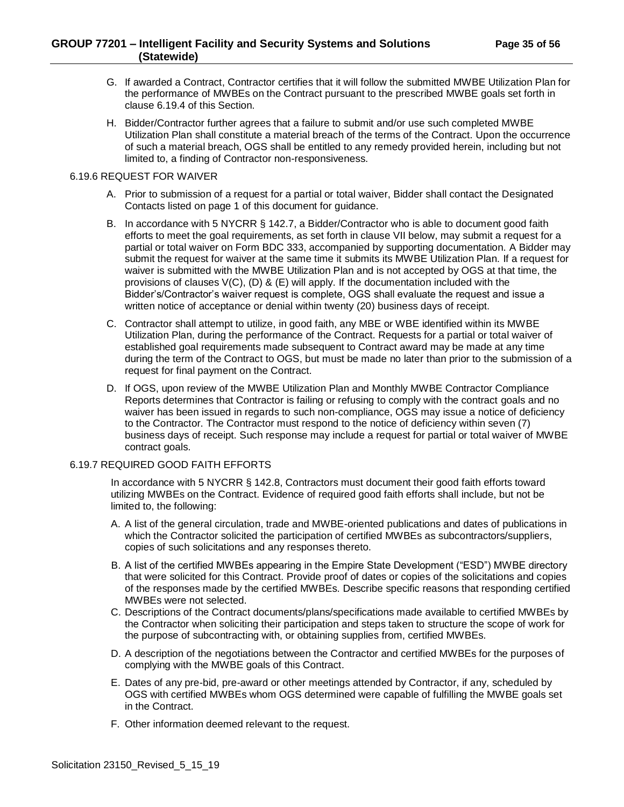- G. If awarded a Contract, Contractor certifies that it will follow the submitted MWBE Utilization Plan for the performance of MWBEs on the Contract pursuant to the prescribed MWBE goals set forth in clause 6.19.4 of this Section.
- H. Bidder/Contractor further agrees that a failure to submit and/or use such completed MWBE Utilization Plan shall constitute a material breach of the terms of the Contract. Upon the occurrence of such a material breach, OGS shall be entitled to any remedy provided herein, including but not limited to, a finding of Contractor non-responsiveness.

#### <span id="page-34-0"></span>6.19.6 REQUEST FOR WAIVER

- A. Prior to submission of a request for a partial or total waiver, Bidder shall contact the Designated Contacts listed on page 1 of this document for guidance.
- B. In accordance with 5 NYCRR § 142.7, a Bidder/Contractor who is able to document good faith efforts to meet the goal requirements, as set forth in clause VII below, may submit a request for a partial or total waiver on Form BDC 333, accompanied by supporting documentation. A Bidder may submit the request for waiver at the same time it submits its MWBE Utilization Plan. If a request for waiver is submitted with the MWBE Utilization Plan and is not accepted by OGS at that time, the provisions of clauses  $V(C)$ ,  $(D)$  &  $(E)$  will apply. If the documentation included with the Bidder's/Contractor's waiver request is complete, OGS shall evaluate the request and issue a written notice of acceptance or denial within twenty (20) business days of receipt.
- C. Contractor shall attempt to utilize, in good faith, any MBE or WBE identified within its MWBE Utilization Plan, during the performance of the Contract. Requests for a partial or total waiver of established goal requirements made subsequent to Contract award may be made at any time during the term of the Contract to OGS, but must be made no later than prior to the submission of a request for final payment on the Contract.
- D. If OGS, upon review of the MWBE Utilization Plan and Monthly MWBE Contractor Compliance Reports determines that Contractor is failing or refusing to comply with the contract goals and no waiver has been issued in regards to such non-compliance, OGS may issue a notice of deficiency to the Contractor. The Contractor must respond to the notice of deficiency within seven (7) business days of receipt. Such response may include a request for partial or total waiver of MWBE contract goals.

#### <span id="page-34-1"></span>6.19.7 REQUIRED GOOD FAITH EFFORTS

In accordance with 5 NYCRR § 142.8, Contractors must document their good faith efforts toward utilizing MWBEs on the Contract. Evidence of required good faith efforts shall include, but not be limited to, the following:

- A. A list of the general circulation, trade and MWBE-oriented publications and dates of publications in which the Contractor solicited the participation of certified MWBEs as subcontractors/suppliers, copies of such solicitations and any responses thereto.
- B. A list of the certified MWBEs appearing in the Empire State Development ("ESD") MWBE directory that were solicited for this Contract. Provide proof of dates or copies of the solicitations and copies of the responses made by the certified MWBEs. Describe specific reasons that responding certified MWBEs were not selected.
- C. Descriptions of the Contract documents/plans/specifications made available to certified MWBEs by the Contractor when soliciting their participation and steps taken to structure the scope of work for the purpose of subcontracting with, or obtaining supplies from, certified MWBEs.
- D. A description of the negotiations between the Contractor and certified MWBEs for the purposes of complying with the MWBE goals of this Contract.
- E. Dates of any pre-bid, pre-award or other meetings attended by Contractor, if any, scheduled by OGS with certified MWBEs whom OGS determined were capable of fulfilling the MWBE goals set in the Contract.
- F. Other information deemed relevant to the request.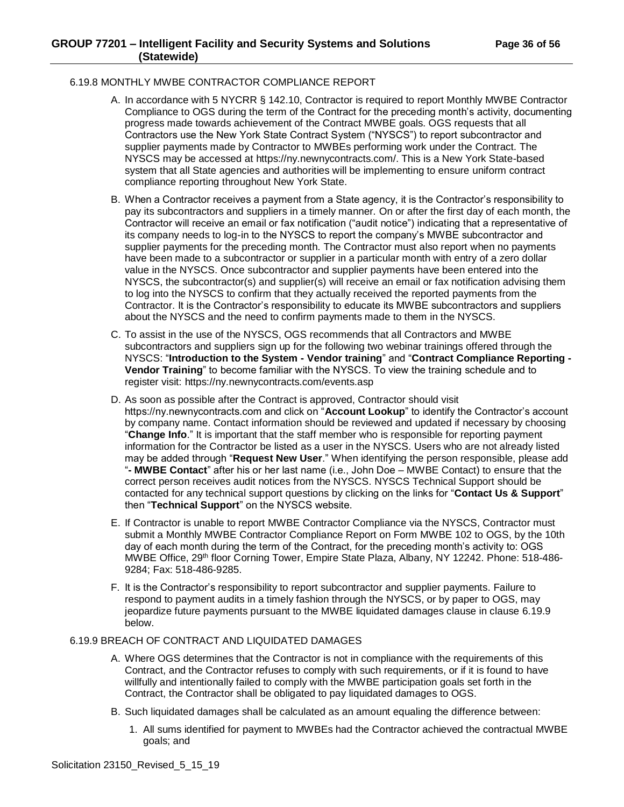#### <span id="page-35-0"></span>6.19.8 MONTHLY MWBE CONTRACTOR COMPLIANCE REPORT

- A. In accordance with 5 NYCRR § 142.10, Contractor is required to report Monthly MWBE Contractor Compliance to OGS during the term of the Contract for the preceding month's activity, documenting progress made towards achievement of the Contract MWBE goals. OGS requests that all Contractors use the New York State Contract System ("NYSCS") to report subcontractor and supplier payments made by Contractor to MWBEs performing work under the Contract. The NYSCS may be accessed at https://ny.newnycontracts.com/. This is a New York State-based system that all State agencies and authorities will be implementing to ensure uniform contract compliance reporting throughout New York State.
- B. When a Contractor receives a payment from a State agency, it is the Contractor's responsibility to pay its subcontractors and suppliers in a timely manner. On or after the first day of each month, the Contractor will receive an email or fax notification ("audit notice") indicating that a representative of its company needs to log-in to the NYSCS to report the company's MWBE subcontractor and supplier payments for the preceding month. The Contractor must also report when no payments have been made to a subcontractor or supplier in a particular month with entry of a zero dollar value in the NYSCS. Once subcontractor and supplier payments have been entered into the NYSCS, the subcontractor(s) and supplier(s) will receive an email or fax notification advising them to log into the NYSCS to confirm that they actually received the reported payments from the Contractor. It is the Contractor's responsibility to educate its MWBE subcontractors and suppliers about the NYSCS and the need to confirm payments made to them in the NYSCS.
- C. To assist in the use of the NYSCS, OGS recommends that all Contractors and MWBE subcontractors and suppliers sign up for the following two webinar trainings offered through the NYSCS: "**Introduction to the System - Vendor training**" and "**Contract Compliance Reporting - Vendor Training**" to become familiar with the NYSCS. To view the training schedule and to register visit: https://ny.newnycontracts.com/events.asp
- D. As soon as possible after the Contract is approved, Contractor should visit https://ny.newnycontracts.com and click on "**Account Lookup**" to identify the Contractor's account by company name. Contact information should be reviewed and updated if necessary by choosing "**Change Info**." It is important that the staff member who is responsible for reporting payment information for the Contractor be listed as a user in the NYSCS. Users who are not already listed may be added through "**Request New User**." When identifying the person responsible, please add "**- MWBE Contact**" after his or her last name (i.e., John Doe – MWBE Contact) to ensure that the correct person receives audit notices from the NYSCS. NYSCS Technical Support should be contacted for any technical support questions by clicking on the links for "**Contact Us & Support**" then "**Technical Support**" on the NYSCS website.
- E. If Contractor is unable to report MWBE Contractor Compliance via the NYSCS, Contractor must submit a Monthly MWBE Contractor Compliance Report on Form MWBE 102 to OGS, by the 10th day of each month during the term of the Contract, for the preceding month's activity to: OGS MWBE Office, 29<sup>th</sup> floor Corning Tower, Empire State Plaza, Albany, NY 12242. Phone: 518-486-9284; Fax: 518-486-9285.
- F. It is the Contractor's responsibility to report subcontractor and supplier payments. Failure to respond to payment audits in a timely fashion through the NYSCS, or by paper to OGS, may jeopardize future payments pursuant to the MWBE liquidated damages clause in clause 6.19.9 below.

#### <span id="page-35-1"></span>6.19.9 BREACH OF CONTRACT AND LIQUIDATED DAMAGES

- A. Where OGS determines that the Contractor is not in compliance with the requirements of this Contract, and the Contractor refuses to comply with such requirements, or if it is found to have willfully and intentionally failed to comply with the MWBE participation goals set forth in the Contract, the Contractor shall be obligated to pay liquidated damages to OGS.
- B. Such liquidated damages shall be calculated as an amount equaling the difference between:
	- 1. All sums identified for payment to MWBEs had the Contractor achieved the contractual MWBE goals; and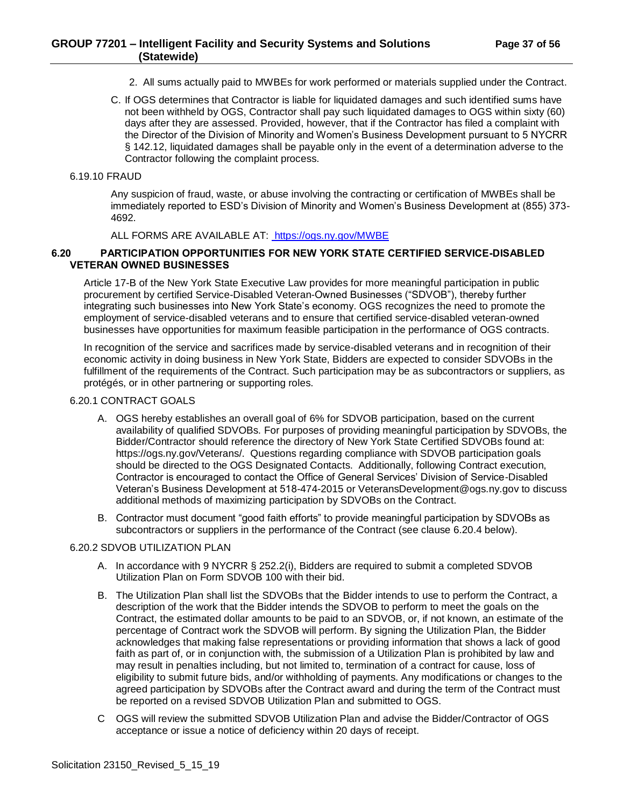- 2. All sums actually paid to MWBEs for work performed or materials supplied under the Contract.
- C. If OGS determines that Contractor is liable for liquidated damages and such identified sums have not been withheld by OGS, Contractor shall pay such liquidated damages to OGS within sixty (60) days after they are assessed. Provided, however, that if the Contractor has filed a complaint with the Director of the Division of Minority and Women's Business Development pursuant to 5 NYCRR § 142.12, liquidated damages shall be payable only in the event of a determination adverse to the Contractor following the complaint process.

#### <span id="page-36-0"></span>6.19.10 FRAUD

Any suspicion of fraud, waste, or abuse involving the contracting or certification of MWBEs shall be immediately reported to ESD's Division of Minority and Women's Business Development at (855) 373- 4692.

ALL FORMS ARE AVAILABLE AT: <https://ogs.ny.gov/MWBE>

#### <span id="page-36-1"></span>**6.20 PARTICIPATION OPPORTUNITIES FOR NEW YORK STATE CERTIFIED SERVICE-DISABLED VETERAN OWNED BUSINESSES**

Article 17-B of the New York State Executive Law provides for more meaningful participation in public procurement by certified Service-Disabled Veteran-Owned Businesses ("SDVOB"), thereby further integrating such businesses into New York State's economy. OGS recognizes the need to promote the employment of service-disabled veterans and to ensure that certified service-disabled veteran-owned businesses have opportunities for maximum feasible participation in the performance of OGS contracts.

In recognition of the service and sacrifices made by service-disabled veterans and in recognition of their economic activity in doing business in New York State, Bidders are expected to consider SDVOBs in the fulfillment of the requirements of the Contract. Such participation may be as subcontractors or suppliers, as protégés, or in other partnering or supporting roles.

#### <span id="page-36-2"></span>6.20.1 CONTRACT GOALS

- A. OGS hereby establishes an overall goal of 6% for SDVOB participation, based on the current availability of qualified SDVOBs. For purposes of providing meaningful participation by SDVOBs, the Bidder/Contractor should reference the directory of New York State Certified SDVOBs found at: https://ogs.ny.gov/Veterans/. Questions regarding compliance with SDVOB participation goals should be directed to the OGS Designated Contacts. Additionally, following Contract execution, Contractor is encouraged to contact the Office of General Services' Division of Service-Disabled Veteran's Business Development at 518-474-2015 or VeteransDevelopment@ogs.ny.gov to discuss additional methods of maximizing participation by SDVOBs on the Contract.
- B. Contractor must document "good faith efforts" to provide meaningful participation by SDVOBs as subcontractors or suppliers in the performance of the Contract (see clause 6.20.4 below).

#### <span id="page-36-3"></span>6.20.2 SDVOB UTILIZATION PLAN

- A. In accordance with 9 NYCRR § 252.2(i), Bidders are required to submit a completed SDVOB Utilization Plan on Form SDVOB 100 with their bid.
- B. The Utilization Plan shall list the SDVOBs that the Bidder intends to use to perform the Contract, a description of the work that the Bidder intends the SDVOB to perform to meet the goals on the Contract, the estimated dollar amounts to be paid to an SDVOB, or, if not known, an estimate of the percentage of Contract work the SDVOB will perform. By signing the Utilization Plan, the Bidder acknowledges that making false representations or providing information that shows a lack of good faith as part of, or in conjunction with, the submission of a Utilization Plan is prohibited by law and may result in penalties including, but not limited to, termination of a contract for cause, loss of eligibility to submit future bids, and/or withholding of payments. Any modifications or changes to the agreed participation by SDVOBs after the Contract award and during the term of the Contract must be reported on a revised SDVOB Utilization Plan and submitted to OGS.
- C OGS will review the submitted SDVOB Utilization Plan and advise the Bidder/Contractor of OGS acceptance or issue a notice of deficiency within 20 days of receipt.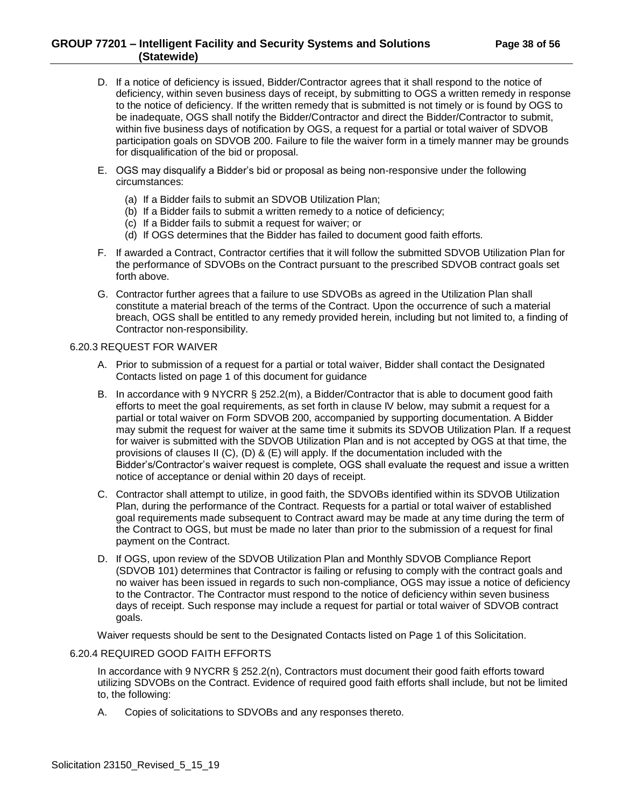## **GROUP 77201 – Intelligent Facility and Security Systems and Solutions Page 38 of 56 (Statewide)**

- D. If a notice of deficiency is issued, Bidder/Contractor agrees that it shall respond to the notice of deficiency, within seven business days of receipt, by submitting to OGS a written remedy in response to the notice of deficiency. If the written remedy that is submitted is not timely or is found by OGS to be inadequate, OGS shall notify the Bidder/Contractor and direct the Bidder/Contractor to submit, within five business days of notification by OGS, a request for a partial or total waiver of SDVOB participation goals on SDVOB 200. Failure to file the waiver form in a timely manner may be grounds for disqualification of the bid or proposal.
- E. OGS may disqualify a Bidder's bid or proposal as being non-responsive under the following circumstances:
	- (a) If a Bidder fails to submit an SDVOB Utilization Plan;
	- (b) If a Bidder fails to submit a written remedy to a notice of deficiency;
	- (c) If a Bidder fails to submit a request for waiver; or
	- (d) If OGS determines that the Bidder has failed to document good faith efforts.
- F. If awarded a Contract, Contractor certifies that it will follow the submitted SDVOB Utilization Plan for the performance of SDVOBs on the Contract pursuant to the prescribed SDVOB contract goals set forth above.
- G. Contractor further agrees that a failure to use SDVOBs as agreed in the Utilization Plan shall constitute a material breach of the terms of the Contract. Upon the occurrence of such a material breach, OGS shall be entitled to any remedy provided herein, including but not limited to, a finding of Contractor non-responsibility.

#### <span id="page-37-0"></span>6.20.3 REQUEST FOR WAIVER

- A. Prior to submission of a request for a partial or total waiver, Bidder shall contact the Designated Contacts listed on page 1 of this document for guidance
- B. In accordance with 9 NYCRR § 252.2(m), a Bidder/Contractor that is able to document good faith efforts to meet the goal requirements, as set forth in clause IV below, may submit a request for a partial or total waiver on Form SDVOB 200, accompanied by supporting documentation. A Bidder may submit the request for waiver at the same time it submits its SDVOB Utilization Plan. If a request for waiver is submitted with the SDVOB Utilization Plan and is not accepted by OGS at that time, the provisions of clauses II (C), (D) & (E) will apply. If the documentation included with the Bidder's/Contractor's waiver request is complete, OGS shall evaluate the request and issue a written notice of acceptance or denial within 20 days of receipt.
- C. Contractor shall attempt to utilize, in good faith, the SDVOBs identified within its SDVOB Utilization Plan, during the performance of the Contract. Requests for a partial or total waiver of established goal requirements made subsequent to Contract award may be made at any time during the term of the Contract to OGS, but must be made no later than prior to the submission of a request for final payment on the Contract.
- D. If OGS, upon review of the SDVOB Utilization Plan and Monthly SDVOB Compliance Report (SDVOB 101) determines that Contractor is failing or refusing to comply with the contract goals and no waiver has been issued in regards to such non-compliance, OGS may issue a notice of deficiency to the Contractor. The Contractor must respond to the notice of deficiency within seven business days of receipt. Such response may include a request for partial or total waiver of SDVOB contract goals.

Waiver requests should be sent to the Designated Contacts listed on Page 1 of this Solicitation.

#### <span id="page-37-1"></span>6.20.4 REQUIRED GOOD FAITH EFFORTS

In accordance with 9 NYCRR § 252.2(n), Contractors must document their good faith efforts toward utilizing SDVOBs on the Contract. Evidence of required good faith efforts shall include, but not be limited to, the following:

A. Copies of solicitations to SDVOBs and any responses thereto.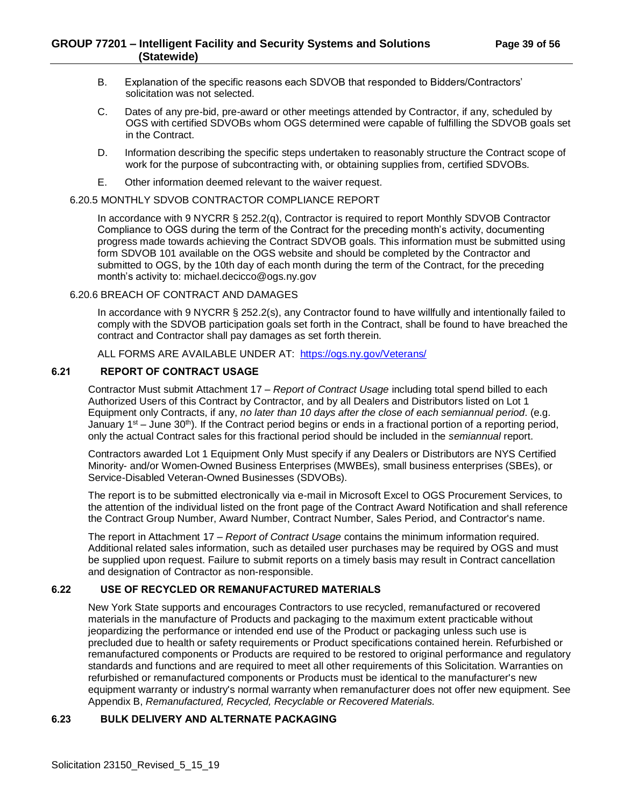- B. Explanation of the specific reasons each SDVOB that responded to Bidders/Contractors' solicitation was not selected.
- C. Dates of any pre-bid, pre-award or other meetings attended by Contractor, if any, scheduled by OGS with certified SDVOBs whom OGS determined were capable of fulfilling the SDVOB goals set in the Contract.
- D. Information describing the specific steps undertaken to reasonably structure the Contract scope of work for the purpose of subcontracting with, or obtaining supplies from, certified SDVOBs.
- E. Other information deemed relevant to the waiver request.

#### <span id="page-38-0"></span>6.20.5 MONTHLY SDVOB CONTRACTOR COMPLIANCE REPORT

In accordance with 9 NYCRR § 252.2(q), Contractor is required to report Monthly SDVOB Contractor Compliance to OGS during the term of the Contract for the preceding month's activity, documenting progress made towards achieving the Contract SDVOB goals. This information must be submitted using form SDVOB 101 available on the OGS website and should be completed by the Contractor and submitted to OGS, by the 10th day of each month during the term of the Contract, for the preceding month's activity to: michael.decicco@ogs.ny.gov

## <span id="page-38-1"></span>6.20.6 BREACH OF CONTRACT AND DAMAGES

In accordance with 9 NYCRR § 252.2(s), any Contractor found to have willfully and intentionally failed to comply with the SDVOB participation goals set forth in the Contract, shall be found to have breached the contract and Contractor shall pay damages as set forth therein.

## ALL FORMS ARE AVAILABLE UNDER AT: <https://ogs.ny.gov/Veterans/>

## <span id="page-38-2"></span>**6.21 REPORT OF CONTRACT USAGE**

Contractor Must submit Attachment 17 – *Report of Contract Usage* including total spend billed to each Authorized Users of this Contract by Contractor, and by all Dealers and Distributors listed on Lot 1 Equipment only Contracts, if any, *no later than 10 days after the close of each semiannual period*. (e.g. January  $1^{st}$  – June 30<sup>th</sup>). If the Contract period begins or ends in a fractional portion of a reporting period, only the actual Contract sales for this fractional period should be included in the *semiannual* report.

Contractors awarded Lot 1 Equipment Only Must specify if any Dealers or Distributors are NYS Certified Minority- and/or Women-Owned Business Enterprises (MWBEs), small business enterprises (SBEs), or Service-Disabled Veteran-Owned Businesses (SDVOBs).

The report is to be submitted electronically via e-mail in Microsoft Excel to OGS Procurement Services, to the attention of the individual listed on the front page of the Contract Award Notification and shall reference the Contract Group Number, Award Number, Contract Number, Sales Period, and Contractor's name.

The report in Attachment 17 – *Report of Contract Usage* contains the minimum information required. Additional related sales information, such as detailed user purchases may be required by OGS and must be supplied upon request. Failure to submit reports on a timely basis may result in Contract cancellation and designation of Contractor as non-responsible.

#### <span id="page-38-3"></span>**6.22 USE OF RECYCLED OR REMANUFACTURED MATERIALS**

New York State supports and encourages Contractors to use recycled, remanufactured or recovered materials in the manufacture of Products and packaging to the maximum extent practicable without jeopardizing the performance or intended end use of the Product or packaging unless such use is precluded due to health or safety requirements or Product specifications contained herein. Refurbished or remanufactured components or Products are required to be restored to original performance and regulatory standards and functions and are required to meet all other requirements of this Solicitation. Warranties on refurbished or remanufactured components or Products must be identical to the manufacturer's new equipment warranty or industry's normal warranty when remanufacturer does not offer new equipment. See Appendix B, *Remanufactured, Recycled, Recyclable or Recovered Materials.*

## <span id="page-38-4"></span>**6.23 BULK DELIVERY AND ALTERNATE PACKAGING**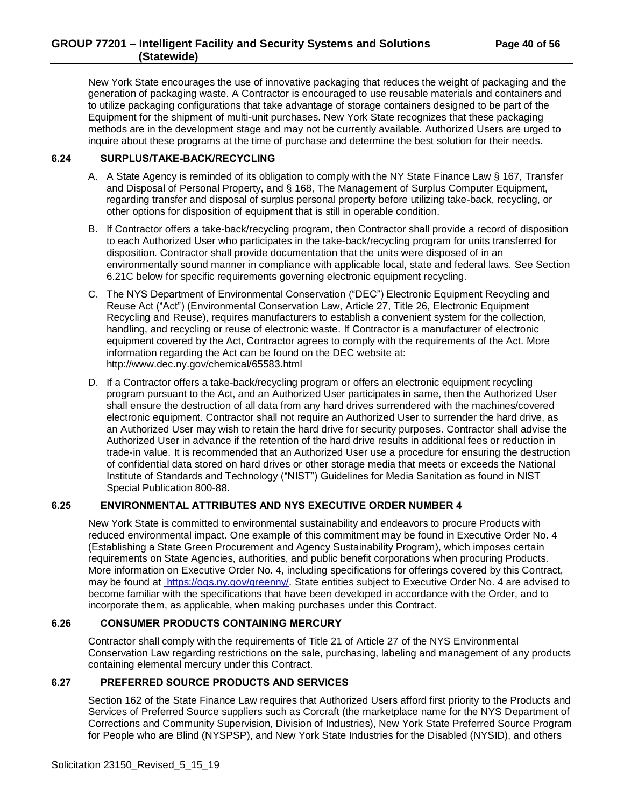## **GROUP 77201 – Intelligent Facility and Security Systems and Solutions Page 40 of 56 (Statewide)**

New York State encourages the use of innovative packaging that reduces the weight of packaging and the generation of packaging waste. A Contractor is encouraged to use reusable materials and containers and to utilize packaging configurations that take advantage of storage containers designed to be part of the Equipment for the shipment of multi-unit purchases. New York State recognizes that these packaging methods are in the development stage and may not be currently available. Authorized Users are urged to inquire about these programs at the time of purchase and determine the best solution for their needs.

## <span id="page-39-0"></span>**6.24 SURPLUS/TAKE-BACK/RECYCLING**

- A. A State Agency is reminded of its obligation to comply with the NY State Finance Law § 167, Transfer and Disposal of Personal Property, and § 168, The Management of Surplus Computer Equipment, regarding transfer and disposal of surplus personal property before utilizing take-back, recycling, or other options for disposition of equipment that is still in operable condition.
- B. If Contractor offers a take-back/recycling program, then Contractor shall provide a record of disposition to each Authorized User who participates in the take-back/recycling program for units transferred for disposition. Contractor shall provide documentation that the units were disposed of in an environmentally sound manner in compliance with applicable local, state and federal laws. See Section 6.21C below for specific requirements governing electronic equipment recycling.
- C. The NYS Department of Environmental Conservation ("DEC") Electronic Equipment Recycling and Reuse Act ("Act") (Environmental Conservation Law, Article 27, Title 26, Electronic Equipment Recycling and Reuse), requires manufacturers to establish a convenient system for the collection, handling, and recycling or reuse of electronic waste. If Contractor is a manufacturer of electronic equipment covered by the Act, Contractor agrees to comply with the requirements of the Act. More information regarding the Act can be found on the DEC website at: http://www.dec.ny.gov/chemical/65583.html
- D. If a Contractor offers a take-back/recycling program or offers an electronic equipment recycling program pursuant to the Act, and an Authorized User participates in same, then the Authorized User shall ensure the destruction of all data from any hard drives surrendered with the machines/covered electronic equipment. Contractor shall not require an Authorized User to surrender the hard drive, as an Authorized User may wish to retain the hard drive for security purposes. Contractor shall advise the Authorized User in advance if the retention of the hard drive results in additional fees or reduction in trade-in value. It is recommended that an Authorized User use a procedure for ensuring the destruction of confidential data stored on hard drives or other storage media that meets or exceeds the National Institute of Standards and Technology ("NIST") Guidelines for Media Sanitation as found in NIST Special Publication 800-88.

## <span id="page-39-1"></span>**6.25 ENVIRONMENTAL ATTRIBUTES AND NYS EXECUTIVE ORDER NUMBER 4**

New York State is committed to environmental sustainability and endeavors to procure Products with reduced environmental impact. One example of this commitment may be found in Executive Order No. 4 (Establishing a State Green Procurement and Agency Sustainability Program), which imposes certain requirements on State Agencies, authorities, and public benefit corporations when procuring Products. More information on Executive Order No. 4, including specifications for offerings covered by this Contract, may be found at [https://ogs.ny.gov/greenny/.](https://ogs.ny.gov/greenny/) State entities subject to Executive Order No. 4 are advised to become familiar with the specifications that have been developed in accordance with the Order, and to incorporate them, as applicable, when making purchases under this Contract.

## <span id="page-39-2"></span>**6.26 CONSUMER PRODUCTS CONTAINING MERCURY**

Contractor shall comply with the requirements of Title 21 of Article 27 of the NYS Environmental Conservation Law regarding restrictions on the sale, purchasing, labeling and management of any products containing elemental mercury under this Contract.

#### <span id="page-39-3"></span>**6.27 PREFERRED SOURCE PRODUCTS AND SERVICES**

Section 162 of the State Finance Law requires that Authorized Users afford first priority to the Products and Services of Preferred Source suppliers such as Corcraft (the marketplace name for the NYS Department of Corrections and Community Supervision, Division of Industries), New York State Preferred Source Program for People who are Blind (NYSPSP), and New York State Industries for the Disabled (NYSID), and others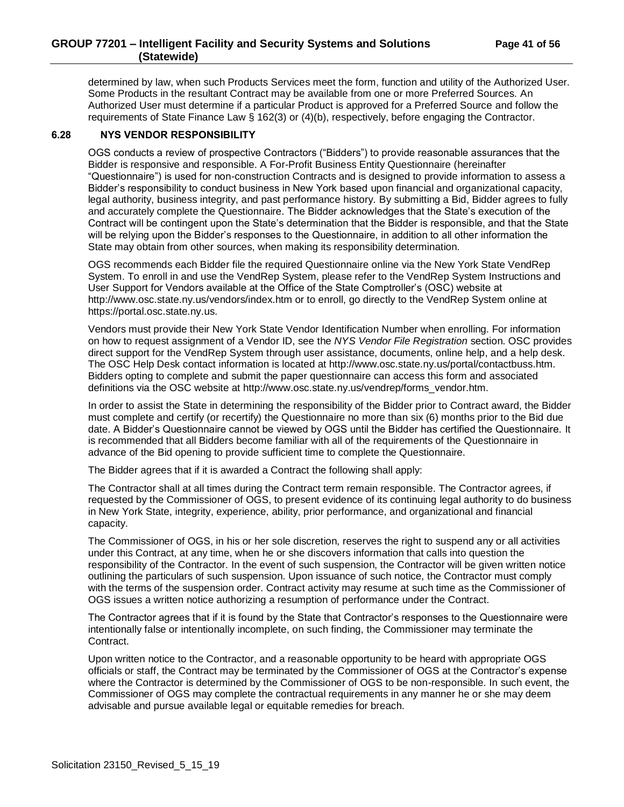## **GROUP 77201 – Intelligent Facility and Security Systems and Solutions Page 41 of 56 (Statewide)**

determined by law, when such Products Services meet the form, function and utility of the Authorized User. Some Products in the resultant Contract may be available from one or more Preferred Sources. An Authorized User must determine if a particular Product is approved for a Preferred Source and follow the requirements of State Finance Law § 162(3) or (4)(b), respectively, before engaging the Contractor.

#### <span id="page-40-0"></span>**6.28 NYS VENDOR RESPONSIBILITY**

OGS conducts a review of prospective Contractors ("Bidders") to provide reasonable assurances that the Bidder is responsive and responsible. A For-Profit Business Entity Questionnaire (hereinafter "Questionnaire") is used for non-construction Contracts and is designed to provide information to assess a Bidder's responsibility to conduct business in New York based upon financial and organizational capacity, legal authority, business integrity, and past performance history. By submitting a Bid, Bidder agrees to fully and accurately complete the Questionnaire. The Bidder acknowledges that the State's execution of the Contract will be contingent upon the State's determination that the Bidder is responsible, and that the State will be relying upon the Bidder's responses to the Questionnaire, in addition to all other information the State may obtain from other sources, when making its responsibility determination.

OGS recommends each Bidder file the required Questionnaire online via the New York State VendRep System. To enroll in and use the VendRep System, please refer to the VendRep System Instructions and User Support for Vendors available at the Office of the State Comptroller's (OSC) website at http://www.osc.state.ny.us/vendors/index.htm or to enroll, go directly to the VendRep System online at https://portal.osc.state.ny.us.

Vendors must provide their New York State Vendor Identification Number when enrolling. For information on how to request assignment of a Vendor ID, see the *NYS Vendor File Registration* section. OSC provides direct support for the VendRep System through user assistance, documents, online help, and a help desk. The OSC Help Desk contact information is located at http://www.osc.state.ny.us/portal/contactbuss.htm. Bidders opting to complete and submit the paper questionnaire can access this form and associated definitions via the OSC website at http://www.osc.state.ny.us/vendrep/forms\_vendor.htm.

In order to assist the State in determining the responsibility of the Bidder prior to Contract award, the Bidder must complete and certify (or recertify) the Questionnaire no more than six (6) months prior to the Bid due date. A Bidder's Questionnaire cannot be viewed by OGS until the Bidder has certified the Questionnaire. It is recommended that all Bidders become familiar with all of the requirements of the Questionnaire in advance of the Bid opening to provide sufficient time to complete the Questionnaire.

The Bidder agrees that if it is awarded a Contract the following shall apply:

The Contractor shall at all times during the Contract term remain responsible. The Contractor agrees, if requested by the Commissioner of OGS, to present evidence of its continuing legal authority to do business in New York State, integrity, experience, ability, prior performance, and organizational and financial capacity.

The Commissioner of OGS, in his or her sole discretion, reserves the right to suspend any or all activities under this Contract, at any time, when he or she discovers information that calls into question the responsibility of the Contractor. In the event of such suspension, the Contractor will be given written notice outlining the particulars of such suspension. Upon issuance of such notice, the Contractor must comply with the terms of the suspension order. Contract activity may resume at such time as the Commissioner of OGS issues a written notice authorizing a resumption of performance under the Contract.

The Contractor agrees that if it is found by the State that Contractor's responses to the Questionnaire were intentionally false or intentionally incomplete, on such finding, the Commissioner may terminate the Contract.

Upon written notice to the Contractor, and a reasonable opportunity to be heard with appropriate OGS officials or staff, the Contract may be terminated by the Commissioner of OGS at the Contractor's expense where the Contractor is determined by the Commissioner of OGS to be non-responsible. In such event, the Commissioner of OGS may complete the contractual requirements in any manner he or she may deem advisable and pursue available legal or equitable remedies for breach.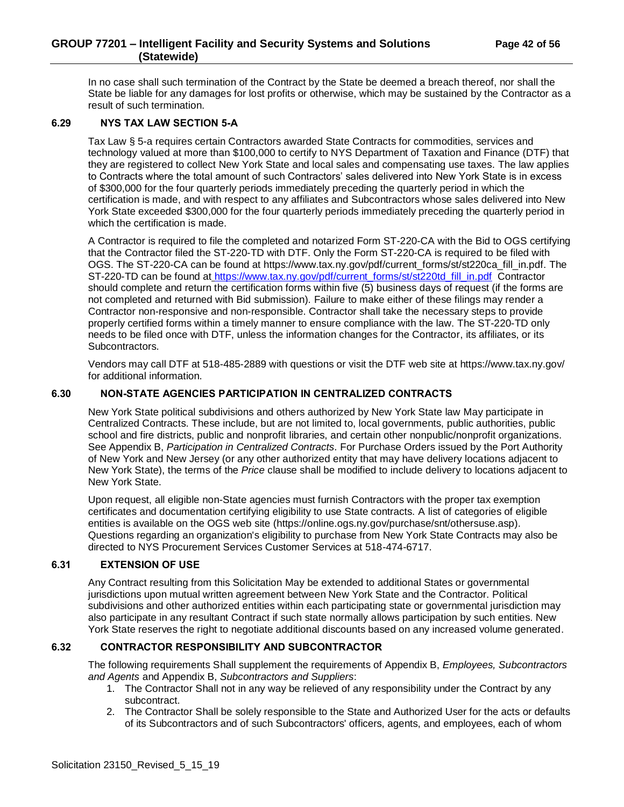## **GROUP 77201 – Intelligent Facility and Security Systems and Solutions Page 42 of 56 (Statewide)**

In no case shall such termination of the Contract by the State be deemed a breach thereof, nor shall the State be liable for any damages for lost profits or otherwise, which may be sustained by the Contractor as a result of such termination.

## <span id="page-41-0"></span>**6.29 NYS TAX LAW SECTION 5-A**

Tax Law § 5-a requires certain Contractors awarded State Contracts for commodities, services and technology valued at more than \$100,000 to certify to NYS Department of Taxation and Finance (DTF) that they are registered to collect New York State and local sales and compensating use taxes. The law applies to Contracts where the total amount of such Contractors' sales delivered into New York State is in excess of \$300,000 for the four quarterly periods immediately preceding the quarterly period in which the certification is made, and with respect to any affiliates and Subcontractors whose sales delivered into New York State exceeded \$300,000 for the four quarterly periods immediately preceding the quarterly period in which the certification is made.

A Contractor is required to file the completed and notarized Form ST-220-CA with the Bid to OGS certifying that the Contractor filed the ST-220-TD with DTF. Only the Form ST-220-CA is required to be filed with OGS. The ST-220-CA can be found at https://www.tax.ny.gov/pdf/current\_forms/st/st220ca\_fill\_in.pdf. The ST-220-TD can be found at [https://www.tax.ny.gov/pdf/current\\_forms/st/st220td\\_fill\\_in.pdf](https://www.tax.ny.gov/pdf/current_forms/st/st220td_fill_in.pdf) Contractor should complete and return the certification forms within five (5) business days of request (if the forms are not completed and returned with Bid submission). Failure to make either of these filings may render a Contractor non-responsive and non-responsible. Contractor shall take the necessary steps to provide properly certified forms within a timely manner to ensure compliance with the law. The ST-220-TD only needs to be filed once with DTF, unless the information changes for the Contractor, its affiliates, or its Subcontractors.

Vendors may call DTF at 518-485-2889 with questions or visit the DTF web site at https://www.tax.ny.gov/ for additional information.

## <span id="page-41-1"></span>**6.30 NON-STATE AGENCIES PARTICIPATION IN CENTRALIZED CONTRACTS**

New York State political subdivisions and others authorized by New York State law May participate in Centralized Contracts. These include, but are not limited to, local governments, public authorities, public school and fire districts, public and nonprofit libraries, and certain other nonpublic/nonprofit organizations. See Appendix B, *Participation in Centralized Contracts*. For Purchase Orders issued by the Port Authority of New York and New Jersey (or any other authorized entity that may have delivery locations adjacent to New York State), the terms of the *Price* clause shall be modified to include delivery to locations adjacent to New York State.

Upon request, all eligible non-State agencies must furnish Contractors with the proper tax exemption certificates and documentation certifying eligibility to use State contracts. A list of categories of eligible entities is available on the OGS web site (https://online.ogs.ny.gov/purchase/snt/othersuse.asp). Questions regarding an organization's eligibility to purchase from New York State Contracts may also be directed to NYS Procurement Services Customer Services at 518-474-6717.

## <span id="page-41-2"></span>**6.31 EXTENSION OF USE**

Any Contract resulting from this Solicitation May be extended to additional States or governmental jurisdictions upon mutual written agreement between New York State and the Contractor. Political subdivisions and other authorized entities within each participating state or governmental jurisdiction may also participate in any resultant Contract if such state normally allows participation by such entities. New York State reserves the right to negotiate additional discounts based on any increased volume generated.

## <span id="page-41-3"></span>**6.32 CONTRACTOR RESPONSIBILITY AND SUBCONTRACTOR**

The following requirements Shall supplement the requirements of Appendix B, *Employees, Subcontractors and Agents* and Appendix B, *Subcontractors and Suppliers*:

- 1. The Contractor Shall not in any way be relieved of any responsibility under the Contract by any subcontract.
- 2. The Contractor Shall be solely responsible to the State and Authorized User for the acts or defaults of its Subcontractors and of such Subcontractors' officers, agents, and employees, each of whom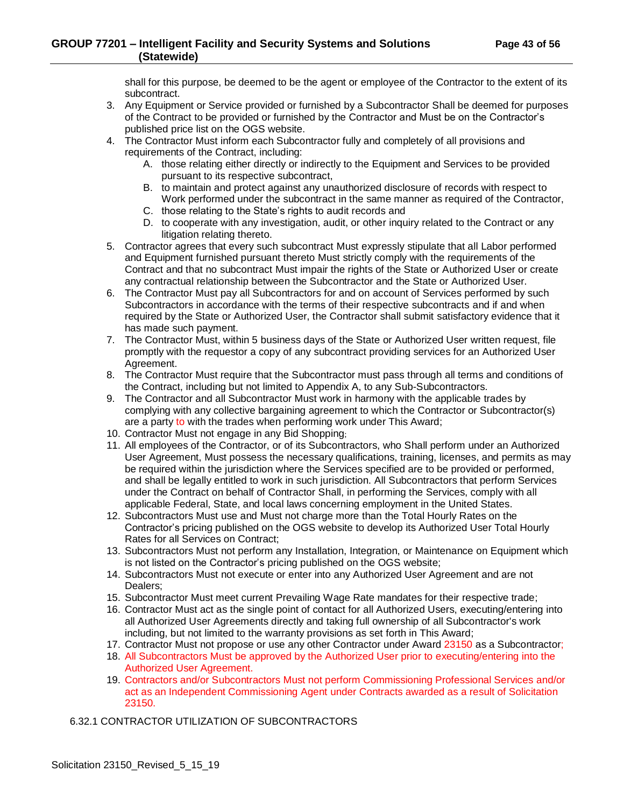shall for this purpose, be deemed to be the agent or employee of the Contractor to the extent of its subcontract.

- 3. Any Equipment or Service provided or furnished by a Subcontractor Shall be deemed for purposes of the Contract to be provided or furnished by the Contractor and Must be on the Contractor's published price list on the OGS website.
- 4. The Contractor Must inform each Subcontractor fully and completely of all provisions and requirements of the Contract, including:
	- A. those relating either directly or indirectly to the Equipment and Services to be provided pursuant to its respective subcontract,
	- B. to maintain and protect against any unauthorized disclosure of records with respect to Work performed under the subcontract in the same manner as required of the Contractor,
	- C. those relating to the State's rights to audit records and
	- D. to cooperate with any investigation, audit, or other inquiry related to the Contract or any litigation relating thereto.
- 5. Contractor agrees that every such subcontract Must expressly stipulate that all Labor performed and Equipment furnished pursuant thereto Must strictly comply with the requirements of the Contract and that no subcontract Must impair the rights of the State or Authorized User or create any contractual relationship between the Subcontractor and the State or Authorized User.
- 6. The Contractor Must pay all Subcontractors for and on account of Services performed by such Subcontractors in accordance with the terms of their respective subcontracts and if and when required by the State or Authorized User, the Contractor shall submit satisfactory evidence that it has made such payment.
- 7. The Contractor Must, within 5 business days of the State or Authorized User written request, file promptly with the requestor a copy of any subcontract providing services for an Authorized User Agreement.
- 8. The Contractor Must require that the Subcontractor must pass through all terms and conditions of the Contract, including but not limited to Appendix A, to any Sub-Subcontractors.
- 9. The Contractor and all Subcontractor Must work in harmony with the applicable trades by complying with any collective bargaining agreement to which the Contractor or Subcontractor(s) are a party to with the trades when performing work under This Award;
- 10. Contractor Must not engage in any Bid Shopping;
- 11. All employees of the Contractor, or of its Subcontractors, who Shall perform under an Authorized User Agreement, Must possess the necessary qualifications, training, licenses, and permits as may be required within the jurisdiction where the Services specified are to be provided or performed, and shall be legally entitled to work in such jurisdiction. All Subcontractors that perform Services under the Contract on behalf of Contractor Shall, in performing the Services, comply with all applicable Federal, State, and local laws concerning employment in the United States.
- 12. Subcontractors Must use and Must not charge more than the Total Hourly Rates on the Contractor's pricing published on the OGS website to develop its Authorized User Total Hourly Rates for all Services on Contract;
- 13. Subcontractors Must not perform any Installation, Integration, or Maintenance on Equipment which is not listed on the Contractor's pricing published on the OGS website;
- 14. Subcontractors Must not execute or enter into any Authorized User Agreement and are not Dealers;
- 15. Subcontractor Must meet current Prevailing Wage Rate mandates for their respective trade;
- 16. Contractor Must act as the single point of contact for all Authorized Users, executing/entering into all Authorized User Agreements directly and taking full ownership of all Subcontractor's work including, but not limited to the warranty provisions as set forth in This Award;
- 17. Contractor Must not propose or use any other Contractor under Award 23150 as a Subcontractor;
- 18. All Subcontractors Must be approved by the Authorized User prior to executing/entering into the Authorized User Agreement.
- 19. Contractors and/or Subcontractors Must not perform Commissioning Professional Services and/or act as an Independent Commissioning Agent under Contracts awarded as a result of Solicitation 23150.

<span id="page-42-0"></span>6.32.1 CONTRACTOR UTILIZATION OF SUBCONTRACTORS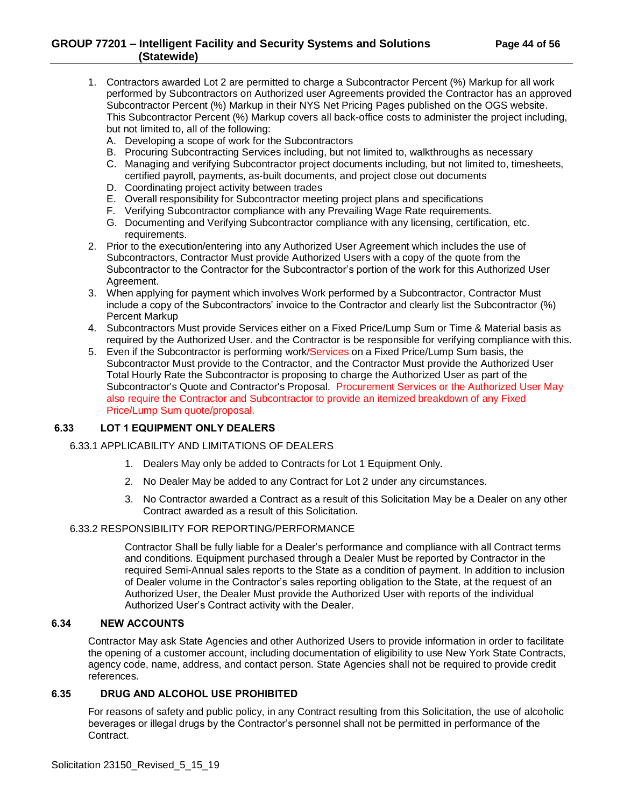- 1. Contractors awarded Lot 2 are permitted to charge a Subcontractor Percent (%) Markup for all work performed by Subcontractors on Authorized user Agreements provided the Contractor has an approved Subcontractor Percent (%) Markup in their NYS Net Pricing Pages published on the OGS website. This Subcontractor Percent (%) Markup covers all back-office costs to administer the project including, but not limited to, all of the following:
	- A. Developing a scope of work for the Subcontractors
	- B. Procuring Subcontracting Services including, but not limited to, walkthroughs as necessary
	- C. Managing and verifying Subcontractor project documents including, but not limited to, timesheets, certified payroll, payments, as-built documents, and project close out documents
	- D. Coordinating project activity between trades
	- E. Overall responsibility for Subcontractor meeting project plans and specifications
	- F. Verifying Subcontractor compliance with any Prevailing Wage Rate requirements.
	- G. Documenting and Verifying Subcontractor compliance with any licensing, certification, etc. requirements.
- 2. Prior to the execution/entering into any Authorized User Agreement which includes the use of Subcontractors, Contractor Must provide Authorized Users with a copy of the quote from the Subcontractor to the Contractor for the Subcontractor's portion of the work for this Authorized User Agreement.
- 3. When applying for payment which involves Work performed by a Subcontractor, Contractor Must include a copy of the Subcontractors' invoice to the Contractor and clearly list the Subcontractor (%) Percent Markup
- 4. Subcontractors Must provide Services either on a Fixed Price/Lump Sum or Time & Material basis as required by the Authorized User. and the Contractor is be responsible for verifying compliance with this.
- 5. Even if the Subcontractor is performing work/Services on a Fixed Price/Lump Sum basis, the Subcontractor Must provide to the Contractor, and the Contractor Must provide the Authorized User Total Hourly Rate the Subcontractor is proposing to charge the Authorized User as part of the Subcontractor's Quote and Contractor's Proposal. Procurement Services or the Authorized User May also require the Contractor and Subcontractor to provide an itemized breakdown of any Fixed Price/Lump Sum quote/proposal.

## <span id="page-43-1"></span><span id="page-43-0"></span>**6.33 LOT 1 EQUIPMENT ONLY DEALERS**

#### 6.33.1 APPLICABILITY AND LIMITATIONS OF DEALERS

- 1. Dealers May only be added to Contracts for Lot 1 Equipment Only.
- 2. No Dealer May be added to any Contract for Lot 2 under any circumstances.
- 3. No Contractor awarded a Contract as a result of this Solicitation May be a Dealer on any other Contract awarded as a result of this Solicitation.

## <span id="page-43-2"></span>6.33.2 RESPONSIBILITY FOR REPORTING/PERFORMANCE

Contractor Shall be fully liable for a Dealer's performance and compliance with all Contract terms and conditions. Equipment purchased through a Dealer Must be reported by Contractor in the required Semi-Annual sales reports to the State as a condition of payment. In addition to inclusion of Dealer volume in the Contractor's sales reporting obligation to the State, at the request of an Authorized User, the Dealer Must provide the Authorized User with reports of the individual Authorized User's Contract activity with the Dealer.

## <span id="page-43-3"></span>**6.34 NEW ACCOUNTS**

Contractor May ask State Agencies and other Authorized Users to provide information in order to facilitate the opening of a customer account, including documentation of eligibility to use New York State Contracts, agency code, name, address, and contact person. State Agencies shall not be required to provide credit references.

#### <span id="page-43-4"></span>**6.35 DRUG AND ALCOHOL USE PROHIBITED**

For reasons of safety and public policy, in any Contract resulting from this Solicitation, the use of alcoholic beverages or illegal drugs by the Contractor's personnel shall not be permitted in performance of the Contract.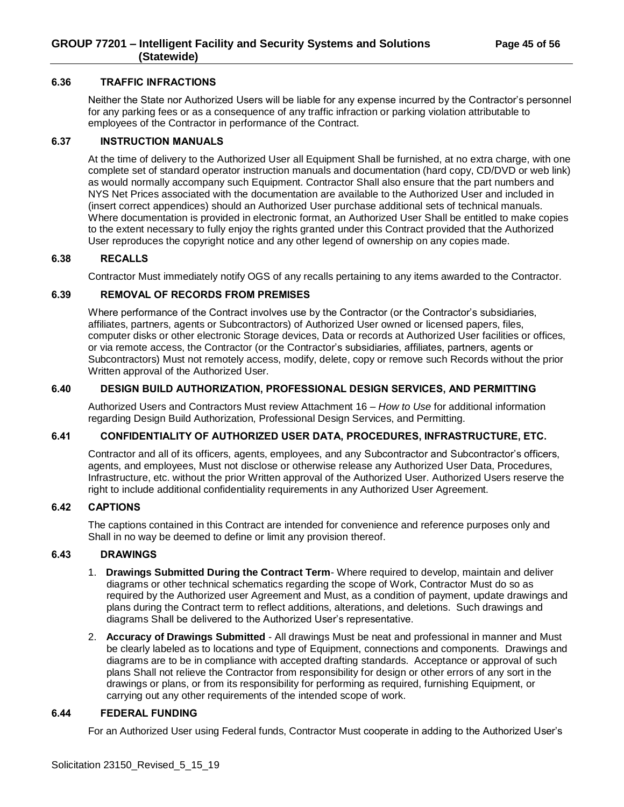#### <span id="page-44-0"></span>**6.36 TRAFFIC INFRACTIONS**

Neither the State nor Authorized Users will be liable for any expense incurred by the Contractor's personnel for any parking fees or as a consequence of any traffic infraction or parking violation attributable to employees of the Contractor in performance of the Contract.

## <span id="page-44-1"></span>**6.37 INSTRUCTION MANUALS**

At the time of delivery to the Authorized User all Equipment Shall be furnished, at no extra charge, with one complete set of standard operator instruction manuals and documentation (hard copy, CD/DVD or web link) as would normally accompany such Equipment. Contractor Shall also ensure that the part numbers and NYS Net Prices associated with the documentation are available to the Authorized User and included in (insert correct appendices) should an Authorized User purchase additional sets of technical manuals. Where documentation is provided in electronic format, an Authorized User Shall be entitled to make copies to the extent necessary to fully enjoy the rights granted under this Contract provided that the Authorized User reproduces the copyright notice and any other legend of ownership on any copies made.

#### <span id="page-44-2"></span>**6.38 RECALLS**

Contractor Must immediately notify OGS of any recalls pertaining to any items awarded to the Contractor.

## <span id="page-44-3"></span>**6.39 REMOVAL OF RECORDS FROM PREMISES**

Where performance of the Contract involves use by the Contractor (or the Contractor's subsidiaries, affiliates, partners, agents or Subcontractors) of Authorized User owned or licensed papers, files, computer disks or other electronic Storage devices, Data or records at Authorized User facilities or offices, or via remote access, the Contractor (or the Contractor's subsidiaries, affiliates, partners, agents or Subcontractors) Must not remotely access, modify, delete, copy or remove such Records without the prior Written approval of the Authorized User.

## <span id="page-44-4"></span>**6.40 DESIGN BUILD AUTHORIZATION, PROFESSIONAL DESIGN SERVICES, AND PERMITTING**

Authorized Users and Contractors Must review Attachment 16 – *How to Use* for additional information regarding Design Build Authorization, Professional Design Services, and Permitting.

#### <span id="page-44-5"></span>**6.41 CONFIDENTIALITY OF AUTHORIZED USER DATA, PROCEDURES, INFRASTRUCTURE, ETC.**

Contractor and all of its officers, agents, employees, and any Subcontractor and Subcontractor's officers, agents, and employees, Must not disclose or otherwise release any Authorized User Data, Procedures, Infrastructure, etc. without the prior Written approval of the Authorized User. Authorized Users reserve the right to include additional confidentiality requirements in any Authorized User Agreement.

#### <span id="page-44-6"></span>**6.42 CAPTIONS**

The captions contained in this Contract are intended for convenience and reference purposes only and Shall in no way be deemed to define or limit any provision thereof.

#### <span id="page-44-7"></span>**6.43 DRAWINGS**

- 1. **Drawings Submitted During the Contract Term** Where required to develop, maintain and deliver diagrams or other technical schematics regarding the scope of Work, Contractor Must do so as required by the Authorized user Agreement and Must, as a condition of payment, update drawings and plans during the Contract term to reflect additions, alterations, and deletions. Such drawings and diagrams Shall be delivered to the Authorized User's representative.
- 2. **Accuracy of Drawings Submitted** All drawings Must be neat and professional in manner and Must be clearly labeled as to locations and type of Equipment, connections and components. Drawings and diagrams are to be in compliance with accepted drafting standards. Acceptance or approval of such plans Shall not relieve the Contractor from responsibility for design or other errors of any sort in the drawings or plans, or from its responsibility for performing as required, furnishing Equipment, or carrying out any other requirements of the intended scope of work.

#### <span id="page-44-8"></span>**6.44 FEDERAL FUNDING**

For an Authorized User using Federal funds, Contractor Must cooperate in adding to the Authorized User's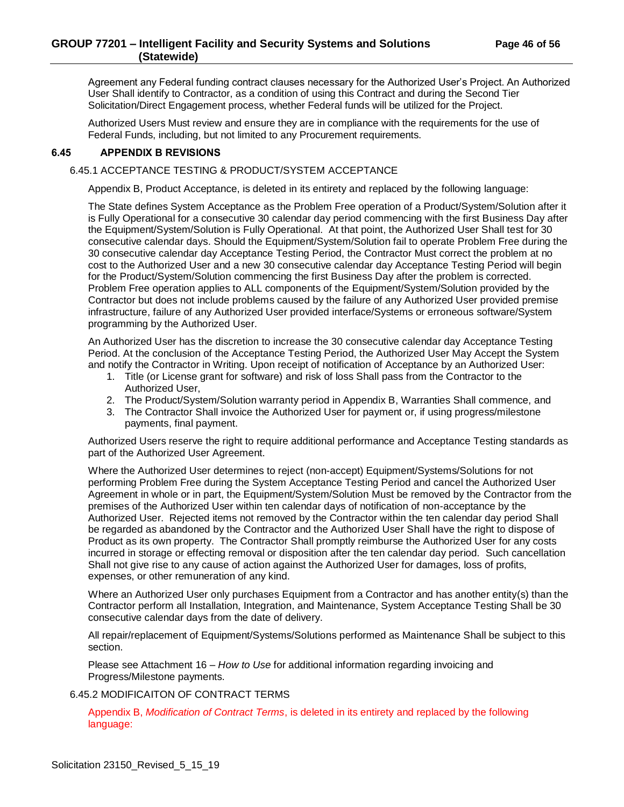## **GROUP 77201 – Intelligent Facility and Security Systems and Solutions Page 46 of 56 (Statewide)**

Agreement any Federal funding contract clauses necessary for the Authorized User's Project. An Authorized User Shall identify to Contractor, as a condition of using this Contract and during the Second Tier Solicitation/Direct Engagement process, whether Federal funds will be utilized for the Project.

Authorized Users Must review and ensure they are in compliance with the requirements for the use of Federal Funds, including, but not limited to any Procurement requirements.

## <span id="page-45-1"></span><span id="page-45-0"></span>**6.45 APPENDIX B REVISIONS**

## 6.45.1 ACCEPTANCE TESTING & PRODUCT/SYSTEM ACCEPTANCE

Appendix B, Product Acceptance, is deleted in its entirety and replaced by the following language:

The State defines System Acceptance as the Problem Free operation of a Product/System/Solution after it is Fully Operational for a consecutive 30 calendar day period commencing with the first Business Day after the Equipment/System/Solution is Fully Operational. At that point, the Authorized User Shall test for 30 consecutive calendar days. Should the Equipment/System/Solution fail to operate Problem Free during the 30 consecutive calendar day Acceptance Testing Period, the Contractor Must correct the problem at no cost to the Authorized User and a new 30 consecutive calendar day Acceptance Testing Period will begin for the Product/System/Solution commencing the first Business Day after the problem is corrected. Problem Free operation applies to ALL components of the Equipment/System/Solution provided by the Contractor but does not include problems caused by the failure of any Authorized User provided premise infrastructure, failure of any Authorized User provided interface/Systems or erroneous software/System programming by the Authorized User.

An Authorized User has the discretion to increase the 30 consecutive calendar day Acceptance Testing Period. At the conclusion of the Acceptance Testing Period, the Authorized User May Accept the System and notify the Contractor in Writing. Upon receipt of notification of Acceptance by an Authorized User:

- 1. Title (or License grant for software) and risk of loss Shall pass from the Contractor to the Authorized User,
- 2. The Product/System/Solution warranty period in Appendix B, Warranties Shall commence, and
- 3. The Contractor Shall invoice the Authorized User for payment or, if using progress/milestone payments, final payment.

Authorized Users reserve the right to require additional performance and Acceptance Testing standards as part of the Authorized User Agreement.

Where the Authorized User determines to reject (non-accept) Equipment/Systems/Solutions for not performing Problem Free during the System Acceptance Testing Period and cancel the Authorized User Agreement in whole or in part, the Equipment/System/Solution Must be removed by the Contractor from the premises of the Authorized User within ten calendar days of notification of non-acceptance by the Authorized User. Rejected items not removed by the Contractor within the ten calendar day period Shall be regarded as abandoned by the Contractor and the Authorized User Shall have the right to dispose of Product as its own property. The Contractor Shall promptly reimburse the Authorized User for any costs incurred in storage or effecting removal or disposition after the ten calendar day period. Such cancellation Shall not give rise to any cause of action against the Authorized User for damages, loss of profits, expenses, or other remuneration of any kind.

Where an Authorized User only purchases Equipment from a Contractor and has another entity(s) than the Contractor perform all Installation, Integration, and Maintenance, System Acceptance Testing Shall be 30 consecutive calendar days from the date of delivery.

All repair/replacement of Equipment/Systems/Solutions performed as Maintenance Shall be subject to this section.

Please see Attachment 16 – *How to Use* for additional information regarding invoicing and Progress/Milestone payments.

## <span id="page-45-2"></span>6.45.2 MODIFICAITON OF CONTRACT TERMS

Appendix B, *Modification of Contract Terms*, is deleted in its entirety and replaced by the following language: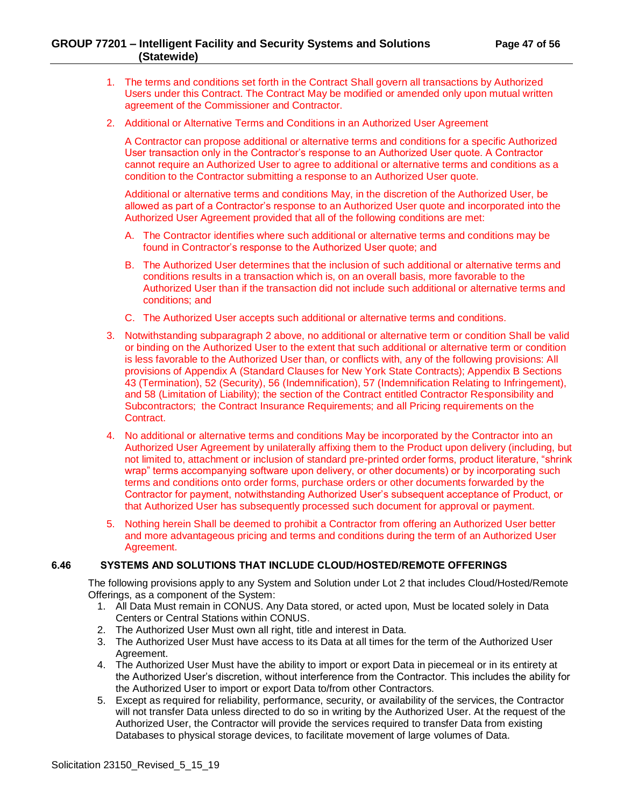## **GROUP 77201 – Intelligent Facility and Security Systems and Solutions Page 47 of 56 (Statewide)**

- 1. The terms and conditions set forth in the Contract Shall govern all transactions by Authorized Users under this Contract. The Contract May be modified or amended only upon mutual written agreement of the Commissioner and Contractor.
- 2. Additional or Alternative Terms and Conditions in an Authorized User Agreement

A Contractor can propose additional or alternative terms and conditions for a specific Authorized User transaction only in the Contractor's response to an Authorized User quote. A Contractor cannot require an Authorized User to agree to additional or alternative terms and conditions as a condition to the Contractor submitting a response to an Authorized User quote.

Additional or alternative terms and conditions May, in the discretion of the Authorized User, be allowed as part of a Contractor's response to an Authorized User quote and incorporated into the Authorized User Agreement provided that all of the following conditions are met:

- A. The Contractor identifies where such additional or alternative terms and conditions may be found in Contractor's response to the Authorized User quote; and
- B. The Authorized User determines that the inclusion of such additional or alternative terms and conditions results in a transaction which is, on an overall basis, more favorable to the Authorized User than if the transaction did not include such additional or alternative terms and conditions; and
- C. The Authorized User accepts such additional or alternative terms and conditions.
- 3. Notwithstanding subparagraph 2 above, no additional or alternative term or condition Shall be valid or binding on the Authorized User to the extent that such additional or alternative term or condition is less favorable to the Authorized User than, or conflicts with, any of the following provisions: All provisions of Appendix A (Standard Clauses for New York State Contracts); Appendix B Sections 43 (Termination), 52 (Security), 56 (Indemnification), 57 (Indemnification Relating to Infringement), and 58 (Limitation of Liability); the section of the Contract entitled Contractor Responsibility and Subcontractors; the Contract Insurance Requirements; and all Pricing requirements on the **Contract**
- 4. No additional or alternative terms and conditions May be incorporated by the Contractor into an Authorized User Agreement by unilaterally affixing them to the Product upon delivery (including, but not limited to, attachment or inclusion of standard pre-printed order forms, product literature, "shrink wrap" terms accompanying software upon delivery, or other documents) or by incorporating such terms and conditions onto order forms, purchase orders or other documents forwarded by the Contractor for payment, notwithstanding Authorized User's subsequent acceptance of Product, or that Authorized User has subsequently processed such document for approval or payment.
- 5. Nothing herein Shall be deemed to prohibit a Contractor from offering an Authorized User better and more advantageous pricing and terms and conditions during the term of an Authorized User Agreement.

#### <span id="page-46-0"></span>**6.46 SYSTEMS AND SOLUTIONS THAT INCLUDE CLOUD/HOSTED/REMOTE OFFERINGS**

The following provisions apply to any System and Solution under Lot 2 that includes Cloud/Hosted/Remote Offerings, as a component of the System:

- 1. All Data Must remain in CONUS. Any Data stored, or acted upon, Must be located solely in Data Centers or Central Stations within CONUS.
- 2. The Authorized User Must own all right, title and interest in Data.
- 3. The Authorized User Must have access to its Data at all times for the term of the Authorized User Agreement.
- 4. The Authorized User Must have the ability to import or export Data in piecemeal or in its entirety at the Authorized User's discretion, without interference from the Contractor. This includes the ability for the Authorized User to import or export Data to/from other Contractors.
- 5. Except as required for reliability, performance, security, or availability of the services, the Contractor will not transfer Data unless directed to do so in writing by the Authorized User. At the request of the Authorized User, the Contractor will provide the services required to transfer Data from existing Databases to physical storage devices, to facilitate movement of large volumes of Data.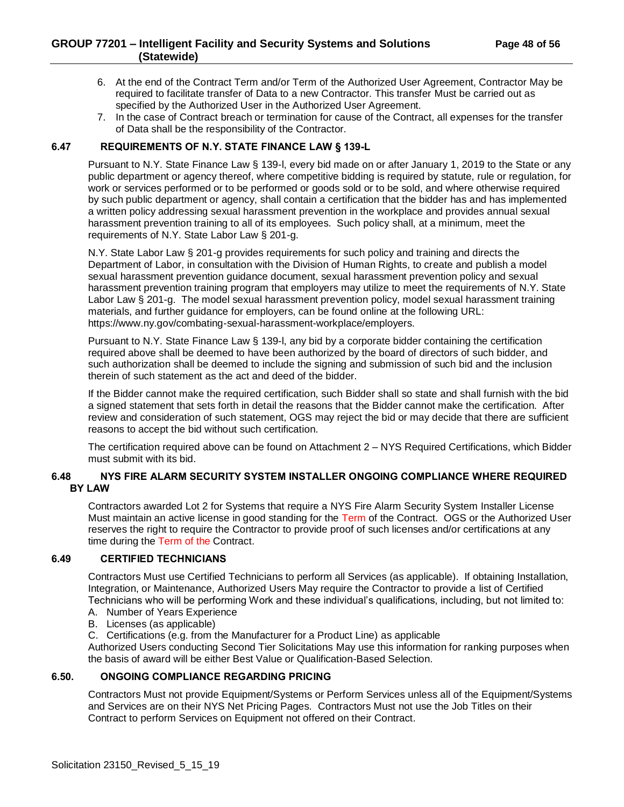- 6. At the end of the Contract Term and/or Term of the Authorized User Agreement, Contractor May be required to facilitate transfer of Data to a new Contractor. This transfer Must be carried out as specified by the Authorized User in the Authorized User Agreement.
- 7. In the case of Contract breach or termination for cause of the Contract, all expenses for the transfer of Data shall be the responsibility of the Contractor.

## <span id="page-47-0"></span>**6.47 REQUIREMENTS OF N.Y. STATE FINANCE LAW § 139-L**

Pursuant to N.Y. State Finance Law § 139-l, every bid made on or after January 1, 2019 to the State or any public department or agency thereof, where competitive bidding is required by statute, rule or regulation, for work or services performed or to be performed or goods sold or to be sold, and where otherwise required by such public department or agency, shall contain a certification that the bidder has and has implemented a written policy addressing sexual harassment prevention in the workplace and provides annual sexual harassment prevention training to all of its employees. Such policy shall, at a minimum, meet the requirements of N.Y. State Labor Law § 201-g.

N.Y. State Labor Law § 201-g provides requirements for such policy and training and directs the Department of Labor, in consultation with the Division of Human Rights, to create and publish a model sexual harassment prevention guidance document, sexual harassment prevention policy and sexual harassment prevention training program that employers may utilize to meet the requirements of N.Y. State Labor Law § 201-g. The model sexual harassment prevention policy, model sexual harassment training materials, and further guidance for employers, can be found online at the following URL: https://www.ny.gov/combating-sexual-harassment-workplace/employers.

Pursuant to N.Y. State Finance Law § 139-l, any bid by a corporate bidder containing the certification required above shall be deemed to have been authorized by the board of directors of such bidder, and such authorization shall be deemed to include the signing and submission of such bid and the inclusion therein of such statement as the act and deed of the bidder.

If the Bidder cannot make the required certification, such Bidder shall so state and shall furnish with the bid a signed statement that sets forth in detail the reasons that the Bidder cannot make the certification. After review and consideration of such statement, OGS may reject the bid or may decide that there are sufficient reasons to accept the bid without such certification.

The certification required above can be found on Attachment 2 – NYS Required Certifications, which Bidder must submit with its bid.

## <span id="page-47-1"></span>**6.48 NYS FIRE ALARM SECURITY SYSTEM INSTALLER ONGOING COMPLIANCE WHERE REQUIRED BY LAW**

Contractors awarded Lot 2 for Systems that require a NYS Fire Alarm Security System Installer License Must maintain an active license in good standing for the Term of the Contract. OGS or the Authorized User reserves the right to require the Contractor to provide proof of such licenses and/or certifications at any time during the Term of the Contract.

#### <span id="page-47-2"></span>**6.49 CERTIFIED TECHNICIANS**

Contractors Must use Certified Technicians to perform all Services (as applicable). If obtaining Installation, Integration, or Maintenance, Authorized Users May require the Contractor to provide a list of Certified Technicians who will be performing Work and these individual's qualifications, including, but not limited to:

- A. Number of Years Experience
- B. Licenses (as applicable)
- C. Certifications (e.g. from the Manufacturer for a Product Line) as applicable

Authorized Users conducting Second Tier Solicitations May use this information for ranking purposes when the basis of award will be either Best Value or Qualification-Based Selection.

## <span id="page-47-3"></span>**6.50. ONGOING COMPLIANCE REGARDING PRICING**

Contractors Must not provide Equipment/Systems or Perform Services unless all of the Equipment/Systems and Services are on their NYS Net Pricing Pages. Contractors Must not use the Job Titles on their Contract to perform Services on Equipment not offered on their Contract.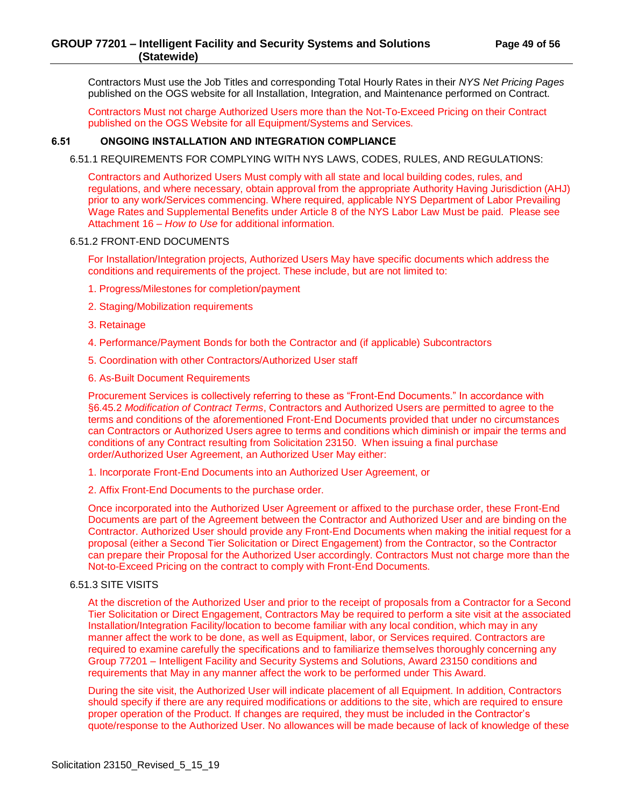Contractors Must use the Job Titles and corresponding Total Hourly Rates in their *NYS Net Pricing Pages* published on the OGS website for all Installation, Integration, and Maintenance performed on Contract.

Contractors Must not charge Authorized Users more than the Not-To-Exceed Pricing on their Contract published on the OGS Website for all Equipment/Systems and Services.

## <span id="page-48-1"></span><span id="page-48-0"></span>**6.51 ONGOING INSTALLATION AND INTEGRATION COMPLIANCE**

6.51.1 REQUIREMENTS FOR COMPLYING WITH NYS LAWS, CODES, RULES, AND REGULATIONS:

Contractors and Authorized Users Must comply with all state and local building codes, rules, and regulations, and where necessary, obtain approval from the appropriate Authority Having Jurisdiction (AHJ) prior to any work/Services commencing. Where required, applicable NYS Department of Labor Prevailing Wage Rates and Supplemental Benefits under Article 8 of the NYS Labor Law Must be paid. Please see Attachment 16 – *How to Use* for additional information.

#### <span id="page-48-2"></span>6.51.2 FRONT-END DOCUMENTS

For Installation/Integration projects, Authorized Users May have specific documents which address the conditions and requirements of the project. These include, but are not limited to:

- 1. Progress/Milestones for completion/payment
- 2. Staging/Mobilization requirements
- 3. Retainage
- 4. Performance/Payment Bonds for both the Contractor and (if applicable) Subcontractors
- 5. Coordination with other Contractors/Authorized User staff
- 6. As-Built Document Requirements

Procurement Services is collectively referring to these as "Front-End Documents." In accordance with §6.45.2 *Modification of Contract Terms*, Contractors and Authorized Users are permitted to agree to the terms and conditions of the aforementioned Front-End Documents provided that under no circumstances can Contractors or Authorized Users agree to terms and conditions which diminish or impair the terms and conditions of any Contract resulting from Solicitation 23150. When issuing a final purchase order/Authorized User Agreement, an Authorized User May either:

1. Incorporate Front-End Documents into an Authorized User Agreement, or

2. Affix Front-End Documents to the purchase order.

Once incorporated into the Authorized User Agreement or affixed to the purchase order, these Front-End Documents are part of the Agreement between the Contractor and Authorized User and are binding on the Contractor. Authorized User should provide any Front-End Documents when making the initial request for a proposal (either a Second Tier Solicitation or Direct Engagement) from the Contractor, so the Contractor can prepare their Proposal for the Authorized User accordingly. Contractors Must not charge more than the Not-to-Exceed Pricing on the contract to comply with Front-End Documents.

#### <span id="page-48-3"></span>6.51.3 SITE VISITS

At the discretion of the Authorized User and prior to the receipt of proposals from a Contractor for a Second Tier Solicitation or Direct Engagement, Contractors May be required to perform a site visit at the associated Installation/Integration Facility/location to become familiar with any local condition, which may in any manner affect the work to be done, as well as Equipment, labor, or Services required. Contractors are required to examine carefully the specifications and to familiarize themselves thoroughly concerning any Group 77201 – Intelligent Facility and Security Systems and Solutions, Award 23150 conditions and requirements that May in any manner affect the work to be performed under This Award.

During the site visit, the Authorized User will indicate placement of all Equipment. In addition, Contractors should specify if there are any required modifications or additions to the site, which are required to ensure proper operation of the Product. If changes are required, they must be included in the Contractor's quote/response to the Authorized User. No allowances will be made because of lack of knowledge of these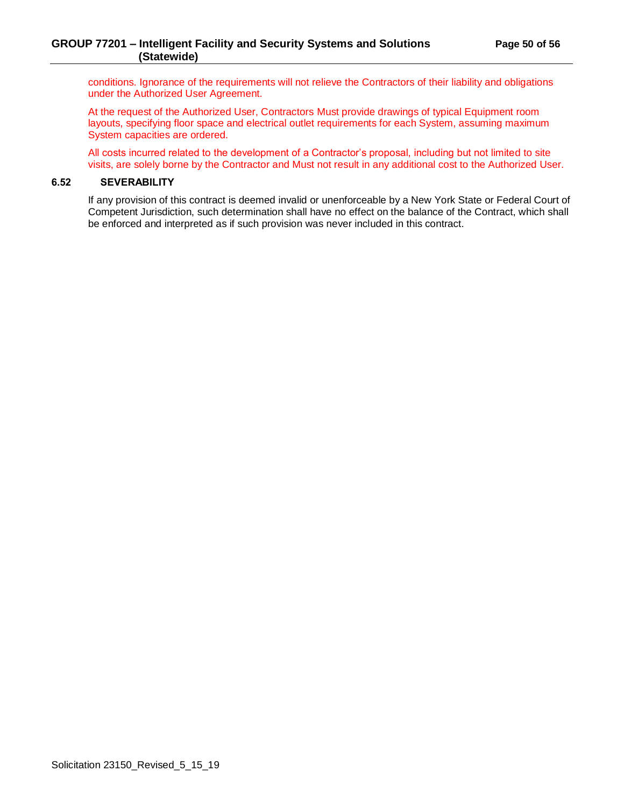conditions. Ignorance of the requirements will not relieve the Contractors of their liability and obligations under the Authorized User Agreement.

At the request of the Authorized User, Contractors Must provide drawings of typical Equipment room layouts, specifying floor space and electrical outlet requirements for each System, assuming maximum System capacities are ordered.

All costs incurred related to the development of a Contractor's proposal, including but not limited to site visits, are solely borne by the Contractor and Must not result in any additional cost to the Authorized User.

## <span id="page-49-0"></span>**6.52 SEVERABILITY**

If any provision of this contract is deemed invalid or unenforceable by a New York State or Federal Court of Competent Jurisdiction, such determination shall have no effect on the balance of the Contract, which shall be enforced and interpreted as if such provision was never included in this contract.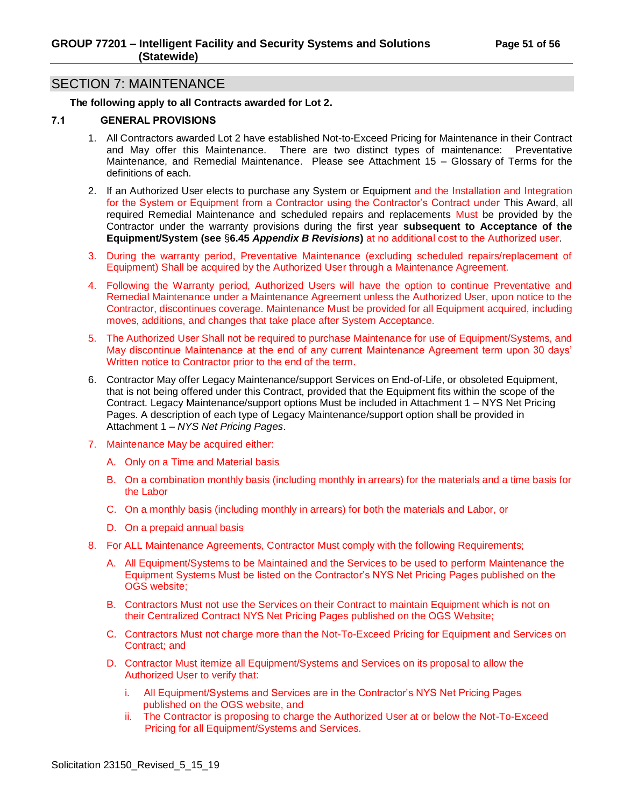# <span id="page-50-0"></span>SECTION 7: MAINTENANCE

#### **The following apply to all Contracts awarded for Lot 2.**

#### <span id="page-50-1"></span>**7.1 GENERAL PROVISIONS**

- 1. All Contractors awarded Lot 2 have established Not-to-Exceed Pricing for Maintenance in their Contract and May offer this Maintenance. There are two distinct types of maintenance: Preventative Maintenance, and Remedial Maintenance. Please see Attachment 15 – Glossary of Terms for the definitions of each.
- 2. If an Authorized User elects to purchase any System or Equipment and the Installation and Integration for the System or Equipment from a Contractor using the Contractor's Contract under This Award, all required Remedial Maintenance and scheduled repairs and replacements Must be provided by the Contractor under the warranty provisions during the first year **subsequent to Acceptance of the Equipment/System (see** §**6.45** *Appendix B Revisions***)** at no additional cost to the Authorized user.
- 3. During the warranty period, Preventative Maintenance (excluding scheduled repairs/replacement of Equipment) Shall be acquired by the Authorized User through a Maintenance Agreement.
- 4. Following the Warranty period, Authorized Users will have the option to continue Preventative and Remedial Maintenance under a Maintenance Agreement unless the Authorized User, upon notice to the Contractor, discontinues coverage. Maintenance Must be provided for all Equipment acquired, including moves, additions, and changes that take place after System Acceptance.
- 5. The Authorized User Shall not be required to purchase Maintenance for use of Equipment/Systems, and May discontinue Maintenance at the end of any current Maintenance Agreement term upon 30 days' Written notice to Contractor prior to the end of the term.
- 6. Contractor May offer Legacy Maintenance/support Services on End-of-Life, or obsoleted Equipment, that is not being offered under this Contract, provided that the Equipment fits within the scope of the Contract. Legacy Maintenance/support options Must be included in Attachment 1 – NYS Net Pricing Pages. A description of each type of Legacy Maintenance/support option shall be provided in Attachment 1 – *NYS Net Pricing Pages*.
- 7. Maintenance May be acquired either:
	- A. Only on a Time and Material basis
	- B. On a combination monthly basis (including monthly in arrears) for the materials and a time basis for the Labor
	- C. On a monthly basis (including monthly in arrears) for both the materials and Labor, or
	- D. On a prepaid annual basis
- 8. For ALL Maintenance Agreements, Contractor Must comply with the following Requirements;
	- A. All Equipment/Systems to be Maintained and the Services to be used to perform Maintenance the Equipment Systems Must be listed on the Contractor's NYS Net Pricing Pages published on the OGS website;
	- B. Contractors Must not use the Services on their Contract to maintain Equipment which is not on their Centralized Contract NYS Net Pricing Pages published on the OGS Website;
	- C. Contractors Must not charge more than the Not-To-Exceed Pricing for Equipment and Services on Contract; and
	- D. Contractor Must itemize all Equipment/Systems and Services on its proposal to allow the Authorized User to verify that:
		- i. All Equipment/Systems and Services are in the Contractor's NYS Net Pricing Pages published on the OGS website, and
		- ii. The Contractor is proposing to charge the Authorized User at or below the Not-To-Exceed Pricing for all Equipment/Systems and Services.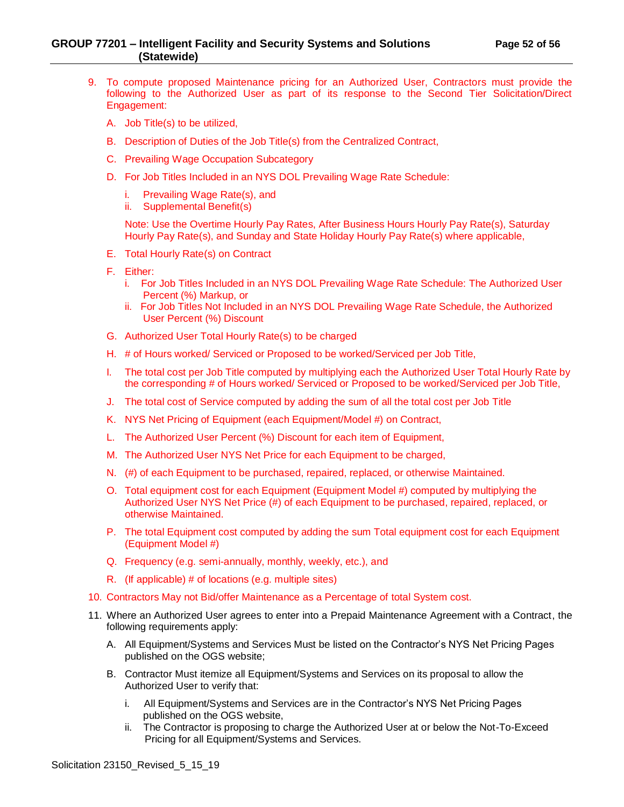## **GROUP 77201 – Intelligent Facility and Security Systems and Solutions Page 52 of 56 (Statewide)**

- 9. To compute proposed Maintenance pricing for an Authorized User, Contractors must provide the following to the Authorized User as part of its response to the Second Tier Solicitation/Direct Engagement:
	- A. Job Title(s) to be utilized,
	- B. Description of Duties of the Job Title(s) from the Centralized Contract,
	- C. Prevailing Wage Occupation Subcategory
	- D. For Job Titles Included in an NYS DOL Prevailing Wage Rate Schedule:
		- i. Prevailing Wage Rate(s), and
		- ii. Supplemental Benefit(s)

Note: Use the Overtime Hourly Pay Rates, After Business Hours Hourly Pay Rate(s), Saturday Hourly Pay Rate(s), and Sunday and State Holiday Hourly Pay Rate(s) where applicable,

- E. Total Hourly Rate(s) on Contract
- F. Either:
	- i. For Job Titles Included in an NYS DOL Prevailing Wage Rate Schedule: The Authorized User Percent (%) Markup, or
	- ii. For Job Titles Not Included in an NYS DOL Prevailing Wage Rate Schedule, the Authorized User Percent (%) Discount
- G. Authorized User Total Hourly Rate(s) to be charged
- H. # of Hours worked/ Serviced or Proposed to be worked/Serviced per Job Title,
- I. The total cost per Job Title computed by multiplying each the Authorized User Total Hourly Rate by the corresponding # of Hours worked/ Serviced or Proposed to be worked/Serviced per Job Title,
- J. The total cost of Service computed by adding the sum of all the total cost per Job Title
- K. NYS Net Pricing of Equipment (each Equipment/Model #) on Contract,
- L. The Authorized User Percent (%) Discount for each item of Equipment,
- M. The Authorized User NYS Net Price for each Equipment to be charged,
- N. (#) of each Equipment to be purchased, repaired, replaced, or otherwise Maintained.
- O. Total equipment cost for each Equipment (Equipment Model #) computed by multiplying the Authorized User NYS Net Price (#) of each Equipment to be purchased, repaired, replaced, or otherwise Maintained.
- P. The total Equipment cost computed by adding the sum Total equipment cost for each Equipment (Equipment Model #)
- Q. Frequency (e.g. semi-annually, monthly, weekly, etc.), and
- R. (If applicable) # of locations (e.g. multiple sites)
- 10. Contractors May not Bid/offer Maintenance as a Percentage of total System cost.
- 11. Where an Authorized User agrees to enter into a Prepaid Maintenance Agreement with a Contract, the following requirements apply:
	- A. All Equipment/Systems and Services Must be listed on the Contractor's NYS Net Pricing Pages published on the OGS website;
	- B. Contractor Must itemize all Equipment/Systems and Services on its proposal to allow the Authorized User to verify that:
		- i. All Equipment/Systems and Services are in the Contractor's NYS Net Pricing Pages published on the OGS website,
		- ii. The Contractor is proposing to charge the Authorized User at or below the Not-To-Exceed Pricing for all Equipment/Systems and Services.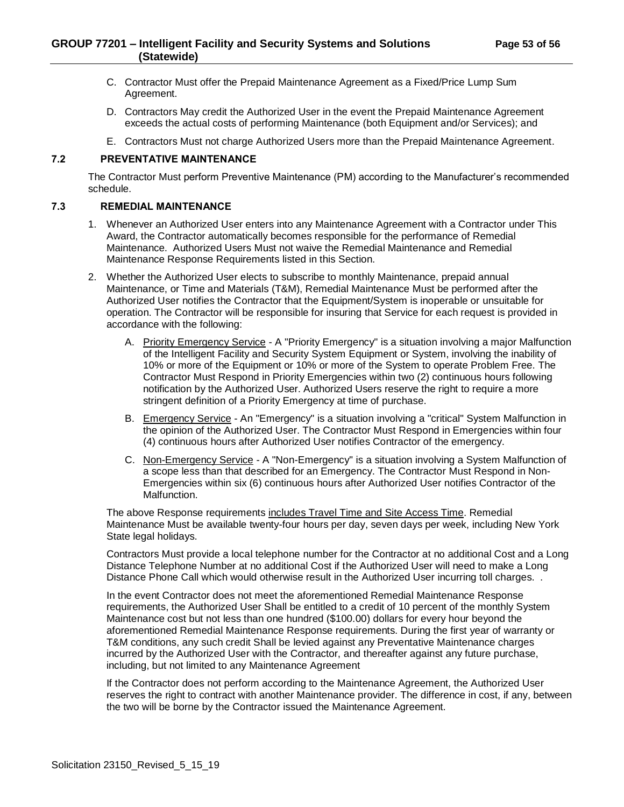- C. Contractor Must offer the Prepaid Maintenance Agreement as a Fixed/Price Lump Sum Agreement.
- D. Contractors May credit the Authorized User in the event the Prepaid Maintenance Agreement exceeds the actual costs of performing Maintenance (both Equipment and/or Services); and
- E. Contractors Must not charge Authorized Users more than the Prepaid Maintenance Agreement.

## <span id="page-52-0"></span>**7.2 PREVENTATIVE MAINTENANCE**

The Contractor Must perform Preventive Maintenance (PM) according to the Manufacturer's recommended schedule.

#### <span id="page-52-1"></span>**7.3 REMEDIAL MAINTENANCE**

- 1. Whenever an Authorized User enters into any Maintenance Agreement with a Contractor under This Award, the Contractor automatically becomes responsible for the performance of Remedial Maintenance. Authorized Users Must not waive the Remedial Maintenance and Remedial Maintenance Response Requirements listed in this Section.
- 2. Whether the Authorized User elects to subscribe to monthly Maintenance, prepaid annual Maintenance, or Time and Materials (T&M), Remedial Maintenance Must be performed after the Authorized User notifies the Contractor that the Equipment/System is inoperable or unsuitable for operation. The Contractor will be responsible for insuring that Service for each request is provided in accordance with the following:
	- A. Priority Emergency Service A "Priority Emergency" is a situation involving a major Malfunction of the Intelligent Facility and Security System Equipment or System, involving the inability of 10% or more of the Equipment or 10% or more of the System to operate Problem Free. The Contractor Must Respond in Priority Emergencies within two (2) continuous hours following notification by the Authorized User. Authorized Users reserve the right to require a more stringent definition of a Priority Emergency at time of purchase.
	- B. Emergency Service An "Emergency" is a situation involving a "critical" System Malfunction in the opinion of the Authorized User. The Contractor Must Respond in Emergencies within four (4) continuous hours after Authorized User notifies Contractor of the emergency.
	- C. Non-Emergency Service A "Non-Emergency" is a situation involving a System Malfunction of a scope less than that described for an Emergency. The Contractor Must Respond in Non-Emergencies within six (6) continuous hours after Authorized User notifies Contractor of the Malfunction.

The above Response requirements includes Travel Time and Site Access Time. Remedial Maintenance Must be available twenty-four hours per day, seven days per week, including New York State legal holidays.

Contractors Must provide a local telephone number for the Contractor at no additional Cost and a Long Distance Telephone Number at no additional Cost if the Authorized User will need to make a Long Distance Phone Call which would otherwise result in the Authorized User incurring toll charges. .

In the event Contractor does not meet the aforementioned Remedial Maintenance Response requirements, the Authorized User Shall be entitled to a credit of 10 percent of the monthly System Maintenance cost but not less than one hundred (\$100.00) dollars for every hour beyond the aforementioned Remedial Maintenance Response requirements. During the first year of warranty or T&M conditions, any such credit Shall be levied against any Preventative Maintenance charges incurred by the Authorized User with the Contractor, and thereafter against any future purchase, including, but not limited to any Maintenance Agreement

If the Contractor does not perform according to the Maintenance Agreement, the Authorized User reserves the right to contract with another Maintenance provider. The difference in cost, if any, between the two will be borne by the Contractor issued the Maintenance Agreement.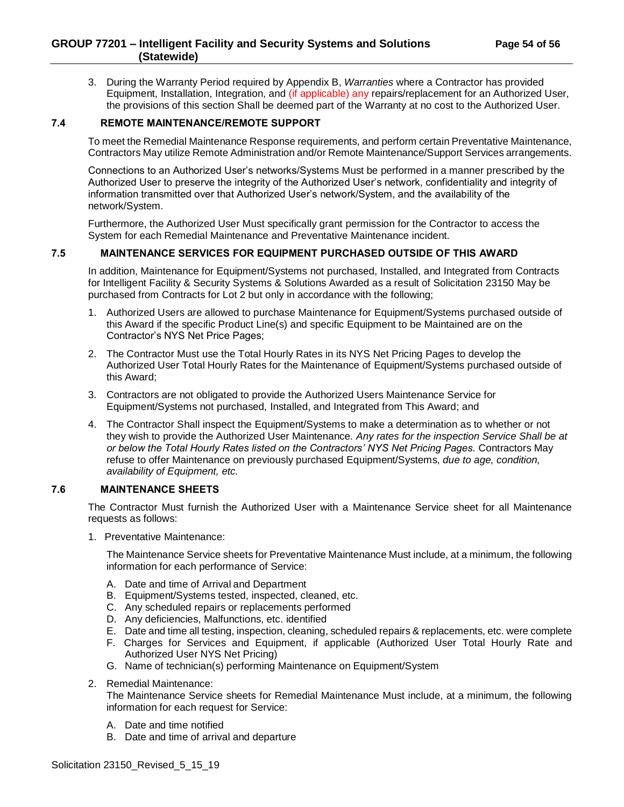3. During the Warranty Period required by Appendix B, *Warranties* where a Contractor has provided Equipment, Installation, Integration, and (if applicable) any repairs/replacement for an Authorized User, the provisions of this section Shall be deemed part of the Warranty at no cost to the Authorized User.

## <span id="page-53-0"></span>**7.4 REMOTE MAINTENANCE/REMOTE SUPPORT**

To meet the Remedial Maintenance Response requirements, and perform certain Preventative Maintenance, Contractors May utilize Remote Administration and/or Remote Maintenance/Support Services arrangements.

Connections to an Authorized User's networks/Systems Must be performed in a manner prescribed by the Authorized User to preserve the integrity of the Authorized User's network, confidentiality and integrity of information transmitted over that Authorized User's network/System, and the availability of the network/System.

Furthermore, the Authorized User Must specifically grant permission for the Contractor to access the System for each Remedial Maintenance and Preventative Maintenance incident.

## <span id="page-53-1"></span>**7.5 MAINTENANCE SERVICES FOR EQUIPMENT PURCHASED OUTSIDE OF THIS AWARD**

In addition, Maintenance for Equipment/Systems not purchased, Installed, and Integrated from Contracts for Intelligent Facility & Security Systems & Solutions Awarded as a result of Solicitation 23150 May be purchased from Contracts for Lot 2 but only in accordance with the following;

- 1. Authorized Users are allowed to purchase Maintenance for Equipment/Systems purchased outside of this Award if the specific Product Line(s) and specific Equipment to be Maintained are on the Contractor's NYS Net Price Pages;
- 2. The Contractor Must use the Total Hourly Rates in its NYS Net Pricing Pages to develop the Authorized User Total Hourly Rates for the Maintenance of Equipment/Systems purchased outside of this Award;
- 3. Contractors are not obligated to provide the Authorized Users Maintenance Service for Equipment/Systems not purchased, Installed, and Integrated from This Award; and
- 4. The Contractor Shall inspect the Equipment/Systems to make a determination as to whether or not they wish to provide the Authorized User Maintenance. *Any rates for the inspection Service Shall be at or below the Total Hourly Rates listed on the Contractors' NYS Net Pricing Pages.* Contractors May refuse to offer Maintenance on previously purchased Equipment/Systems, *due to age, condition, availability of Equipment, etc.*

## <span id="page-53-2"></span>**7.6 MAINTENANCE SHEETS**

The Contractor Must furnish the Authorized User with a Maintenance Service sheet for all Maintenance requests as follows:

1. Preventative Maintenance:

The Maintenance Service sheets for Preventative Maintenance Must include, at a minimum, the following information for each performance of Service:

- A. Date and time of Arrivaland Department
- B. Equipment/Systems tested, inspected, cleaned, etc.
- C. Any scheduled repairs or replacements performed
- D. Any deficiencies, Malfunctions, etc. identified
- E. Date and time all testing, inspection, cleaning, scheduled repairs & replacements, etc. were complete
- F. Charges for Services and Equipment, if applicable (Authorized User Total Hourly Rate and Authorized User NYS Net Pricing)
- G. Name of technician(s) performing Maintenance on Equipment/System
- 2. Remedial Maintenance:

The Maintenance Service sheets for Remedial Maintenance Must include, at a minimum, the following information for each request for Service:

- A. Date and time notified
- B. Date and time of arrival and departure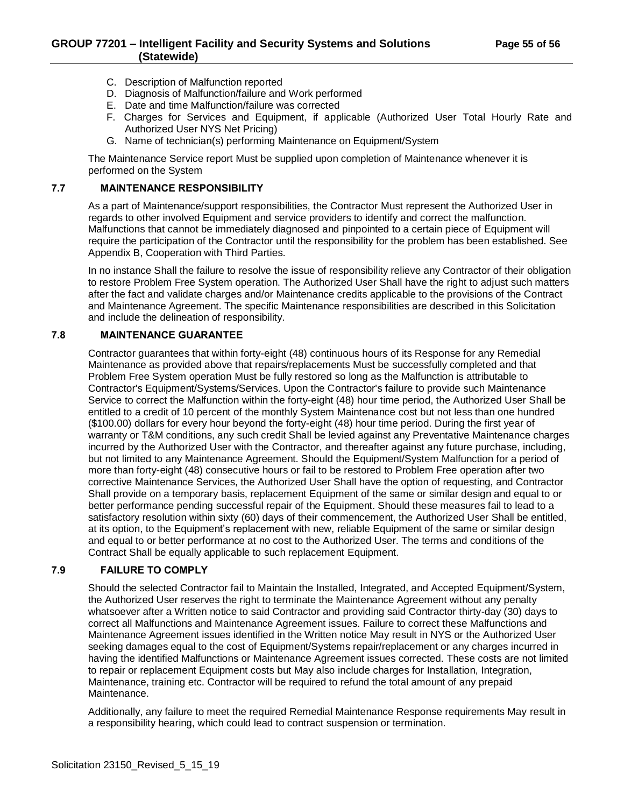- C. Description of Malfunction reported
- D. Diagnosis of Malfunction/failure and Work performed
- E. Date and time Malfunction/failure was corrected
- F. Charges for Services and Equipment, if applicable (Authorized User Total Hourly Rate and Authorized User NYS Net Pricing)
- G. Name of technician(s) performing Maintenance on Equipment/System

The Maintenance Service report Must be supplied upon completion of Maintenance whenever it is performed on the System

## <span id="page-54-0"></span>**7.7 MAINTENANCE RESPONSIBILITY**

As a part of Maintenance/support responsibilities, the Contractor Must represent the Authorized User in regards to other involved Equipment and service providers to identify and correct the malfunction. Malfunctions that cannot be immediately diagnosed and pinpointed to a certain piece of Equipment will require the participation of the Contractor until the responsibility for the problem has been established. See Appendix B, Cooperation with Third Parties.

In no instance Shall the failure to resolve the issue of responsibility relieve any Contractor of their obligation to restore Problem Free System operation. The Authorized User Shall have the right to adjust such matters after the fact and validate charges and/or Maintenance credits applicable to the provisions of the Contract and Maintenance Agreement. The specific Maintenance responsibilities are described in this Solicitation and include the delineation of responsibility.

## <span id="page-54-1"></span>**7.8 MAINTENANCE GUARANTEE**

Contractor guarantees that within forty-eight (48) continuous hours of its Response for any Remedial Maintenance as provided above that repairs/replacements Must be successfully completed and that Problem Free System operation Must be fully restored so long as the Malfunction is attributable to Contractor's Equipment/Systems/Services. Upon the Contractor's failure to provide such Maintenance Service to correct the Malfunction within the forty-eight (48) hour time period, the Authorized User Shall be entitled to a credit of 10 percent of the monthly System Maintenance cost but not less than one hundred (\$100.00) dollars for every hour beyond the forty-eight (48) hour time period. During the first year of warranty or T&M conditions, any such credit Shall be levied against any Preventative Maintenance charges incurred by the Authorized User with the Contractor, and thereafter against any future purchase, including, but not limited to any Maintenance Agreement. Should the Equipment/System Malfunction for a period of more than forty-eight (48) consecutive hours or fail to be restored to Problem Free operation after two corrective Maintenance Services, the Authorized User Shall have the option of requesting, and Contractor Shall provide on a temporary basis, replacement Equipment of the same or similar design and equal to or better performance pending successful repair of the Equipment. Should these measures fail to lead to a satisfactory resolution within sixty (60) days of their commencement, the Authorized User Shall be entitled, at its option, to the Equipment's replacement with new, reliable Equipment of the same or similar design and equal to or better performance at no cost to the Authorized User. The terms and conditions of the Contract Shall be equally applicable to such replacement Equipment.

## <span id="page-54-2"></span>**7.9 FAILURE TO COMPLY**

Should the selected Contractor fail to Maintain the Installed, Integrated, and Accepted Equipment/System, the Authorized User reserves the right to terminate the Maintenance Agreement without any penalty whatsoever after a Written notice to said Contractor and providing said Contractor thirty-day (30) days to correct all Malfunctions and Maintenance Agreement issues. Failure to correct these Malfunctions and Maintenance Agreement issues identified in the Written notice May result in NYS or the Authorized User seeking damages equal to the cost of Equipment/Systems repair/replacement or any charges incurred in having the identified Malfunctions or Maintenance Agreement issues corrected. These costs are not limited to repair or replacement Equipment costs but May also include charges for Installation, Integration, Maintenance, training etc. Contractor will be required to refund the total amount of any prepaid Maintenance.

Additionally, any failure to meet the required Remedial Maintenance Response requirements May result in a responsibility hearing, which could lead to contract suspension or termination.